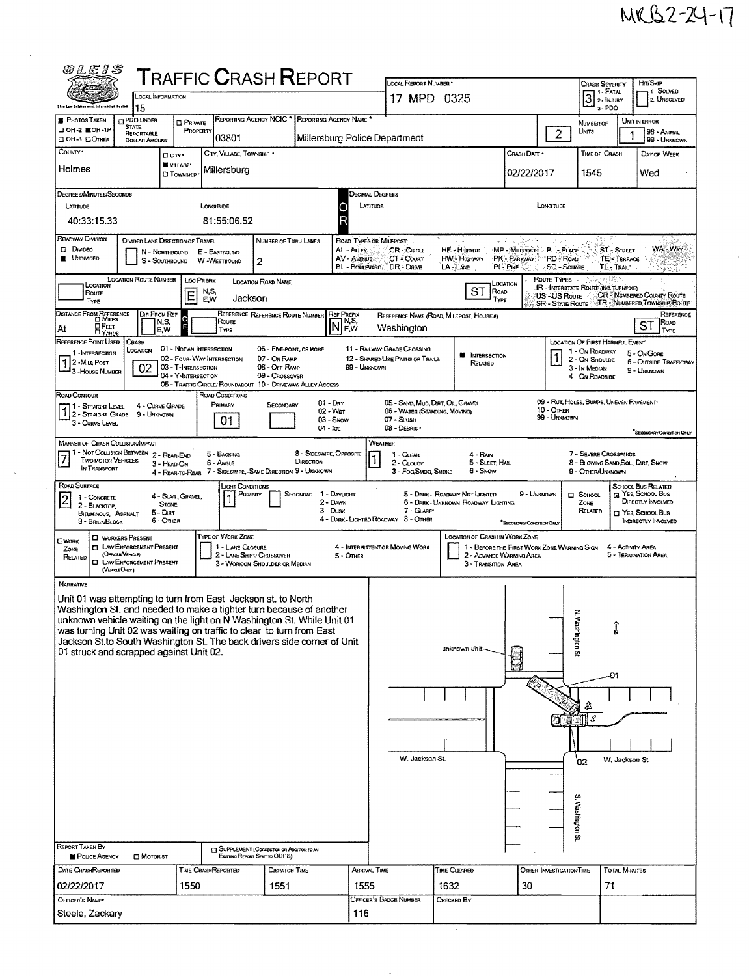Ý,

|                                                                                                                                                  |                                    |                                         |                              | <b>TRAFFIC CRASH REPORT</b>                                                   |                          |                                         |                                          | <b>LOCAL REPORT NUMBER</b>                                        |                                          |                                                                         |                                        | <b>CRASH SEVERITY</b>                                    |                                | Hrt/Skip                                |
|--------------------------------------------------------------------------------------------------------------------------------------------------|------------------------------------|-----------------------------------------|------------------------------|-------------------------------------------------------------------------------|--------------------------|-----------------------------------------|------------------------------------------|-------------------------------------------------------------------|------------------------------------------|-------------------------------------------------------------------------|----------------------------------------|----------------------------------------------------------|--------------------------------|-----------------------------------------|
|                                                                                                                                                  | LOCAL INFORMATION                  |                                         |                              |                                                                               |                          |                                         |                                          | 17 MPD 0325                                                       |                                          |                                                                         |                                        | $32$ PATAL                                               |                                | 1 - SOLVED<br>2. UNSOLVED               |
| <b>Ship Law Enforcer</b>                                                                                                                         | 15                                 |                                         |                              |                                                                               |                          |                                         |                                          |                                                                   |                                          |                                                                         |                                        |                                                          | 3-PDO                          |                                         |
| <b>PHOTOS TAKEN</b><br><b>STATE</b><br>□ 0Н-2 星0Н-1Р                                                                                             | <b>CIPDO UNDER</b>                 | <b>D</b> PRIVATE<br>PROPERTY            |                              | REPORTING AGENCY NCIC * REPORTING AGENCY NAME *                               |                          |                                         |                                          |                                                                   |                                          |                                                                         |                                        | NUMBER OF<br>Units                                       |                                | <b>UNIT IN ERROR</b><br>98 - ANIMAL     |
| ⊡ ОН-З ⊡Отнея                                                                                                                                    | REPORTABLE<br><b>DOLLAR AMOUNT</b> |                                         | 03801                        |                                                                               |                          |                                         | Millersburg Police Department            |                                                                   |                                          |                                                                         | $\overline{2}$                         |                                                          |                                | 99 - UNKNOWN                            |
| COUNTY <sup>.</sup>                                                                                                                              |                                    | □ arv·                                  |                              | CITY, VILLAGE, TOWNSHIP .                                                     |                          |                                         |                                          |                                                                   |                                          | Crash Date *                                                            |                                        | <b>TIME OF CRASH</b>                                     |                                | DAY OF WEEK                             |
| Holmes                                                                                                                                           |                                    | <b>W</b> VILLAGE*<br><b>CJ TOWNSHIP</b> | Millersburg                  |                                                                               |                          |                                         |                                          |                                                                   |                                          | 02/22/2017                                                              |                                        | 1545                                                     |                                | Wed                                     |
|                                                                                                                                                  |                                    |                                         |                              |                                                                               |                          |                                         |                                          |                                                                   |                                          |                                                                         |                                        |                                                          |                                |                                         |
| Degrees/Minutes/Seconds<br>LATITUDE                                                                                                              |                                    |                                         | LONGITUDE                    |                                                                               |                          |                                         | Decimal Degrees<br>LATITUDE              |                                                                   |                                          |                                                                         | LONGTUDE                               |                                                          |                                |                                         |
| 40:33:15.33                                                                                                                                      |                                    |                                         | 81:55:06.52                  |                                                                               |                          |                                         |                                          |                                                                   |                                          |                                                                         |                                        |                                                          |                                |                                         |
|                                                                                                                                                  |                                    |                                         |                              |                                                                               |                          |                                         |                                          |                                                                   |                                          |                                                                         |                                        |                                                          |                                |                                         |
| ROADWAY DIVISION<br>$\Box$ Divideo                                                                                                               | DIVIDED LANE DIRECTION OF TRAVEL   |                                         | N - NORTHBOUND E - EASTBOUND |                                                                               | NUMBER OF THRU LANES     | AL - ALLEY                              | ROAD TYPES OR MILEPOST                   | CR-CIRCLE                                                         | HE - Hearrs                              | MP - MILEPOST                                                           | PL - PLACE                             |                                                          | ST - STREET                    | WA-WAY                                  |
| <b>UNDIVIDED</b>                                                                                                                                 | S - SouthBound                     |                                         | <b>W-WESTBOUND</b>           | 2                                                                             |                          | AV - AVENUE                             | CT - Count<br>BL - BOULEVARD. DR - DRIVE |                                                                   | <b>HW-Highway</b><br><b>LA</b> LAME      | PK - PARKWAY<br><b>PI-PIKE</b>                                          | <b>RD - ROAD</b><br><b>SQ - SQUARE</b> |                                                          | <b>TE-TERRACE</b><br>TL-TRAIL" |                                         |
|                                                                                                                                                  | <b>LOCATION ROUTE NUMBER</b>       | <b>LOC PREFIX</b>                       |                              | LOCATION ROAD NAME                                                            |                          |                                         |                                          |                                                                   |                                          |                                                                         | Route Types                            |                                                          |                                |                                         |
| LOCATION<br><b>Route</b>                                                                                                                         |                                    | E                                       | N,S,                         |                                                                               |                          |                                         |                                          |                                                                   | <b>ST</b>                                | LOCATION<br>ROAD                                                        | US-US Route                            | IR - KITERSTATE ROUTE (INC. TURNPIKE)                    |                                | <b>CR-NUMBERED COUNTY ROUTE</b>         |
| TYPE                                                                                                                                             |                                    |                                         | E.W                          | Jackson                                                                       |                          |                                         |                                          |                                                                   |                                          | TYPE                                                                    | SR - State Route                       |                                                          |                                | TR NUMBERED TOWNSHIP ROUTE              |
| DISTANCE FROM REFERENCE                                                                                                                          | DIR FROM REF<br>N,S,               | P                                       | ROUTE                        | REFERENCE REFERENCE ROUTE NUMBER REF PREFIX                                   |                          | N.S,                                    |                                          |                                                                   | REFERENCE NAME (ROAD, MILEPOST, HOUSE #) |                                                                         |                                        |                                                          |                                | REFERENCE<br>Roap<br><b>ST</b>          |
| <b>HEET</b><br>At                                                                                                                                | E,W                                |                                         | TYPE                         |                                                                               |                          | E,W                                     | Washington                               |                                                                   |                                          |                                                                         |                                        |                                                          |                                | TYPE                                    |
| REFERENCE POINT USED<br>1 - INTERSECTION                                                                                                         | Crash<br>LOCATION                  |                                         | 01 - Not an Intersection     |                                                                               | 06 - FIVE-POINT, OR MORE |                                         | 11 - RAILWAY GRADE CROSSING              |                                                                   | <b>M</b> INTERSECTION                    |                                                                         |                                        | <b>LOCATION OF FIRST HARMFUL EVENT</b><br>1 - On ROADWAY |                                | 5 - On Gore                             |
| 2 - MiLE POST                                                                                                                                    | 02                                 | 03 - T-INTERSECTION                     | 02 - FOUR-WAY INTERSECTION   | 07 - On RAMP<br>08 - OFF RAMP                                                 |                          | 99 - Unknown                            | 12 - SHARED USE PATHS OR TRAILS          |                                                                   | RELATED                                  |                                                                         |                                        | 2 - ON SHOULDE<br>3 - In MEDIAN                          |                                | 6 - Outside Trafficway<br>9 - UNKNOWN   |
| 3 - House Number                                                                                                                                 |                                    | 04 - Y-INTERSECTION                     |                              | 09 - CROSSOVER<br>05 - TRAFFIC CARCLE/ ROUNDABOUT 10 - DRIVEWAY/ ALLEY ACCESS |                          |                                         |                                          |                                                                   |                                          |                                                                         |                                        | 4 - On RDADSIDE                                          |                                |                                         |
| ROAD CONTOUR                                                                                                                                     |                                    |                                         | ROAD CONDITIONS              |                                                                               |                          |                                         |                                          |                                                                   |                                          |                                                                         |                                        |                                                          |                                |                                         |
| 1 - STRAIGHT LEVEL 4 - CURVE GR<br>1 2 - STRAIGHT GRADE 9 - UNKNOWN                                                                              | 4 - CURVE GRADE                    |                                         | PRIMARY                      | SECONDARY                                                                     |                          | $01 - \text{D}$ <sub>RY</sub><br>02 Wer |                                          | 05 - SAND, MUD, DAT, OIL, GRAVEL<br>06 - WATER (STANDING, MOVING) |                                          |                                                                         | <b>10 - OTHER</b>                      | 09 - RUT, HOLES, BUMPS, UNEVEN PAVEMENT                  |                                |                                         |
| 3 - Curve Level                                                                                                                                  |                                    |                                         | 01                           |                                                                               |                          | 03 - Snow<br>$04 - \log$                | 07 - SLUSH<br>08 - DEBRIS                |                                                                   |                                          |                                                                         | 99 - UNKNOWN                           |                                                          |                                |                                         |
| <b>MANNER OF CRASH COLLISION/MPACT</b>                                                                                                           |                                    |                                         |                              |                                                                               |                          |                                         | <b>WEATHER</b>                           |                                                                   |                                          |                                                                         |                                        |                                                          |                                | <b>SECONDARY CONDITION CHUY</b>         |
| 1 - Not Collision Between 2 - Rear-End                                                                                                           |                                    |                                         | 5 - BACKING                  |                                                                               |                          | 8 - Sideswipe, Opposite                 | 1 - CLEAR                                |                                                                   | 4 - RAIN                                 |                                                                         |                                        | 7 - SEVERE CROSSWINDS                                    |                                |                                         |
| <b>TWO MOTOR VEHICLES</b><br>IN TRANSPORT                                                                                                        |                                    | 3 - HEAD ON                             | 6 - Angle                    | 4 - REAR-TO-REAR 7 - SIDESWIPE, -SAME DIRECTION 9 - UNKNOWN                   | DIRECTION                |                                         |                                          | 2 - CLOUDY<br>3 - FOGSMOG, SMDKE                                  | 5 - SLEET, HAIL<br>6 - Snow              |                                                                         |                                        | 8 - BLOWING SAND, SOIL, DIRT, SNOW<br>9 - Other/Unknown  |                                |                                         |
|                                                                                                                                                  |                                    |                                         |                              |                                                                               |                          |                                         |                                          |                                                                   |                                          |                                                                         |                                        |                                                          |                                |                                         |
|                                                                                                                                                  |                                    |                                         |                              |                                                                               |                          |                                         |                                          |                                                                   |                                          |                                                                         |                                        |                                                          |                                |                                         |
| ROAD SURFACE<br>1 - CONCRETE                                                                                                                     |                                    | 4 - Slag, Gravel,                       |                              | Light Conditions<br>PRIMARY                                                   | Secondar                 | 1 - DAYUGHT                             |                                          |                                                                   | 5 - DARK - ROADWAY NOT LIGHTED           |                                                                         | 9 - UNKNOWN                            | $\Box$ SCHOOL                                            |                                | SCHOOL BUS RELATED<br>R YES, SCHOOL BUS |
| 2<br>2 - BLACKTOP                                                                                                                                | <b>STONE</b><br>$5  DIRT$          |                                         |                              |                                                                               |                          | 2 - DAWN<br>3 - Dusk                    |                                          | 7 - GLARE*                                                        | 6 - DARK - UNKNOWN ROADWAY LIGHTING      |                                                                         |                                        | Zone<br>RELATED                                          |                                | DIRECTLY INVOLVED<br>m Yes, Sanool Bus  |
| BITUMINOUS, ASPHALT<br>3 - BRICK/BLOCK                                                                                                           | 6 - Other                          |                                         |                              |                                                                               |                          |                                         | 4 - DARK - LIGHTED ROADWAY 8 - OTHER     |                                                                   |                                          | "SECONDARY CONDITION ONLY                                               |                                        |                                                          |                                | <b>INDIRECTLY INVOLVED</b>              |
| <b>EI WORKERS PRESENT</b><br><b>CIWORK</b>                                                                                                       |                                    |                                         | <b>TYPE OF WORK ZONE</b>     |                                                                               |                          |                                         |                                          |                                                                   | <b>LOCATION OF CRASH IN WORK ZONE</b>    |                                                                         |                                        |                                                          |                                |                                         |
| <b>ELAW ENFORCEMENT PRESENT</b><br>Zone<br>(OFFICER VEHICLE)<br>RELATED                                                                          |                                    |                                         |                              | 1 - LANE CLOSURE<br>2 - LANE SHIFT/ CROSSOVER                                 |                          | 5 - OTHER                               | 4 - INTERMITTENT OR MOVING WORK          |                                                                   |                                          | 1 - BEFORE THE FIRST WORK ZONE WARNING SKIN<br>2 - ADVANCE WARNING AREA |                                        |                                                          | 4 - ACTIVITY AREA              | 5 - TERMINATION AREA                    |
| <b>CI LAW ENFORCEMENT PRESENT</b><br>(VEHOLEOMLY)                                                                                                |                                    |                                         |                              | 3 - WORK ON SHOULDER OR MEDIAN                                                |                          |                                         |                                          |                                                                   |                                          | 3 - TRANSITION AREA                                                     |                                        |                                                          |                                |                                         |
| NARRATIVE                                                                                                                                        |                                    |                                         |                              |                                                                               |                          |                                         |                                          |                                                                   |                                          |                                                                         |                                        |                                                          |                                |                                         |
| Unit 01 was attempting to turn from East Jackson st. to North                                                                                    |                                    |                                         |                              |                                                                               |                          |                                         |                                          |                                                                   |                                          |                                                                         |                                        |                                                          |                                |                                         |
| Washington St. and needed to make a tighter turn because of another                                                                              |                                    |                                         |                              |                                                                               |                          |                                         |                                          |                                                                   |                                          |                                                                         |                                        | z                                                        |                                |                                         |
| unknown vehicle waiting on the light on N Washington St. While Unit 01                                                                           |                                    |                                         |                              |                                                                               |                          |                                         |                                          |                                                                   |                                          |                                                                         |                                        |                                                          |                                |                                         |
| was turning Unit 02 was waiting on traffic to clear to turn from East<br>Jackson St.to South Washington St. The back drivers side corner of Unit |                                    |                                         |                              |                                                                               |                          |                                         |                                          |                                                                   |                                          |                                                                         |                                        |                                                          | Î                              |                                         |
| 01 struck and scrapped against Unit 02.                                                                                                          |                                    |                                         |                              |                                                                               |                          |                                         |                                          |                                                                   | unknown unit-                            |                                                                         |                                        | Washington St                                            |                                |                                         |
|                                                                                                                                                  |                                    |                                         |                              |                                                                               |                          |                                         |                                          |                                                                   |                                          |                                                                         |                                        |                                                          |                                |                                         |
|                                                                                                                                                  |                                    |                                         |                              |                                                                               |                          |                                         |                                          |                                                                   |                                          |                                                                         |                                        |                                                          | 01                             |                                         |
|                                                                                                                                                  |                                    |                                         |                              |                                                                               |                          |                                         |                                          |                                                                   |                                          |                                                                         |                                        |                                                          |                                |                                         |
|                                                                                                                                                  |                                    |                                         |                              |                                                                               |                          |                                         |                                          |                                                                   |                                          |                                                                         |                                        |                                                          |                                |                                         |
|                                                                                                                                                  |                                    |                                         |                              |                                                                               |                          |                                         |                                          |                                                                   |                                          |                                                                         |                                        | €                                                        |                                |                                         |
|                                                                                                                                                  |                                    |                                         |                              |                                                                               |                          |                                         |                                          |                                                                   |                                          |                                                                         |                                        |                                                          |                                |                                         |
|                                                                                                                                                  |                                    |                                         |                              |                                                                               |                          |                                         |                                          | W. Jackson St.                                                    |                                          |                                                                         |                                        |                                                          |                                |                                         |
|                                                                                                                                                  |                                    |                                         |                              |                                                                               |                          |                                         |                                          |                                                                   |                                          |                                                                         |                                        | Ъ2                                                       | W. Jackson St.                 |                                         |
|                                                                                                                                                  |                                    |                                         |                              |                                                                               |                          |                                         |                                          |                                                                   |                                          |                                                                         |                                        |                                                          |                                |                                         |
|                                                                                                                                                  |                                    |                                         |                              |                                                                               |                          |                                         |                                          |                                                                   |                                          |                                                                         |                                        |                                                          |                                |                                         |
|                                                                                                                                                  |                                    |                                         |                              |                                                                               |                          |                                         |                                          |                                                                   |                                          |                                                                         |                                        |                                                          |                                |                                         |
|                                                                                                                                                  |                                    |                                         |                              |                                                                               |                          |                                         |                                          |                                                                   |                                          |                                                                         |                                        |                                                          |                                |                                         |
|                                                                                                                                                  |                                    |                                         |                              |                                                                               |                          |                                         |                                          |                                                                   |                                          |                                                                         |                                        | Washington<br>$\overline{\boldsymbol{\omega}}$           |                                |                                         |
| <b>REPORT TAKEN BY</b><br><b>POLICE AGENCY</b>                                                                                                   | <b>ID</b> MOTORIST                 |                                         |                              | ["] SUPPLEMENT (Connection on Addition follow<br>Examya Report Sext to ODPS)  |                          |                                         |                                          |                                                                   |                                          |                                                                         |                                        |                                                          |                                |                                         |
| DATE CRASHREPORTED                                                                                                                               |                                    |                                         | <b>TIME CRASHREPORTED</b>    |                                                                               | DISPATCH TIME            |                                         | ARRIVAL TIME                             |                                                                   | TIME CLEARED                             |                                                                         | OTHER INVESTIGATION TIME               |                                                          | <b>TOTAL MINUTES</b>           |                                         |
|                                                                                                                                                  |                                    |                                         |                              |                                                                               |                          |                                         |                                          |                                                                   |                                          |                                                                         |                                        |                                                          |                                |                                         |
| 02/22/2017<br>OFFICER'S NAME*                                                                                                                    |                                    | 1550                                    |                              | 1551                                                                          |                          | 1555                                    | OFFICER'S BADGE NUMBER                   |                                                                   | 1632<br>CHECKED BY                       | 30                                                                      |                                        |                                                          | 71                             |                                         |

 $\frac{1}{2}$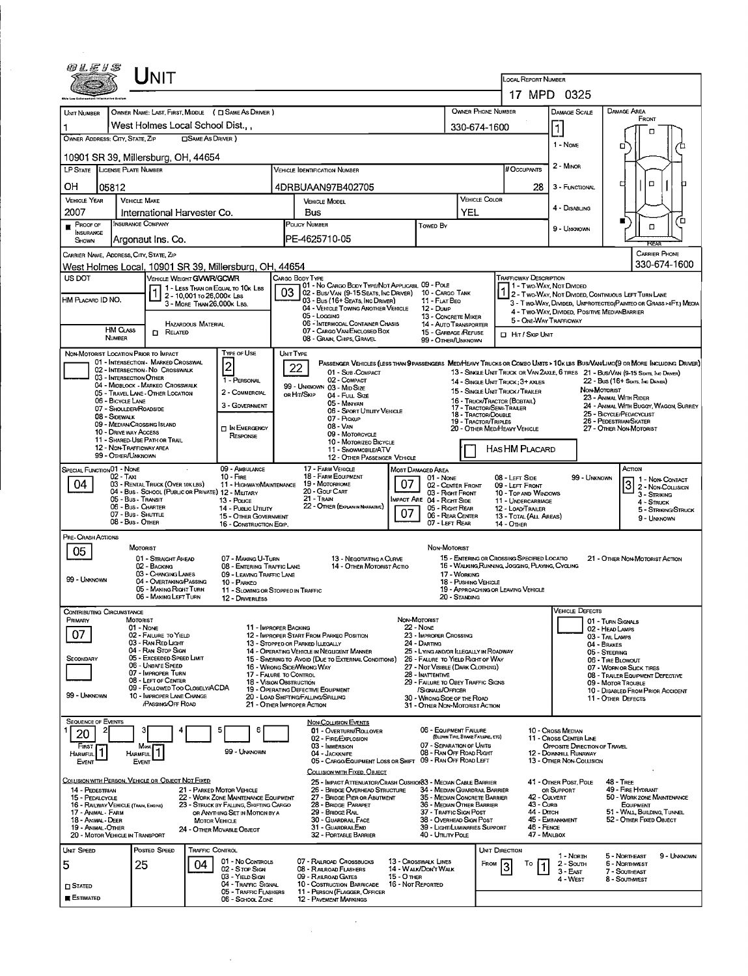|                                                         |                                                                                                 | $\sf J$ NIT                                                           |                                                         |                                                                                                                                                                                      |           |                                                                                                                                 |                                                                                                                               |                                                                            |                                                                                                |                                           | LOCAL REPORT NUMBER                                                                                                                          |                                                                                   |                                                   |                                                                                       |             |
|---------------------------------------------------------|-------------------------------------------------------------------------------------------------|-----------------------------------------------------------------------|---------------------------------------------------------|--------------------------------------------------------------------------------------------------------------------------------------------------------------------------------------|-----------|---------------------------------------------------------------------------------------------------------------------------------|-------------------------------------------------------------------------------------------------------------------------------|----------------------------------------------------------------------------|------------------------------------------------------------------------------------------------|-------------------------------------------|----------------------------------------------------------------------------------------------------------------------------------------------|-----------------------------------------------------------------------------------|---------------------------------------------------|---------------------------------------------------------------------------------------|-------------|
|                                                         |                                                                                                 |                                                                       |                                                         |                                                                                                                                                                                      |           |                                                                                                                                 |                                                                                                                               |                                                                            |                                                                                                |                                           |                                                                                                                                              | 17 MPD 0325                                                                       |                                                   |                                                                                       |             |
| UNIT NUMBER                                             |                                                                                                 | West Holmes Local School Dist                                         |                                                         | OWNER NAME: LAST, FIRST, MIDDLE ( C SAME AS DRIVER )                                                                                                                                 |           |                                                                                                                                 |                                                                                                                               |                                                                            |                                                                                                | <b>OWNER PHONE NUMBER</b><br>330-674-1600 |                                                                                                                                              | DAMAGE SCALE<br>1                                                                 | <b>DAMAGE AREA</b>                                | FRONT                                                                                 |             |
| OWNER ADDRESS: CITY, STATE, ZIP                         |                                                                                                 |                                                                       | <b>CISAME AS DRIVER</b> )                               |                                                                                                                                                                                      |           |                                                                                                                                 |                                                                                                                               |                                                                            |                                                                                                |                                           |                                                                                                                                              | $1 - None$                                                                        | ֩                                                 | □                                                                                     |             |
| 10901 SR 39, Millersburg, OH, 44654                     |                                                                                                 |                                                                       |                                                         |                                                                                                                                                                                      |           |                                                                                                                                 |                                                                                                                               |                                                                            |                                                                                                |                                           |                                                                                                                                              |                                                                                   |                                                   |                                                                                       |             |
| LP STATE LICENSE PLATE NUMBER                           |                                                                                                 |                                                                       |                                                         |                                                                                                                                                                                      |           | <b>VEHICLE IDENTIFICATION NUMBER</b>                                                                                            |                                                                                                                               |                                                                            |                                                                                                |                                           | # Occupants                                                                                                                                  | 2 - MINOR                                                                         |                                                   |                                                                                       |             |
| OН<br>05812                                             |                                                                                                 |                                                                       |                                                         |                                                                                                                                                                                      |           | 4DRBUAAN97B402705                                                                                                               |                                                                                                                               |                                                                            |                                                                                                |                                           | 28                                                                                                                                           | 3 - FUNCTIONAL                                                                    | О                                                 | $\Box$                                                                                | п           |
| <b>VEHICLE YEAR</b><br>2007                             | <b>VEHICLE MAKE</b>                                                                             | International Harvester Co.                                           |                                                         |                                                                                                                                                                                      |           | <b>VEHICLE MODEL</b><br>Bus                                                                                                     |                                                                                                                               |                                                                            | YEL                                                                                            | <b>VEHICLE COLOR</b>                      |                                                                                                                                              | 4 - DISABLING                                                                     |                                                   |                                                                                       |             |
| $P$ ROOF OF                                             | <b>INSURANCE COMPANY</b>                                                                        |                                                                       |                                                         |                                                                                                                                                                                      |           | POLICY NUMBER                                                                                                                   |                                                                                                                               | Towed By                                                                   |                                                                                                |                                           |                                                                                                                                              | 9 - UNKNOWN                                                                       | ■                                                 | $\Box$                                                                                | ם           |
| <b>INSURANCE</b><br>SHOWN                               |                                                                                                 | Argonaut Ins. Co.                                                     |                                                         |                                                                                                                                                                                      |           | PE-4625710-05                                                                                                                   |                                                                                                                               |                                                                            |                                                                                                |                                           |                                                                                                                                              |                                                                                   |                                                   | <b>REAR</b>                                                                           |             |
| CARRIER NAME, ADDRESS, CITY, STATE, ZIP                 |                                                                                                 |                                                                       |                                                         |                                                                                                                                                                                      |           |                                                                                                                                 |                                                                                                                               |                                                                            |                                                                                                |                                           |                                                                                                                                              |                                                                                   |                                                   | <b>CARRIER PHONE</b><br>330-674-1600                                                  |             |
| US DOT                                                  |                                                                                                 | VEHICLE WEIGHT GVWR/GCWR                                              |                                                         | West Holmes Local, 10901 SR 39, Millersburg, OH, 44654                                                                                                                               |           | CARGO BODY TYPE                                                                                                                 |                                                                                                                               |                                                                            |                                                                                                |                                           | <b>TRAFFICWAY DESCRIPTION</b>                                                                                                                |                                                                                   |                                                   |                                                                                       |             |
|                                                         |                                                                                                 |                                                                       |                                                         | $\begin{array}{ c c c c }\n\hline\n\text{1} & \text{1} & \text{Less}} \\ \hline\n\text{1} & \text{2} & \text{10} & \text{M} & \text{10} & \text{20} \\ \hline\n\end{array}$          | 03        | 01 - No CARGO BODY TYPE/NOT APPLICABL 09 - POLE<br>02 - Bus/VAN (9-15 SEATS, INC DRIVER) 10 - CARGO TANK                        |                                                                                                                               |                                                                            |                                                                                                |                                           | 1 2 - Two-Way, Not Divided, Continuous Left Turn Lane                                                                                        | 11 - Two-Way, Not Divided                                                         |                                                   |                                                                                       |             |
| HM PLACARD ID NO.                                       |                                                                                                 |                                                                       | 2 - 10,001 To 26,000K LBS<br>3 - MORE THAN 26,000K LBS. |                                                                                                                                                                                      |           | 03 - Bus (16+ SEATS, INC DRIVER)<br>04 - VEHICLE TOWING ANOTHER VEHICLE                                                         |                                                                                                                               | 11 - FLAT BEO<br>12 - Dump                                                 |                                                                                                |                                           |                                                                                                                                              | 3 - Two-Way, Divided. UNPROTECTEO (PAINTEO OR GRASS >4FT.) MEOIA                  |                                                   |                                                                                       |             |
|                                                         |                                                                                                 |                                                                       | <b>HAZARDOUS MATERIAL</b>                               |                                                                                                                                                                                      |           | 05 - Logging<br>06 - INTERMODAL CONTAINER CHASIS                                                                                |                                                                                                                               | 13 - CONCRETE MIXER<br><b>14 - AUTO TRANSPORTER</b>                        |                                                                                                |                                           | 5 - ONE-WAY TRAFFICWAY                                                                                                                       | 4 - TWO-WAY, DIVIDED, POSITIVE MEDIANBARRIER                                      |                                                   |                                                                                       |             |
|                                                         | <b>HM CLASS</b><br><b>NUMBER</b>                                                                | $\Box$ Related                                                        |                                                         |                                                                                                                                                                                      |           | 07 - CARGO VAN/ENCLOSED BOX<br>08 - GRAIN, CHIPS, GRAVEL                                                                        |                                                                                                                               | 15 - GARBAGE /REFUSE<br>99 - OTHER/UNKNOWN                                 |                                                                                                |                                           | <b>ID</b> HIT / SKIP UNIT                                                                                                                    |                                                                                   |                                                   |                                                                                       |             |
| NON-MOTORIST LOCATION PRIOR TO IMPACT                   |                                                                                                 |                                                                       |                                                         | <b>TYPE OF USE</b>                                                                                                                                                                   | UNIT TYPE |                                                                                                                                 |                                                                                                                               |                                                                            |                                                                                                |                                           |                                                                                                                                              |                                                                                   |                                                   |                                                                                       |             |
|                                                         |                                                                                                 | 01 - INTERSECTION - MARKED CROSSWAL<br>02 - Intersection No Crosswalk |                                                         | $\overline{\mathbf{c}}$                                                                                                                                                              |           | 22<br>01 - SUB-COMPACT                                                                                                          | PASSENGER VEHICLES (LESS THAN 9 PASSENGERS MEDIHEAVY TRUCKS OR COMBO UNITS > 10K LBS BUSIVAN LIMO(9 OR MORE INCLUDING DRIVER) |                                                                            |                                                                                                |                                           | 13 - SINGLE UNIT TRUCK OR VAN 2AXLE, 6 TIRES 21 - BUS/VAN (9-15 SEATS, INC DRIVER)                                                           |                                                                                   |                                                   |                                                                                       |             |
|                                                         | 03 - INTERSECTION OTHER                                                                         | 04 - MIDBLOCK - MARKEO CROSSWALK                                      |                                                         | 1 - PERSONAL                                                                                                                                                                         |           | 02 - COMPACT<br>99 - UNKNOWN 03 - MID SIZE                                                                                      |                                                                                                                               |                                                                            |                                                                                                |                                           | 14 - SINGLE UNIT TRUCK; 3+ AXLES                                                                                                             |                                                                                   |                                                   | 22 - Bus (16+ Seats, Inc Driver)                                                      |             |
|                                                         | 06 - BICYCLE LANE                                                                               | 05 - TRAVEL LANE - OTHER LOCATION                                     |                                                         | 2 - COMMERCIAL                                                                                                                                                                       |           | OR HIT/SKIP<br>04 - Full Size<br>05 - MINIVAN                                                                                   |                                                                                                                               |                                                                            |                                                                                                |                                           | 15 - SINGLE UNIT TRUCK / TRAILER<br>16 - TRUCK/TRACTOR (BOBTAIL)                                                                             |                                                                                   | NON-MOTORIST<br>23 - ANIMAL WITH RIDER            |                                                                                       |             |
|                                                         | 07 - Shoulder/Roadside<br>08 - Sidewalk                                                         |                                                                       |                                                         | 3 - GOVERNMENT                                                                                                                                                                       |           | 07 - PICKUP                                                                                                                     | 06 - SPORT UTILITY VEHICLE                                                                                                    |                                                                            |                                                                                                | 18 - TRACTOR/DOUBLE                       | 17 - TRACTOR/SEMI-TRAILER                                                                                                                    |                                                                                   | 25 - BICYCLE/PEDACYCLIST                          | 24 - ANIMAL WITH BUGGY, WAGON, SURREY                                                 |             |
|                                                         | 09 - MEDIAN/CROSSING ISLAND<br>10 - Drive way Access                                            |                                                                       |                                                         | <b>D</b> IN EMERGENCY                                                                                                                                                                |           | 08 - VAN                                                                                                                        |                                                                                                                               |                                                                            |                                                                                                | <b>19 - TRACTOR/TRIPLES</b>               | 20 - OTHER MED/HEAVY VEHICLE                                                                                                                 |                                                                                   | 26 - PEDESTRIAN/SKATER<br>27 - OTHER NON-MOTORIST |                                                                                       |             |
|                                                         | 12 - NON-TRAFFICWAY AREA                                                                        | 11 - SHARED-USE PATH OR TRAIL                                         |                                                         | RESPONSE                                                                                                                                                                             |           | 09 - MOTORCYCLE                                                                                                                 | 10 - MOTORIZEO BICYCLE                                                                                                        |                                                                            |                                                                                                |                                           |                                                                                                                                              |                                                                                   |                                                   |                                                                                       |             |
|                                                         | 99 - OTHER/UNKNOWN                                                                              |                                                                       |                                                         |                                                                                                                                                                                      |           | 11 - SNOWMOBILE/ATV                                                                                                             | 12 - OTHER PASSENGER VEHICLE                                                                                                  |                                                                            |                                                                                                |                                           | HAS HM PLACARD                                                                                                                               |                                                                                   |                                                   |                                                                                       |             |
| 04                                                      | 02 - TAXI<br>05 - Bus - Transit<br>06 - Bus - Charter<br>07 - Bus - SHUTTLE<br>08 - Bus - OTHER | 03 - RENTAL TRUCK (OVER 10KLBS)                                       |                                                         | $10 -$ Fire<br>11 - HIGHWAY/MAINTENANCE<br>04 - Bus - SCHOOL (PUBLIC OR PRIVATE) 12 - MILITARY<br>13 - Pouce<br>14 - Pueuc Umury<br>15 - OTHER GOVERNMENT<br>16 - CONSTRUCTION EQIP. |           | 18 - FARM EQUIPMENT<br>19 MOTORHOME<br>20 - Cour Cart<br>21 - Train<br>22 - OTHER (EXPLAININ NARRATIVE)                         | 07                                                                                                                            | 01 - None<br>Impact Are 04 - Right Side                                    | 02 - CENTER FRONT<br>03 - Right Front<br>05 - Right Rear<br>06 - REAR CENTER<br>07 - LEFT REAR |                                           | 08 - LEFT SIDE<br>09 - LEFT FRONT<br>10 - Top and Windows<br>11 - UNDERCARRIAGE<br>12 - LOAD/TRAILER<br>13 - TOTAL (ALL AREAS)<br>14 - Отнев | 99 - UNKNOWN                                                                      |                                                   | 3 1 - Non-Contact<br>3 - STRIKING<br>4 - Struck<br>5 - STRIKING/STRUCK<br>9 - UNKNOWN |             |
| PRE-CRASH ACTIONS<br>05                                 | <b>MOTORIST</b>                                                                                 |                                                                       |                                                         |                                                                                                                                                                                      |           |                                                                                                                                 |                                                                                                                               | NON-MOTORIST                                                               |                                                                                                |                                           |                                                                                                                                              |                                                                                   |                                                   |                                                                                       |             |
|                                                         |                                                                                                 | 01 - STRAIGHT AHEAD<br>02 - BACKING                                   |                                                         | 07 - MAKING U-TURN<br>08 - ENTERING TRAFFIC LANE                                                                                                                                     |           |                                                                                                                                 | 13 - Negotiating a Curve<br>14 - OTHER MOTORIST ACTIO                                                                         |                                                                            |                                                                                                |                                           | 15 - ENTERING OR CROSSING SPECIFIED LOCATIO<br>16 - WALKING, RUNNING, JOGGING, PLAYING, CYCLING                                              |                                                                                   |                                                   | 21 - OTHER NON-MOTORIST ACTION                                                        |             |
| 99 - Unknown                                            |                                                                                                 | 03 - CHANGING LANES<br>04 - OVERTAKING/PASSING                        |                                                         | 09 - LEAVING TRAFFIC LANE<br>10 - PARKEO                                                                                                                                             |           |                                                                                                                                 |                                                                                                                               |                                                                            | 17 - WORKING                                                                                   | 18 - PUSHING VEHICLE                      |                                                                                                                                              |                                                                                   |                                                   |                                                                                       |             |
|                                                         |                                                                                                 | 05 - MAKING RIGHT TURN<br>06 - MAKING LEFT TURN                       |                                                         | 11 - SLOWING OR STOPPED IN TRAFFIC<br>12 - DRIVERLESS                                                                                                                                |           |                                                                                                                                 |                                                                                                                               |                                                                            | 20 - STANDING                                                                                  |                                           | 19 - APPROACHING OR LEAVING VEHICLE                                                                                                          |                                                                                   |                                                   |                                                                                       |             |
| CONTRIBUTING CIRCUMSTANCE                               |                                                                                                 |                                                                       |                                                         |                                                                                                                                                                                      |           |                                                                                                                                 |                                                                                                                               |                                                                            |                                                                                                |                                           |                                                                                                                                              | VEHICLE DEFECTS                                                                   |                                                   |                                                                                       |             |
| PRIMARY                                                 | <b>MOTORIST</b><br>01 - None                                                                    |                                                                       |                                                         | 11 - IMPROPER BACKING                                                                                                                                                                |           |                                                                                                                                 |                                                                                                                               | NON-MOTORIST<br>22 - None                                                  |                                                                                                |                                           |                                                                                                                                              |                                                                                   | 01 - TURN SIGNALS<br>02 - HEAD LAMPS              |                                                                                       |             |
| 07                                                      |                                                                                                 | 02 - FAILURE TO YIELD<br>03 - RAN RED LIGHT                           |                                                         |                                                                                                                                                                                      |           | 12 - IMPROPER START FROM PARKED POSITION<br>13 - Stoppen or Parken ILLEGALLY                                                    |                                                                                                                               | 23 - IMPROPER CROSSING<br>24 - DARTING                                     |                                                                                                |                                           |                                                                                                                                              |                                                                                   | 03 - TAIL LAMPS<br>04 - BRAKES                    |                                                                                       |             |
| SECONDARY                                               |                                                                                                 | 04 - RAN STOP SIGN<br>05 - Exceeped Speed Limit                       |                                                         |                                                                                                                                                                                      |           | 14 - OPERATING VEHICLE IN NEGLIGENT MANNER<br>15 - SWERING TO AVOID (DUE TO EXTERNAL CONDITIONS)                                |                                                                                                                               | 25 - LYING AND/OR LLEGALLY IN ROADWAY<br>26 - FALURE TO YIELD RIGHT OF WAY |                                                                                                |                                           |                                                                                                                                              |                                                                                   | 05 - STEERING<br>06 - TIRE BLOWOUT                |                                                                                       |             |
|                                                         |                                                                                                 | 06 - UNSAFE SPEED<br>07 - IMPROPER TURN                               |                                                         | 17 - FALURE TO CONTROL                                                                                                                                                               |           | 16 - WRONG SIDE/WRONG WAY                                                                                                       |                                                                                                                               | 27 - NOT VISIBLE (DARK CLOTHING)<br>28 - INATTENTIVE                       |                                                                                                |                                           |                                                                                                                                              |                                                                                   | 07 - WORN OR SLICK TIRES                          | 08 - TRAILER EQUIPMENT DEFECTIVE                                                      |             |
|                                                         |                                                                                                 | 08 - LEFT OF CENTER<br>09 - FOLLOWED TOO CLOSELY/ACDA                 |                                                         | 18 - Vision Orstruction                                                                                                                                                              |           | 19 - OPERATING DEFECTIVE EQUIPMENT                                                                                              |                                                                                                                               | 29 - FAILURE TO OBEY TRAFFIC SIGNS<br>/SIGNALS/OFFICER                     |                                                                                                |                                           |                                                                                                                                              |                                                                                   | 09 - MOTOR TROUBLE                                | 10 - DISABLED FROM PRIOR ACCIDENT                                                     |             |
| 99 - UNKNOWN                                            |                                                                                                 | 10 - IMPROPER LANE CHANGE<br>/PASSING OFF ROAD                        |                                                         |                                                                                                                                                                                      |           | 20 - LOAD SHIFTING/FALLING/SPILLING<br>21 - OTHER IMPROPER ACTION                                                               |                                                                                                                               | 30 - WRONG SIDE OF THE ROAD<br>31 - OTHER NON-MOTORIST ACTION              |                                                                                                |                                           |                                                                                                                                              |                                                                                   | 11 - OTHER DEFECTS                                |                                                                                       |             |
| SEQUENCE OF EVENTS                                      |                                                                                                 |                                                                       |                                                         |                                                                                                                                                                                      |           | <b>NON-COLLISION EVENTS</b>                                                                                                     |                                                                                                                               |                                                                            |                                                                                                |                                           |                                                                                                                                              |                                                                                   |                                                   |                                                                                       |             |
| 20                                                      | 3                                                                                               |                                                                       |                                                         | 6<br>5                                                                                                                                                                               |           | 01 - OVERTURN/ROLLOVER<br>02 - FIRE/EXPLOSION                                                                                   |                                                                                                                               | 06 - EQUIPMENT FAILURE                                                     |                                                                                                | (BLOWN TIRE, BRAKE FALURE, ETC)           |                                                                                                                                              | 10 - Cross Median<br>11 - Cross CENTER LINE                                       |                                                   |                                                                                       |             |
| First<br>1<br><b>HARMFUL</b><br>Event                   | Most<br><b>HARMFUL</b><br><b>EVENT</b>                                                          |                                                                       |                                                         | 99 - UNKNOWN                                                                                                                                                                         |           | 03 - IMMERSION<br>04 - Jackknife<br>05 - CARGO/EQUIPMENT LOSS OR SHIFT 09 - RAN OFF ROAD LEFT                                   |                                                                                                                               | 07 - SEPARATION OF UNITS<br>08 - RAN OFF ROAD RIGHT                        |                                                                                                |                                           |                                                                                                                                              | OPPOSITE DIRECTION OF TRAVEL<br>12 - DOWNHILL RUNAWAY<br>13 - OTHER NON-COLLISION |                                                   |                                                                                       |             |
| COLLISION WITH PERSON, VEHICLE OR OBJECT NOT FIXED      |                                                                                                 |                                                                       |                                                         |                                                                                                                                                                                      |           | COLLISION WITH FIXED, OBJECT                                                                                                    |                                                                                                                               |                                                                            |                                                                                                |                                           |                                                                                                                                              |                                                                                   | <b>48 - TREE</b>                                  |                                                                                       |             |
| 14 - PEDESTRIAN                                         |                                                                                                 |                                                                       |                                                         | 21 - PARKED MOTOR VEHICLE<br>22 - WORK ZONE MAINTENANCE EQUIPMENT                                                                                                                    |           | 25 - IMPACT ATTENUATOR/CRASH CUSHION33 - MEDIAN CABLE BARRIER<br>26 - BRIDGE OVERHEAD STRUCTURE<br>27 - BRIDGE PIER OR ABUTMENT |                                                                                                                               | 34 - MEDIAN GUARDRAIL BARRIER<br>35 - MEDIAN CONCRETE BARRIER              |                                                                                                |                                           |                                                                                                                                              | 41 - OTHER POST, POLE<br>OR SUPPORT<br>42 - CULVERT                               |                                                   | 49 - FIRE HYDRANT<br>50 - WORK ZONE MAINTENANCE                                       |             |
| 15 - PEDALCYCLE<br>16 - RAILWAY VEHICLE (TRAIN, ENGINE) |                                                                                                 |                                                                       |                                                         | 23 - STRUCK BY FALLING, SHIFTING CARGO                                                                                                                                               |           | 28 - BRIDGE PARAPET<br>29 - BRIDGE RAIL                                                                                         |                                                                                                                               | 36 - MEDIAN OTHER BARRIER<br>37 - TRAFFIC SIGN POST                        |                                                                                                |                                           | 43 - CuRB<br>44 - Олсн                                                                                                                       |                                                                                   |                                                   | EQUIPMENT<br>51 - WALL, BUILDING, TUNNEL                                              |             |
| 17 - Animal - Farm<br>18 - Animal - Deer                |                                                                                                 |                                                                       | <b>MOTOR VEHICLE</b>                                    | OR ANYTHING SET IN MOTION BY A                                                                                                                                                       |           | 30 - GUARDRAIL FACE                                                                                                             |                                                                                                                               | 38 - Overhead Sign Post<br>39 - LIGHT/LUMINARIES SUPPORT                   |                                                                                                |                                           |                                                                                                                                              | 45 - EMBANKMENT                                                                   |                                                   | 52 - OTHER FIXED OBJECT                                                               |             |
| 19 - ANIMAL-OTHER<br>20 - MOTOR VEHICLE IN TRANSPORT    |                                                                                                 |                                                                       |                                                         | 24 - OTHER MOVABLE OBJECT                                                                                                                                                            |           | 31 - GUARDRALEND<br>32 - PORTABLE BARRIER                                                                                       |                                                                                                                               | 40 - Uπ⊔ry Poue                                                            |                                                                                                |                                           | 46 - FENCE<br>47 - MALBOX                                                                                                                    |                                                                                   |                                                   |                                                                                       |             |
| UNIT SPEED                                              |                                                                                                 | Posted Speed                                                          | <b>TRAFFIC CONTROL</b>                                  |                                                                                                                                                                                      |           |                                                                                                                                 |                                                                                                                               |                                                                            |                                                                                                |                                           | Unit Direction                                                                                                                               | 1 - North                                                                         | 5 - NORTHEAST                                     |                                                                                       | 9 - UNKNOWN |
| 5                                                       | 25                                                                                              |                                                                       | 04                                                      | 01 - No CONTROLS<br>02 - Stop Sign                                                                                                                                                   |           | 07 - RAILROAD CROSSBUCKS<br>08 - RAILROAD FLASHERS                                                                              |                                                                                                                               | 13 - Crosswalk Lines<br>14 - WALK/DON'T WALK                               |                                                                                                | FROM                                      | To<br>$\vert$ 1<br>3                                                                                                                         | 2 - South<br>3 - East                                                             | <b>6 - NORTHWEST</b><br>7 - SOUTHEAST             |                                                                                       |             |
| <b>D</b> STATED                                         |                                                                                                 |                                                                       |                                                         | 03 - YIELD SIGN<br>04 - TRAFFIC SIGNAL                                                                                                                                               |           | 09 - RAILROAD GATES<br>10 - Costruction Barricade                                                                               | 15 - O THER                                                                                                                   | 16 - Not Reported                                                          |                                                                                                |                                           |                                                                                                                                              | 4 - West                                                                          | 8 - Southwest                                     |                                                                                       |             |
| <b>E</b> ESTIMATED                                      |                                                                                                 |                                                                       |                                                         | 05 - TRAFFIC FLASHERS<br>06 - SCHOOL ZONE                                                                                                                                            |           | 11 - PERSON (FLAGGER, OFFICER<br><b>12 - PAVEMENT MARKINGS</b>                                                                  |                                                                                                                               |                                                                            |                                                                                                |                                           |                                                                                                                                              |                                                                                   |                                                   |                                                                                       |             |

 $\label{eq:2.1} \frac{1}{\sqrt{2}}\int_{\mathbb{R}^3}\frac{1}{\sqrt{2}}\left(\frac{1}{\sqrt{2}}\right)^2\frac{1}{\sqrt{2}}\left(\frac{1}{\sqrt{2}}\right)^2\frac{1}{\sqrt{2}}\left(\frac{1}{\sqrt{2}}\right)^2\frac{1}{\sqrt{2}}\left(\frac{1}{\sqrt{2}}\right)^2.$ 

 $\sim 10^{-1}$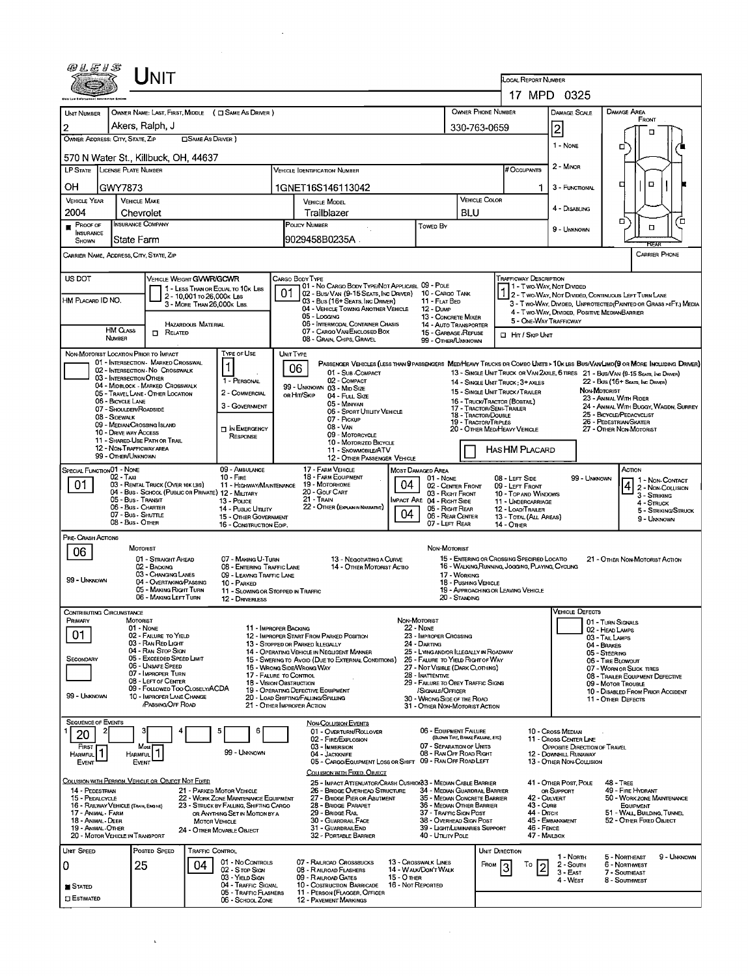|                                                                                                                                                                                                                                                                                                                                                                                                                                                                                                                                                                                                                                                                                                                                                                                                                                                                                                                                                                                                                                                                                                                                                                                                                                                                                                                                                                                                                                                                                                                                                                                                                                                                                                                                                                                                                                                                                                                                                                                                                                                                                                                                                                                                                                                                                                                                                                                                                                                                                                                                                                                                                                                                                                                                                                                                                                                                                                                                                                                                                                                                                                                                                                                                                                                                                                                                                                                                                                                                                                                                                                                                                                                                                                                                                                                                                                                                                                                                                                                                                                                                                                                                                                                                                                                                                                                                                                                                                                                                                                                                                                                                                                                                                                                                                                                                                                                                                                                                                                                                                                                                                                                                                                                                                                                                                                                                                                                                                                                                                                                                                                                                                                                                                                                                                                                                                                                                                                                                                                                                                                                                                                                                                                                                                                                                                                                                                                                                                                                                                                                                                                                                                                                                                                                                                                                                                                                                                                                                                                                                                                                                                                                                                                                                                                                                                                                                                                                                                                                                                                                                                                                                                                                                                                                                                                                                                                                                                                                                                                                                                                                                                                                                                                                                                                                                                                                                                                                                                                                                                   |                 |  |                     |                                                       |    |  |             |                | Front                       |
|-----------------------------------------------------------------------------------------------------------------------------------------------------------------------------------------------------------------------------------------------------------------------------------------------------------------------------------------------------------------------------------------------------------------------------------------------------------------------------------------------------------------------------------------------------------------------------------------------------------------------------------------------------------------------------------------------------------------------------------------------------------------------------------------------------------------------------------------------------------------------------------------------------------------------------------------------------------------------------------------------------------------------------------------------------------------------------------------------------------------------------------------------------------------------------------------------------------------------------------------------------------------------------------------------------------------------------------------------------------------------------------------------------------------------------------------------------------------------------------------------------------------------------------------------------------------------------------------------------------------------------------------------------------------------------------------------------------------------------------------------------------------------------------------------------------------------------------------------------------------------------------------------------------------------------------------------------------------------------------------------------------------------------------------------------------------------------------------------------------------------------------------------------------------------------------------------------------------------------------------------------------------------------------------------------------------------------------------------------------------------------------------------------------------------------------------------------------------------------------------------------------------------------------------------------------------------------------------------------------------------------------------------------------------------------------------------------------------------------------------------------------------------------------------------------------------------------------------------------------------------------------------------------------------------------------------------------------------------------------------------------------------------------------------------------------------------------------------------------------------------------------------------------------------------------------------------------------------------------------------------------------------------------------------------------------------------------------------------------------------------------------------------------------------------------------------------------------------------------------------------------------------------------------------------------------------------------------------------------------------------------------------------------------------------------------------------------------------------------------------------------------------------------------------------------------------------------------------------------------------------------------------------------------------------------------------------------------------------------------------------------------------------------------------------------------------------------------------------------------------------------------------------------------------------------------------------------------------------------------------------------------------------------------------------------------------------------------------------------------------------------------------------------------------------------------------------------------------------------------------------------------------------------------------------------------------------------------------------------------------------------------------------------------------------------------------------------------------------------------------------------------------------------------------------------------------------------------------------------------------------------------------------------------------------------------------------------------------------------------------------------------------------------------------------------------------------------------------------------------------------------------------------------------------------------------------------------------------------------------------------------------------------------------------------------------------------------------------------------------------------------------------------------------------------------------------------------------------------------------------------------------------------------------------------------------------------------------------------------------------------------------------------------------------------------------------------------------------------------------------------------------------------------------------------------------------------------------------------------------------------------------------------------------------------------------------------------------------------------------------------------------------------------------------------------------------------------------------------------------------------------------------------------------------------------------------------------------------------------------------------------------------------------------------------------------------------------------------------------------------------------------------------------------------------------------------------------------------------------------------------------------------------------------------------------------------------------------------------------------------------------------------------------------------------------------------------------------------------------------------------------------------------------------------------------------------------------------------------------------------------------------------------------------------------------------------------------------------------------------------------------------------------------------------------------------------------------------------------------------------------------------------------------------------------------------------------------------------------------------------------------------------------------------------------------------------------------------------------------------------------------------------------------------------------------------------------------------------------------------------------------------------------------------------------------------------------------------------------------------------------------------------------------------------------------------------------------------------------------------------------------------------------------------------------------------------------------------------------------------------------------------------------------------------------------------------------------------------------------------------------------------------------------------------------------------------------------------------------------------------------------------------------------------------------------------------------------------------------------------------------------------------------------------------------------------------------------------------------------------------------------------------------------------------------------------------------------------------------------------|-----------------|--|---------------------|-------------------------------------------------------|----|--|-------------|----------------|-----------------------------|
|                                                                                                                                                                                                                                                                                                                                                                                                                                                                                                                                                                                                                                                                                                                                                                                                                                                                                                                                                                                                                                                                                                                                                                                                                                                                                                                                                                                                                                                                                                                                                                                                                                                                                                                                                                                                                                                                                                                                                                                                                                                                                                                                                                                                                                                                                                                                                                                                                                                                                                                                                                                                                                                                                                                                                                                                                                                                                                                                                                                                                                                                                                                                                                                                                                                                                                                                                                                                                                                                                                                                                                                                                                                                                                                                                                                                                                                                                                                                                                                                                                                                                                                                                                                                                                                                                                                                                                                                                                                                                                                                                                                                                                                                                                                                                                                                                                                                                                                                                                                                                                                                                                                                                                                                                                                                                                                                                                                                                                                                                                                                                                                                                                                                                                                                                                                                                                                                                                                                                                                                                                                                                                                                                                                                                                                                                                                                                                                                                                                                                                                                                                                                                                                                                                                                                                                                                                                                                                                                                                                                                                                                                                                                                                                                                                                                                                                                                                                                                                                                                                                                                                                                                                                                                                                                                                                                                                                                                                                                                                                                                                                                                                                                                                                                                                                                                                                                                                                                                                                                                   |                 |  |                     |                                                       |    |  |             |                |                             |
|                                                                                                                                                                                                                                                                                                                                                                                                                                                                                                                                                                                                                                                                                                                                                                                                                                                                                                                                                                                                                                                                                                                                                                                                                                                                                                                                                                                                                                                                                                                                                                                                                                                                                                                                                                                                                                                                                                                                                                                                                                                                                                                                                                                                                                                                                                                                                                                                                                                                                                                                                                                                                                                                                                                                                                                                                                                                                                                                                                                                                                                                                                                                                                                                                                                                                                                                                                                                                                                                                                                                                                                                                                                                                                                                                                                                                                                                                                                                                                                                                                                                                                                                                                                                                                                                                                                                                                                                                                                                                                                                                                                                                                                                                                                                                                                                                                                                                                                                                                                                                                                                                                                                                                                                                                                                                                                                                                                                                                                                                                                                                                                                                                                                                                                                                                                                                                                                                                                                                                                                                                                                                                                                                                                                                                                                                                                                                                                                                                                                                                                                                                                                                                                                                                                                                                                                                                                                                                                                                                                                                                                                                                                                                                                                                                                                                                                                                                                                                                                                                                                                                                                                                                                                                                                                                                                                                                                                                                                                                                                                                                                                                                                                                                                                                                                                                                                                                                                                                                                                                   |                 |  |                     |                                                       |    |  |             |                |                             |
| <b>LP STATE</b>                                                                                                                                                                                                                                                                                                                                                                                                                                                                                                                                                                                                                                                                                                                                                                                                                                                                                                                                                                                                                                                                                                                                                                                                                                                                                                                                                                                                                                                                                                                                                                                                                                                                                                                                                                                                                                                                                                                                                                                                                                                                                                                                                                                                                                                                                                                                                                                                                                                                                                                                                                                                                                                                                                                                                                                                                                                                                                                                                                                                                                                                                                                                                                                                                                                                                                                                                                                                                                                                                                                                                                                                                                                                                                                                                                                                                                                                                                                                                                                                                                                                                                                                                                                                                                                                                                                                                                                                                                                                                                                                                                                                                                                                                                                                                                                                                                                                                                                                                                                                                                                                                                                                                                                                                                                                                                                                                                                                                                                                                                                                                                                                                                                                                                                                                                                                                                                                                                                                                                                                                                                                                                                                                                                                                                                                                                                                                                                                                                                                                                                                                                                                                                                                                                                                                                                                                                                                                                                                                                                                                                                                                                                                                                                                                                                                                                                                                                                                                                                                                                                                                                                                                                                                                                                                                                                                                                                                                                                                                                                                                                                                                                                                                                                                                                                                                                                                                                                                                                                                   |                 |  |                     |                                                       |    |  | # Occupants |                |                             |
| он                                                                                                                                                                                                                                                                                                                                                                                                                                                                                                                                                                                                                                                                                                                                                                                                                                                                                                                                                                                                                                                                                                                                                                                                                                                                                                                                                                                                                                                                                                                                                                                                                                                                                                                                                                                                                                                                                                                                                                                                                                                                                                                                                                                                                                                                                                                                                                                                                                                                                                                                                                                                                                                                                                                                                                                                                                                                                                                                                                                                                                                                                                                                                                                                                                                                                                                                                                                                                                                                                                                                                                                                                                                                                                                                                                                                                                                                                                                                                                                                                                                                                                                                                                                                                                                                                                                                                                                                                                                                                                                                                                                                                                                                                                                                                                                                                                                                                                                                                                                                                                                                                                                                                                                                                                                                                                                                                                                                                                                                                                                                                                                                                                                                                                                                                                                                                                                                                                                                                                                                                                                                                                                                                                                                                                                                                                                                                                                                                                                                                                                                                                                                                                                                                                                                                                                                                                                                                                                                                                                                                                                                                                                                                                                                                                                                                                                                                                                                                                                                                                                                                                                                                                                                                                                                                                                                                                                                                                                                                                                                                                                                                                                                                                                                                                                                                                                                                                                                                                                                                |                 |  |                     |                                                       |    |  |             | 3 - FUNCTIONAL | □<br>□                      |
|                                                                                                                                                                                                                                                                                                                                                                                                                                                                                                                                                                                                                                                                                                                                                                                                                                                                                                                                                                                                                                                                                                                                                                                                                                                                                                                                                                                                                                                                                                                                                                                                                                                                                                                                                                                                                                                                                                                                                                                                                                                                                                                                                                                                                                                                                                                                                                                                                                                                                                                                                                                                                                                                                                                                                                                                                                                                                                                                                                                                                                                                                                                                                                                                                                                                                                                                                                                                                                                                                                                                                                                                                                                                                                                                                                                                                                                                                                                                                                                                                                                                                                                                                                                                                                                                                                                                                                                                                                                                                                                                                                                                                                                                                                                                                                                                                                                                                                                                                                                                                                                                                                                                                                                                                                                                                                                                                                                                                                                                                                                                                                                                                                                                                                                                                                                                                                                                                                                                                                                                                                                                                                                                                                                                                                                                                                                                                                                                                                                                                                                                                                                                                                                                                                                                                                                                                                                                                                                                                                                                                                                                                                                                                                                                                                                                                                                                                                                                                                                                                                                                                                                                                                                                                                                                                                                                                                                                                                                                                                                                                                                                                                                                                                                                                                                                                                                                                                                                                                                                                   |                 |  |                     | <b>VEHICLE MODEL</b>                                  |    |  |             | 4 - DISABLING  |                             |
| PROOF OF                                                                                                                                                                                                                                                                                                                                                                                                                                                                                                                                                                                                                                                                                                                                                                                                                                                                                                                                                                                                                                                                                                                                                                                                                                                                                                                                                                                                                                                                                                                                                                                                                                                                                                                                                                                                                                                                                                                                                                                                                                                                                                                                                                                                                                                                                                                                                                                                                                                                                                                                                                                                                                                                                                                                                                                                                                                                                                                                                                                                                                                                                                                                                                                                                                                                                                                                                                                                                                                                                                                                                                                                                                                                                                                                                                                                                                                                                                                                                                                                                                                                                                                                                                                                                                                                                                                                                                                                                                                                                                                                                                                                                                                                                                                                                                                                                                                                                                                                                                                                                                                                                                                                                                                                                                                                                                                                                                                                                                                                                                                                                                                                                                                                                                                                                                                                                                                                                                                                                                                                                                                                                                                                                                                                                                                                                                                                                                                                                                                                                                                                                                                                                                                                                                                                                                                                                                                                                                                                                                                                                                                                                                                                                                                                                                                                                                                                                                                                                                                                                                                                                                                                                                                                                                                                                                                                                                                                                                                                                                                                                                                                                                                                                                                                                                                                                                                                                                                                                                                                          |                 |  |                     |                                                       |    |  |             |                | ο<br>ם                      |
| SHOWN                                                                                                                                                                                                                                                                                                                                                                                                                                                                                                                                                                                                                                                                                                                                                                                                                                                                                                                                                                                                                                                                                                                                                                                                                                                                                                                                                                                                                                                                                                                                                                                                                                                                                                                                                                                                                                                                                                                                                                                                                                                                                                                                                                                                                                                                                                                                                                                                                                                                                                                                                                                                                                                                                                                                                                                                                                                                                                                                                                                                                                                                                                                                                                                                                                                                                                                                                                                                                                                                                                                                                                                                                                                                                                                                                                                                                                                                                                                                                                                                                                                                                                                                                                                                                                                                                                                                                                                                                                                                                                                                                                                                                                                                                                                                                                                                                                                                                                                                                                                                                                                                                                                                                                                                                                                                                                                                                                                                                                                                                                                                                                                                                                                                                                                                                                                                                                                                                                                                                                                                                                                                                                                                                                                                                                                                                                                                                                                                                                                                                                                                                                                                                                                                                                                                                                                                                                                                                                                                                                                                                                                                                                                                                                                                                                                                                                                                                                                                                                                                                                                                                                                                                                                                                                                                                                                                                                                                                                                                                                                                                                                                                                                                                                                                                                                                                                                                                                                                                                                                             |                 |  |                     |                                                       |    |  |             |                | ETAR                        |
|                                                                                                                                                                                                                                                                                                                                                                                                                                                                                                                                                                                                                                                                                                                                                                                                                                                                                                                                                                                                                                                                                                                                                                                                                                                                                                                                                                                                                                                                                                                                                                                                                                                                                                                                                                                                                                                                                                                                                                                                                                                                                                                                                                                                                                                                                                                                                                                                                                                                                                                                                                                                                                                                                                                                                                                                                                                                                                                                                                                                                                                                                                                                                                                                                                                                                                                                                                                                                                                                                                                                                                                                                                                                                                                                                                                                                                                                                                                                                                                                                                                                                                                                                                                                                                                                                                                                                                                                                                                                                                                                                                                                                                                                                                                                                                                                                                                                                                                                                                                                                                                                                                                                                                                                                                                                                                                                                                                                                                                                                                                                                                                                                                                                                                                                                                                                                                                                                                                                                                                                                                                                                                                                                                                                                                                                                                                                                                                                                                                                                                                                                                                                                                                                                                                                                                                                                                                                                                                                                                                                                                                                                                                                                                                                                                                                                                                                                                                                                                                                                                                                                                                                                                                                                                                                                                                                                                                                                                                                                                                                                                                                                                                                                                                                                                                                                                                                                                                                                                                                                   |                 |  |                     |                                                       |    |  |             |                | <b>CARRIER PHONE</b>        |
| US DOT                                                                                                                                                                                                                                                                                                                                                                                                                                                                                                                                                                                                                                                                                                                                                                                                                                                                                                                                                                                                                                                                                                                                                                                                                                                                                                                                                                                                                                                                                                                                                                                                                                                                                                                                                                                                                                                                                                                                                                                                                                                                                                                                                                                                                                                                                                                                                                                                                                                                                                                                                                                                                                                                                                                                                                                                                                                                                                                                                                                                                                                                                                                                                                                                                                                                                                                                                                                                                                                                                                                                                                                                                                                                                                                                                                                                                                                                                                                                                                                                                                                                                                                                                                                                                                                                                                                                                                                                                                                                                                                                                                                                                                                                                                                                                                                                                                                                                                                                                                                                                                                                                                                                                                                                                                                                                                                                                                                                                                                                                                                                                                                                                                                                                                                                                                                                                                                                                                                                                                                                                                                                                                                                                                                                                                                                                                                                                                                                                                                                                                                                                                                                                                                                                                                                                                                                                                                                                                                                                                                                                                                                                                                                                                                                                                                                                                                                                                                                                                                                                                                                                                                                                                                                                                                                                                                                                                                                                                                                                                                                                                                                                                                                                                                                                                                                                                                                                                                                                                                                            |                 |  |                     |                                                       |    |  |             |                |                             |
|                                                                                                                                                                                                                                                                                                                                                                                                                                                                                                                                                                                                                                                                                                                                                                                                                                                                                                                                                                                                                                                                                                                                                                                                                                                                                                                                                                                                                                                                                                                                                                                                                                                                                                                                                                                                                                                                                                                                                                                                                                                                                                                                                                                                                                                                                                                                                                                                                                                                                                                                                                                                                                                                                                                                                                                                                                                                                                                                                                                                                                                                                                                                                                                                                                                                                                                                                                                                                                                                                                                                                                                                                                                                                                                                                                                                                                                                                                                                                                                                                                                                                                                                                                                                                                                                                                                                                                                                                                                                                                                                                                                                                                                                                                                                                                                                                                                                                                                                                                                                                                                                                                                                                                                                                                                                                                                                                                                                                                                                                                                                                                                                                                                                                                                                                                                                                                                                                                                                                                                                                                                                                                                                                                                                                                                                                                                                                                                                                                                                                                                                                                                                                                                                                                                                                                                                                                                                                                                                                                                                                                                                                                                                                                                                                                                                                                                                                                                                                                                                                                                                                                                                                                                                                                                                                                                                                                                                                                                                                                                                                                                                                                                                                                                                                                                                                                                                                                                                                                                                                   |                 |  |                     |                                                       |    |  |             |                |                             |
|                                                                                                                                                                                                                                                                                                                                                                                                                                                                                                                                                                                                                                                                                                                                                                                                                                                                                                                                                                                                                                                                                                                                                                                                                                                                                                                                                                                                                                                                                                                                                                                                                                                                                                                                                                                                                                                                                                                                                                                                                                                                                                                                                                                                                                                                                                                                                                                                                                                                                                                                                                                                                                                                                                                                                                                                                                                                                                                                                                                                                                                                                                                                                                                                                                                                                                                                                                                                                                                                                                                                                                                                                                                                                                                                                                                                                                                                                                                                                                                                                                                                                                                                                                                                                                                                                                                                                                                                                                                                                                                                                                                                                                                                                                                                                                                                                                                                                                                                                                                                                                                                                                                                                                                                                                                                                                                                                                                                                                                                                                                                                                                                                                                                                                                                                                                                                                                                                                                                                                                                                                                                                                                                                                                                                                                                                                                                                                                                                                                                                                                                                                                                                                                                                                                                                                                                                                                                                                                                                                                                                                                                                                                                                                                                                                                                                                                                                                                                                                                                                                                                                                                                                                                                                                                                                                                                                                                                                                                                                                                                                                                                                                                                                                                                                                                                                                                                                                                                                                                                                   |                 |  |                     | 05 - Locging                                          |    |  |             |                |                             |
|                                                                                                                                                                                                                                                                                                                                                                                                                                                                                                                                                                                                                                                                                                                                                                                                                                                                                                                                                                                                                                                                                                                                                                                                                                                                                                                                                                                                                                                                                                                                                                                                                                                                                                                                                                                                                                                                                                                                                                                                                                                                                                                                                                                                                                                                                                                                                                                                                                                                                                                                                                                                                                                                                                                                                                                                                                                                                                                                                                                                                                                                                                                                                                                                                                                                                                                                                                                                                                                                                                                                                                                                                                                                                                                                                                                                                                                                                                                                                                                                                                                                                                                                                                                                                                                                                                                                                                                                                                                                                                                                                                                                                                                                                                                                                                                                                                                                                                                                                                                                                                                                                                                                                                                                                                                                                                                                                                                                                                                                                                                                                                                                                                                                                                                                                                                                                                                                                                                                                                                                                                                                                                                                                                                                                                                                                                                                                                                                                                                                                                                                                                                                                                                                                                                                                                                                                                                                                                                                                                                                                                                                                                                                                                                                                                                                                                                                                                                                                                                                                                                                                                                                                                                                                                                                                                                                                                                                                                                                                                                                                                                                                                                                                                                                                                                                                                                                                                                                                                                                                   | <b>HM CLASS</b> |  |                     |                                                       |    |  |             |                |                             |
|                                                                                                                                                                                                                                                                                                                                                                                                                                                                                                                                                                                                                                                                                                                                                                                                                                                                                                                                                                                                                                                                                                                                                                                                                                                                                                                                                                                                                                                                                                                                                                                                                                                                                                                                                                                                                                                                                                                                                                                                                                                                                                                                                                                                                                                                                                                                                                                                                                                                                                                                                                                                                                                                                                                                                                                                                                                                                                                                                                                                                                                                                                                                                                                                                                                                                                                                                                                                                                                                                                                                                                                                                                                                                                                                                                                                                                                                                                                                                                                                                                                                                                                                                                                                                                                                                                                                                                                                                                                                                                                                                                                                                                                                                                                                                                                                                                                                                                                                                                                                                                                                                                                                                                                                                                                                                                                                                                                                                                                                                                                                                                                                                                                                                                                                                                                                                                                                                                                                                                                                                                                                                                                                                                                                                                                                                                                                                                                                                                                                                                                                                                                                                                                                                                                                                                                                                                                                                                                                                                                                                                                                                                                                                                                                                                                                                                                                                                                                                                                                                                                                                                                                                                                                                                                                                                                                                                                                                                                                                                                                                                                                                                                                                                                                                                                                                                                                                                                                                                                                                   |                 |  |                     |                                                       |    |  |             |                |                             |
|                                                                                                                                                                                                                                                                                                                                                                                                                                                                                                                                                                                                                                                                                                                                                                                                                                                                                                                                                                                                                                                                                                                                                                                                                                                                                                                                                                                                                                                                                                                                                                                                                                                                                                                                                                                                                                                                                                                                                                                                                                                                                                                                                                                                                                                                                                                                                                                                                                                                                                                                                                                                                                                                                                                                                                                                                                                                                                                                                                                                                                                                                                                                                                                                                                                                                                                                                                                                                                                                                                                                                                                                                                                                                                                                                                                                                                                                                                                                                                                                                                                                                                                                                                                                                                                                                                                                                                                                                                                                                                                                                                                                                                                                                                                                                                                                                                                                                                                                                                                                                                                                                                                                                                                                                                                                                                                                                                                                                                                                                                                                                                                                                                                                                                                                                                                                                                                                                                                                                                                                                                                                                                                                                                                                                                                                                                                                                                                                                                                                                                                                                                                                                                                                                                                                                                                                                                                                                                                                                                                                                                                                                                                                                                                                                                                                                                                                                                                                                                                                                                                                                                                                                                                                                                                                                                                                                                                                                                                                                                                                                                                                                                                                                                                                                                                                                                                                                                                                                                                                                   |                 |  |                     |                                                       |    |  |             |                |                             |
|                                                                                                                                                                                                                                                                                                                                                                                                                                                                                                                                                                                                                                                                                                                                                                                                                                                                                                                                                                                                                                                                                                                                                                                                                                                                                                                                                                                                                                                                                                                                                                                                                                                                                                                                                                                                                                                                                                                                                                                                                                                                                                                                                                                                                                                                                                                                                                                                                                                                                                                                                                                                                                                                                                                                                                                                                                                                                                                                                                                                                                                                                                                                                                                                                                                                                                                                                                                                                                                                                                                                                                                                                                                                                                                                                                                                                                                                                                                                                                                                                                                                                                                                                                                                                                                                                                                                                                                                                                                                                                                                                                                                                                                                                                                                                                                                                                                                                                                                                                                                                                                                                                                                                                                                                                                                                                                                                                                                                                                                                                                                                                                                                                                                                                                                                                                                                                                                                                                                                                                                                                                                                                                                                                                                                                                                                                                                                                                                                                                                                                                                                                                                                                                                                                                                                                                                                                                                                                                                                                                                                                                                                                                                                                                                                                                                                                                                                                                                                                                                                                                                                                                                                                                                                                                                                                                                                                                                                                                                                                                                                                                                                                                                                                                                                                                                                                                                                                                                                                                                                   |                 |  | 1 - PERSONAL        | 02 - COMPACT                                          |    |  |             |                |                             |
|                                                                                                                                                                                                                                                                                                                                                                                                                                                                                                                                                                                                                                                                                                                                                                                                                                                                                                                                                                                                                                                                                                                                                                                                                                                                                                                                                                                                                                                                                                                                                                                                                                                                                                                                                                                                                                                                                                                                                                                                                                                                                                                                                                                                                                                                                                                                                                                                                                                                                                                                                                                                                                                                                                                                                                                                                                                                                                                                                                                                                                                                                                                                                                                                                                                                                                                                                                                                                                                                                                                                                                                                                                                                                                                                                                                                                                                                                                                                                                                                                                                                                                                                                                                                                                                                                                                                                                                                                                                                                                                                                                                                                                                                                                                                                                                                                                                                                                                                                                                                                                                                                                                                                                                                                                                                                                                                                                                                                                                                                                                                                                                                                                                                                                                                                                                                                                                                                                                                                                                                                                                                                                                                                                                                                                                                                                                                                                                                                                                                                                                                                                                                                                                                                                                                                                                                                                                                                                                                                                                                                                                                                                                                                                                                                                                                                                                                                                                                                                                                                                                                                                                                                                                                                                                                                                                                                                                                                                                                                                                                                                                                                                                                                                                                                                                                                                                                                                                                                                                                                   |                 |  | 2 - COMMERCIAL      | 04 - Full Size                                        |    |  |             |                |                             |
|                                                                                                                                                                                                                                                                                                                                                                                                                                                                                                                                                                                                                                                                                                                                                                                                                                                                                                                                                                                                                                                                                                                                                                                                                                                                                                                                                                                                                                                                                                                                                                                                                                                                                                                                                                                                                                                                                                                                                                                                                                                                                                                                                                                                                                                                                                                                                                                                                                                                                                                                                                                                                                                                                                                                                                                                                                                                                                                                                                                                                                                                                                                                                                                                                                                                                                                                                                                                                                                                                                                                                                                                                                                                                                                                                                                                                                                                                                                                                                                                                                                                                                                                                                                                                                                                                                                                                                                                                                                                                                                                                                                                                                                                                                                                                                                                                                                                                                                                                                                                                                                                                                                                                                                                                                                                                                                                                                                                                                                                                                                                                                                                                                                                                                                                                                                                                                                                                                                                                                                                                                                                                                                                                                                                                                                                                                                                                                                                                                                                                                                                                                                                                                                                                                                                                                                                                                                                                                                                                                                                                                                                                                                                                                                                                                                                                                                                                                                                                                                                                                                                                                                                                                                                                                                                                                                                                                                                                                                                                                                                                                                                                                                                                                                                                                                                                                                                                                                                                                                                                   |                 |  |                     |                                                       |    |  |             |                |                             |
|                                                                                                                                                                                                                                                                                                                                                                                                                                                                                                                                                                                                                                                                                                                                                                                                                                                                                                                                                                                                                                                                                                                                                                                                                                                                                                                                                                                                                                                                                                                                                                                                                                                                                                                                                                                                                                                                                                                                                                                                                                                                                                                                                                                                                                                                                                                                                                                                                                                                                                                                                                                                                                                                                                                                                                                                                                                                                                                                                                                                                                                                                                                                                                                                                                                                                                                                                                                                                                                                                                                                                                                                                                                                                                                                                                                                                                                                                                                                                                                                                                                                                                                                                                                                                                                                                                                                                                                                                                                                                                                                                                                                                                                                                                                                                                                                                                                                                                                                                                                                                                                                                                                                                                                                                                                                                                                                                                                                                                                                                                                                                                                                                                                                                                                                                                                                                                                                                                                                                                                                                                                                                                                                                                                                                                                                                                                                                                                                                                                                                                                                                                                                                                                                                                                                                                                                                                                                                                                                                                                                                                                                                                                                                                                                                                                                                                                                                                                                                                                                                                                                                                                                                                                                                                                                                                                                                                                                                                                                                                                                                                                                                                                                                                                                                                                                                                                                                                                                                                                                                   |                 |  | <b>IN EMERGENCY</b> | 08 - VAN<br>09 - MOTORCYCLE                           |    |  |             |                |                             |
|                                                                                                                                                                                                                                                                                                                                                                                                                                                                                                                                                                                                                                                                                                                                                                                                                                                                                                                                                                                                                                                                                                                                                                                                                                                                                                                                                                                                                                                                                                                                                                                                                                                                                                                                                                                                                                                                                                                                                                                                                                                                                                                                                                                                                                                                                                                                                                                                                                                                                                                                                                                                                                                                                                                                                                                                                                                                                                                                                                                                                                                                                                                                                                                                                                                                                                                                                                                                                                                                                                                                                                                                                                                                                                                                                                                                                                                                                                                                                                                                                                                                                                                                                                                                                                                                                                                                                                                                                                                                                                                                                                                                                                                                                                                                                                                                                                                                                                                                                                                                                                                                                                                                                                                                                                                                                                                                                                                                                                                                                                                                                                                                                                                                                                                                                                                                                                                                                                                                                                                                                                                                                                                                                                                                                                                                                                                                                                                                                                                                                                                                                                                                                                                                                                                                                                                                                                                                                                                                                                                                                                                                                                                                                                                                                                                                                                                                                                                                                                                                                                                                                                                                                                                                                                                                                                                                                                                                                                                                                                                                                                                                                                                                                                                                                                                                                                                                                                                                                                                                                   |                 |  |                     |                                                       |    |  |             |                |                             |
|                                                                                                                                                                                                                                                                                                                                                                                                                                                                                                                                                                                                                                                                                                                                                                                                                                                                                                                                                                                                                                                                                                                                                                                                                                                                                                                                                                                                                                                                                                                                                                                                                                                                                                                                                                                                                                                                                                                                                                                                                                                                                                                                                                                                                                                                                                                                                                                                                                                                                                                                                                                                                                                                                                                                                                                                                                                                                                                                                                                                                                                                                                                                                                                                                                                                                                                                                                                                                                                                                                                                                                                                                                                                                                                                                                                                                                                                                                                                                                                                                                                                                                                                                                                                                                                                                                                                                                                                                                                                                                                                                                                                                                                                                                                                                                                                                                                                                                                                                                                                                                                                                                                                                                                                                                                                                                                                                                                                                                                                                                                                                                                                                                                                                                                                                                                                                                                                                                                                                                                                                                                                                                                                                                                                                                                                                                                                                                                                                                                                                                                                                                                                                                                                                                                                                                                                                                                                                                                                                                                                                                                                                                                                                                                                                                                                                                                                                                                                                                                                                                                                                                                                                                                                                                                                                                                                                                                                                                                                                                                                                                                                                                                                                                                                                                                                                                                                                                                                                                                                                   |                 |  | 09 - AMBULANCE      | 17 - FARM VEHICLE                                     |    |  |             |                | ACTION                      |
| 01                                                                                                                                                                                                                                                                                                                                                                                                                                                                                                                                                                                                                                                                                                                                                                                                                                                                                                                                                                                                                                                                                                                                                                                                                                                                                                                                                                                                                                                                                                                                                                                                                                                                                                                                                                                                                                                                                                                                                                                                                                                                                                                                                                                                                                                                                                                                                                                                                                                                                                                                                                                                                                                                                                                                                                                                                                                                                                                                                                                                                                                                                                                                                                                                                                                                                                                                                                                                                                                                                                                                                                                                                                                                                                                                                                                                                                                                                                                                                                                                                                                                                                                                                                                                                                                                                                                                                                                                                                                                                                                                                                                                                                                                                                                                                                                                                                                                                                                                                                                                                                                                                                                                                                                                                                                                                                                                                                                                                                                                                                                                                                                                                                                                                                                                                                                                                                                                                                                                                                                                                                                                                                                                                                                                                                                                                                                                                                                                                                                                                                                                                                                                                                                                                                                                                                                                                                                                                                                                                                                                                                                                                                                                                                                                                                                                                                                                                                                                                                                                                                                                                                                                                                                                                                                                                                                                                                                                                                                                                                                                                                                                                                                                                                                                                                                                                                                                                                                                                                                                                |                 |  |                     | 19 - MOTORHOME<br>20 - GOLF CART                      | 04 |  |             |                | $4 2 - \text{Non-Coullson}$ |
|                                                                                                                                                                                                                                                                                                                                                                                                                                                                                                                                                                                                                                                                                                                                                                                                                                                                                                                                                                                                                                                                                                                                                                                                                                                                                                                                                                                                                                                                                                                                                                                                                                                                                                                                                                                                                                                                                                                                                                                                                                                                                                                                                                                                                                                                                                                                                                                                                                                                                                                                                                                                                                                                                                                                                                                                                                                                                                                                                                                                                                                                                                                                                                                                                                                                                                                                                                                                                                                                                                                                                                                                                                                                                                                                                                                                                                                                                                                                                                                                                                                                                                                                                                                                                                                                                                                                                                                                                                                                                                                                                                                                                                                                                                                                                                                                                                                                                                                                                                                                                                                                                                                                                                                                                                                                                                                                                                                                                                                                                                                                                                                                                                                                                                                                                                                                                                                                                                                                                                                                                                                                                                                                                                                                                                                                                                                                                                                                                                                                                                                                                                                                                                                                                                                                                                                                                                                                                                                                                                                                                                                                                                                                                                                                                                                                                                                                                                                                                                                                                                                                                                                                                                                                                                                                                                                                                                                                                                                                                                                                                                                                                                                                                                                                                                                                                                                                                                                                                                                                                   |                 |  | 13 - Pouce          | 21 - TRAIN<br>22 - OTHER (EXPLAN IN NAFRATIVE)        |    |  |             |                | $4 -$ Struck                |
|                                                                                                                                                                                                                                                                                                                                                                                                                                                                                                                                                                                                                                                                                                                                                                                                                                                                                                                                                                                                                                                                                                                                                                                                                                                                                                                                                                                                                                                                                                                                                                                                                                                                                                                                                                                                                                                                                                                                                                                                                                                                                                                                                                                                                                                                                                                                                                                                                                                                                                                                                                                                                                                                                                                                                                                                                                                                                                                                                                                                                                                                                                                                                                                                                                                                                                                                                                                                                                                                                                                                                                                                                                                                                                                                                                                                                                                                                                                                                                                                                                                                                                                                                                                                                                                                                                                                                                                                                                                                                                                                                                                                                                                                                                                                                                                                                                                                                                                                                                                                                                                                                                                                                                                                                                                                                                                                                                                                                                                                                                                                                                                                                                                                                                                                                                                                                                                                                                                                                                                                                                                                                                                                                                                                                                                                                                                                                                                                                                                                                                                                                                                                                                                                                                                                                                                                                                                                                                                                                                                                                                                                                                                                                                                                                                                                                                                                                                                                                                                                                                                                                                                                                                                                                                                                                                                                                                                                                                                                                                                                                                                                                                                                                                                                                                                                                                                                                                                                                                                                                   |                 |  |                     |                                                       |    |  |             |                | 9 - Unknown                 |
|                                                                                                                                                                                                                                                                                                                                                                                                                                                                                                                                                                                                                                                                                                                                                                                                                                                                                                                                                                                                                                                                                                                                                                                                                                                                                                                                                                                                                                                                                                                                                                                                                                                                                                                                                                                                                                                                                                                                                                                                                                                                                                                                                                                                                                                                                                                                                                                                                                                                                                                                                                                                                                                                                                                                                                                                                                                                                                                                                                                                                                                                                                                                                                                                                                                                                                                                                                                                                                                                                                                                                                                                                                                                                                                                                                                                                                                                                                                                                                                                                                                                                                                                                                                                                                                                                                                                                                                                                                                                                                                                                                                                                                                                                                                                                                                                                                                                                                                                                                                                                                                                                                                                                                                                                                                                                                                                                                                                                                                                                                                                                                                                                                                                                                                                                                                                                                                                                                                                                                                                                                                                                                                                                                                                                                                                                                                                                                                                                                                                                                                                                                                                                                                                                                                                                                                                                                                                                                                                                                                                                                                                                                                                                                                                                                                                                                                                                                                                                                                                                                                                                                                                                                                                                                                                                                                                                                                                                                                                                                                                                                                                                                                                                                                                                                                                                                                                                                                                                                                                                   |                 |  |                     |                                                       |    |  |             |                |                             |
| 06                                                                                                                                                                                                                                                                                                                                                                                                                                                                                                                                                                                                                                                                                                                                                                                                                                                                                                                                                                                                                                                                                                                                                                                                                                                                                                                                                                                                                                                                                                                                                                                                                                                                                                                                                                                                                                                                                                                                                                                                                                                                                                                                                                                                                                                                                                                                                                                                                                                                                                                                                                                                                                                                                                                                                                                                                                                                                                                                                                                                                                                                                                                                                                                                                                                                                                                                                                                                                                                                                                                                                                                                                                                                                                                                                                                                                                                                                                                                                                                                                                                                                                                                                                                                                                                                                                                                                                                                                                                                                                                                                                                                                                                                                                                                                                                                                                                                                                                                                                                                                                                                                                                                                                                                                                                                                                                                                                                                                                                                                                                                                                                                                                                                                                                                                                                                                                                                                                                                                                                                                                                                                                                                                                                                                                                                                                                                                                                                                                                                                                                                                                                                                                                                                                                                                                                                                                                                                                                                                                                                                                                                                                                                                                                                                                                                                                                                                                                                                                                                                                                                                                                                                                                                                                                                                                                                                                                                                                                                                                                                                                                                                                                                                                                                                                                                                                                                                                                                                                                                                |                 |  |                     |                                                       |    |  |             |                |                             |
|                                                                                                                                                                                                                                                                                                                                                                                                                                                                                                                                                                                                                                                                                                                                                                                                                                                                                                                                                                                                                                                                                                                                                                                                                                                                                                                                                                                                                                                                                                                                                                                                                                                                                                                                                                                                                                                                                                                                                                                                                                                                                                                                                                                                                                                                                                                                                                                                                                                                                                                                                                                                                                                                                                                                                                                                                                                                                                                                                                                                                                                                                                                                                                                                                                                                                                                                                                                                                                                                                                                                                                                                                                                                                                                                                                                                                                                                                                                                                                                                                                                                                                                                                                                                                                                                                                                                                                                                                                                                                                                                                                                                                                                                                                                                                                                                                                                                                                                                                                                                                                                                                                                                                                                                                                                                                                                                                                                                                                                                                                                                                                                                                                                                                                                                                                                                                                                                                                                                                                                                                                                                                                                                                                                                                                                                                                                                                                                                                                                                                                                                                                                                                                                                                                                                                                                                                                                                                                                                                                                                                                                                                                                                                                                                                                                                                                                                                                                                                                                                                                                                                                                                                                                                                                                                                                                                                                                                                                                                                                                                                                                                                                                                                                                                                                                                                                                                                                                                                                                                                   |                 |  |                     |                                                       |    |  |             |                |                             |
|                                                                                                                                                                                                                                                                                                                                                                                                                                                                                                                                                                                                                                                                                                                                                                                                                                                                                                                                                                                                                                                                                                                                                                                                                                                                                                                                                                                                                                                                                                                                                                                                                                                                                                                                                                                                                                                                                                                                                                                                                                                                                                                                                                                                                                                                                                                                                                                                                                                                                                                                                                                                                                                                                                                                                                                                                                                                                                                                                                                                                                                                                                                                                                                                                                                                                                                                                                                                                                                                                                                                                                                                                                                                                                                                                                                                                                                                                                                                                                                                                                                                                                                                                                                                                                                                                                                                                                                                                                                                                                                                                                                                                                                                                                                                                                                                                                                                                                                                                                                                                                                                                                                                                                                                                                                                                                                                                                                                                                                                                                                                                                                                                                                                                                                                                                                                                                                                                                                                                                                                                                                                                                                                                                                                                                                                                                                                                                                                                                                                                                                                                                                                                                                                                                                                                                                                                                                                                                                                                                                                                                                                                                                                                                                                                                                                                                                                                                                                                                                                                                                                                                                                                                                                                                                                                                                                                                                                                                                                                                                                                                                                                                                                                                                                                                                                                                                                                                                                                                                                                   |                 |  |                     |                                                       |    |  |             |                |                             |
|                                                                                                                                                                                                                                                                                                                                                                                                                                                                                                                                                                                                                                                                                                                                                                                                                                                                                                                                                                                                                                                                                                                                                                                                                                                                                                                                                                                                                                                                                                                                                                                                                                                                                                                                                                                                                                                                                                                                                                                                                                                                                                                                                                                                                                                                                                                                                                                                                                                                                                                                                                                                                                                                                                                                                                                                                                                                                                                                                                                                                                                                                                                                                                                                                                                                                                                                                                                                                                                                                                                                                                                                                                                                                                                                                                                                                                                                                                                                                                                                                                                                                                                                                                                                                                                                                                                                                                                                                                                                                                                                                                                                                                                                                                                                                                                                                                                                                                                                                                                                                                                                                                                                                                                                                                                                                                                                                                                                                                                                                                                                                                                                                                                                                                                                                                                                                                                                                                                                                                                                                                                                                                                                                                                                                                                                                                                                                                                                                                                                                                                                                                                                                                                                                                                                                                                                                                                                                                                                                                                                                                                                                                                                                                                                                                                                                                                                                                                                                                                                                                                                                                                                                                                                                                                                                                                                                                                                                                                                                                                                                                                                                                                                                                                                                                                                                                                                                                                                                                                                                   |                 |  |                     |                                                       |    |  |             |                |                             |
| PRIMARY                                                                                                                                                                                                                                                                                                                                                                                                                                                                                                                                                                                                                                                                                                                                                                                                                                                                                                                                                                                                                                                                                                                                                                                                                                                                                                                                                                                                                                                                                                                                                                                                                                                                                                                                                                                                                                                                                                                                                                                                                                                                                                                                                                                                                                                                                                                                                                                                                                                                                                                                                                                                                                                                                                                                                                                                                                                                                                                                                                                                                                                                                                                                                                                                                                                                                                                                                                                                                                                                                                                                                                                                                                                                                                                                                                                                                                                                                                                                                                                                                                                                                                                                                                                                                                                                                                                                                                                                                                                                                                                                                                                                                                                                                                                                                                                                                                                                                                                                                                                                                                                                                                                                                                                                                                                                                                                                                                                                                                                                                                                                                                                                                                                                                                                                                                                                                                                                                                                                                                                                                                                                                                                                                                                                                                                                                                                                                                                                                                                                                                                                                                                                                                                                                                                                                                                                                                                                                                                                                                                                                                                                                                                                                                                                                                                                                                                                                                                                                                                                                                                                                                                                                                                                                                                                                                                                                                                                                                                                                                                                                                                                                                                                                                                                                                                                                                                                                                                                                                                                           |                 |  |                     |                                                       |    |  |             |                |                             |
|                                                                                                                                                                                                                                                                                                                                                                                                                                                                                                                                                                                                                                                                                                                                                                                                                                                                                                                                                                                                                                                                                                                                                                                                                                                                                                                                                                                                                                                                                                                                                                                                                                                                                                                                                                                                                                                                                                                                                                                                                                                                                                                                                                                                                                                                                                                                                                                                                                                                                                                                                                                                                                                                                                                                                                                                                                                                                                                                                                                                                                                                                                                                                                                                                                                                                                                                                                                                                                                                                                                                                                                                                                                                                                                                                                                                                                                                                                                                                                                                                                                                                                                                                                                                                                                                                                                                                                                                                                                                                                                                                                                                                                                                                                                                                                                                                                                                                                                                                                                                                                                                                                                                                                                                                                                                                                                                                                                                                                                                                                                                                                                                                                                                                                                                                                                                                                                                                                                                                                                                                                                                                                                                                                                                                                                                                                                                                                                                                                                                                                                                                                                                                                                                                                                                                                                                                                                                                                                                                                                                                                                                                                                                                                                                                                                                                                                                                                                                                                                                                                                                                                                                                                                                                                                                                                                                                                                                                                                                                                                                                                                                                                                                                                                                                                                                                                                                                                                                                                                                                   |                 |  |                     |                                                       |    |  |             |                |                             |
| <b>SECONDARY</b>                                                                                                                                                                                                                                                                                                                                                                                                                                                                                                                                                                                                                                                                                                                                                                                                                                                                                                                                                                                                                                                                                                                                                                                                                                                                                                                                                                                                                                                                                                                                                                                                                                                                                                                                                                                                                                                                                                                                                                                                                                                                                                                                                                                                                                                                                                                                                                                                                                                                                                                                                                                                                                                                                                                                                                                                                                                                                                                                                                                                                                                                                                                                                                                                                                                                                                                                                                                                                                                                                                                                                                                                                                                                                                                                                                                                                                                                                                                                                                                                                                                                                                                                                                                                                                                                                                                                                                                                                                                                                                                                                                                                                                                                                                                                                                                                                                                                                                                                                                                                                                                                                                                                                                                                                                                                                                                                                                                                                                                                                                                                                                                                                                                                                                                                                                                                                                                                                                                                                                                                                                                                                                                                                                                                                                                                                                                                                                                                                                                                                                                                                                                                                                                                                                                                                                                                                                                                                                                                                                                                                                                                                                                                                                                                                                                                                                                                                                                                                                                                                                                                                                                                                                                                                                                                                                                                                                                                                                                                                                                                                                                                                                                                                                                                                                                                                                                                                                                                                                                                  |                 |  |                     |                                                       |    |  |             |                |                             |
|                                                                                                                                                                                                                                                                                                                                                                                                                                                                                                                                                                                                                                                                                                                                                                                                                                                                                                                                                                                                                                                                                                                                                                                                                                                                                                                                                                                                                                                                                                                                                                                                                                                                                                                                                                                                                                                                                                                                                                                                                                                                                                                                                                                                                                                                                                                                                                                                                                                                                                                                                                                                                                                                                                                                                                                                                                                                                                                                                                                                                                                                                                                                                                                                                                                                                                                                                                                                                                                                                                                                                                                                                                                                                                                                                                                                                                                                                                                                                                                                                                                                                                                                                                                                                                                                                                                                                                                                                                                                                                                                                                                                                                                                                                                                                                                                                                                                                                                                                                                                                                                                                                                                                                                                                                                                                                                                                                                                                                                                                                                                                                                                                                                                                                                                                                                                                                                                                                                                                                                                                                                                                                                                                                                                                                                                                                                                                                                                                                                                                                                                                                                                                                                                                                                                                                                                                                                                                                                                                                                                                                                                                                                                                                                                                                                                                                                                                                                                                                                                                                                                                                                                                                                                                                                                                                                                                                                                                                                                                                                                                                                                                                                                                                                                                                                                                                                                                                                                                                                                                   |                 |  |                     |                                                       |    |  |             |                |                             |
|                                                                                                                                                                                                                                                                                                                                                                                                                                                                                                                                                                                                                                                                                                                                                                                                                                                                                                                                                                                                                                                                                                                                                                                                                                                                                                                                                                                                                                                                                                                                                                                                                                                                                                                                                                                                                                                                                                                                                                                                                                                                                                                                                                                                                                                                                                                                                                                                                                                                                                                                                                                                                                                                                                                                                                                                                                                                                                                                                                                                                                                                                                                                                                                                                                                                                                                                                                                                                                                                                                                                                                                                                                                                                                                                                                                                                                                                                                                                                                                                                                                                                                                                                                                                                                                                                                                                                                                                                                                                                                                                                                                                                                                                                                                                                                                                                                                                                                                                                                                                                                                                                                                                                                                                                                                                                                                                                                                                                                                                                                                                                                                                                                                                                                                                                                                                                                                                                                                                                                                                                                                                                                                                                                                                                                                                                                                                                                                                                                                                                                                                                                                                                                                                                                                                                                                                                                                                                                                                                                                                                                                                                                                                                                                                                                                                                                                                                                                                                                                                                                                                                                                                                                                                                                                                                                                                                                                                                                                                                                                                                                                                                                                                                                                                                                                                                                                                                                                                                                                                                   |                 |  |                     |                                                       |    |  |             |                |                             |
|                                                                                                                                                                                                                                                                                                                                                                                                                                                                                                                                                                                                                                                                                                                                                                                                                                                                                                                                                                                                                                                                                                                                                                                                                                                                                                                                                                                                                                                                                                                                                                                                                                                                                                                                                                                                                                                                                                                                                                                                                                                                                                                                                                                                                                                                                                                                                                                                                                                                                                                                                                                                                                                                                                                                                                                                                                                                                                                                                                                                                                                                                                                                                                                                                                                                                                                                                                                                                                                                                                                                                                                                                                                                                                                                                                                                                                                                                                                                                                                                                                                                                                                                                                                                                                                                                                                                                                                                                                                                                                                                                                                                                                                                                                                                                                                                                                                                                                                                                                                                                                                                                                                                                                                                                                                                                                                                                                                                                                                                                                                                                                                                                                                                                                                                                                                                                                                                                                                                                                                                                                                                                                                                                                                                                                                                                                                                                                                                                                                                                                                                                                                                                                                                                                                                                                                                                                                                                                                                                                                                                                                                                                                                                                                                                                                                                                                                                                                                                                                                                                                                                                                                                                                                                                                                                                                                                                                                                                                                                                                                                                                                                                                                                                                                                                                                                                                                                                                                                                                                                   |                 |  |                     |                                                       |    |  |             |                |                             |
|                                                                                                                                                                                                                                                                                                                                                                                                                                                                                                                                                                                                                                                                                                                                                                                                                                                                                                                                                                                                                                                                                                                                                                                                                                                                                                                                                                                                                                                                                                                                                                                                                                                                                                                                                                                                                                                                                                                                                                                                                                                                                                                                                                                                                                                                                                                                                                                                                                                                                                                                                                                                                                                                                                                                                                                                                                                                                                                                                                                                                                                                                                                                                                                                                                                                                                                                                                                                                                                                                                                                                                                                                                                                                                                                                                                                                                                                                                                                                                                                                                                                                                                                                                                                                                                                                                                                                                                                                                                                                                                                                                                                                                                                                                                                                                                                                                                                                                                                                                                                                                                                                                                                                                                                                                                                                                                                                                                                                                                                                                                                                                                                                                                                                                                                                                                                                                                                                                                                                                                                                                                                                                                                                                                                                                                                                                                                                                                                                                                                                                                                                                                                                                                                                                                                                                                                                                                                                                                                                                                                                                                                                                                                                                                                                                                                                                                                                                                                                                                                                                                                                                                                                                                                                                                                                                                                                                                                                                                                                                                                                                                                                                                                                                                                                                                                                                                                                                                                                                                                                   |                 |  |                     | <b>NON-COLLISION EVENTS</b><br>01 - OVERTURN/ROLLOVER |    |  |             |                |                             |
| Unit<br><b>LOCAL REPORT NUMBER</b><br>17 MPD 0325<br>OWNER PHONE NUMBER<br><b>DAMAGE AREA</b><br>OWNER NAME: LAST, FIRST, MIDDLE ( C SAME AS DRIVER )<br><b>DAMAGE SCALE</b><br><b>UNIT NUMBER</b><br>Akers, Ralph, J<br> 2<br>2<br>330-763-0659<br>OWNER ADDRESS: CITY, STATE, ZIP<br><b>CISAME AS DRIVER</b> )<br>1 - NONE<br>□<br>570 N Water St., Killbuck, OH, 44637<br>2 - Minon<br><b>LICENSE PLATE NUMBER</b><br><b>VEHICLE IDENTIFICATION NUMBER</b><br>GWY7873<br>1GNET16S146113042<br><b>VEHICLE COLOR</b><br><b>VEHICLE YEAR</b><br><b>VEHICLE MAKE</b><br>2004<br><b>BLU</b><br>Chevrolet<br>Trailblazer<br><b>INSURANCE COMPANY</b><br><b>POLICY NUMBER</b><br>Towen By<br>п<br>9 - UNKNOWN<br><b>INSURANCE</b><br>9029458B0235A<br>State Farm<br>Carrier Name, Address, City, State, Zip<br>VEHICLE WEIGHT GVWR/GCWR<br>CARGO BODY TYPE<br>Trafficway Description<br>01 - No CARGO BODY TYPE/NOT APPLICABL 09 - POLE<br>1 - Two-Way, Not Divided<br>1 - LESS THAN OR EQUAL TO 10K LBS<br>02 - Bus/ VAN (9-15 SEATS, INC DRIVER) 10 - CARGO TANK<br>2 - T WO-WAY, NOT DIVIDED, CONTINUOUS LEFT TURN LANE<br>2 - 10,001 To 26,000K LBS<br>HM PLACARD ID NO.<br>03 - Bus (16+ Seats, Inc Driver)<br>11 - Flat Bed<br>3 - T WO-WAY, DIVIDED, UNPROTECTED (PAINTED OR GRASS >4FT.) MEDIA<br>3 - MORE THAN 26,000K LBS.<br>04 - VEHICLE TOWING ANOTHER VEHICLE<br><b>12 - DUMP</b><br>4 - Two-Way, DIVIDED, POSITIVE MEDIANBARRIER<br>13 - CONCRETE MIXER<br>5 - One-Way Trafficway<br>06 - INTERMODAL CONTAINER CHASIS<br>HAZARDOUS MATERIAL<br>14 - AUTO TRANSPORTER<br>07 - CARGO VAN/ENCLOSED BOX<br>$\Box$ Related<br>15 - GARBAGE /REFUSE<br><b>I</b> Hr / Skip Unit<br>NUMBER<br>08 - GRAIN, CHIPS, GRAVEL<br>99 - OTHER/UNKNOWN<br>NON-MOTORIST LOCATION PRIOR TO IMPACT<br><b>TYPE OF USE</b><br>UNIT TYPE<br>01 - INTERSECTION - MARKED CROSSWAL<br>PASSENGER VEHICLES (LESS THAN 9 PASSENGERS MED/HEAVY TRUCKS DR COMBO UNITS > 10K LBS BUS/VAW LIMO (9 OR MORE INCLUDING DRIVER)<br>06<br>02 - INTERSECTION - NO CROSSWALK<br>01 - Sub COMPACT<br>13 - SINGLE UNIT TRUCK OR VAN 2AXLE, 6 TIRES 21 - BUS/VAN (9-15 SEATS, INC DRIVER)<br>03 - INTERSECTION OTHER<br>22 - Bus (16+ Seats, Inc. Driver)<br>14 - SINGLE UNIT TRUCK: 3+ AXLES<br>04 - MIDBLOCK - MARKED CROSSWALK<br>99 - UNKNOWN 03 - MID SIZE<br>NON-MOTORIST<br>15 - SINGLE UNIT TRUCK / TRAILER<br>05 - TRAVEL LANE - OTHER LOCATION<br>OR HIT/SKIP<br>23 - Animal With Rider<br>06 - BICYCLE LANE<br>16 - TRUCK/TRACTOR (BOBTAIL)<br>05 - MINIVAN<br>3 - GOVERNMENT<br>24 - ANIMAL WITH BUGGY, WAGDN, SURREY<br>17 - TRACTOR/SEMI-TRAILER<br>07 - Shoulder/Roadside<br>06 - Sport UTILITY VEHICLE<br>25 - BICYCLE/PEDACYCLIST<br>18 - TRACTOR/DOUBLE<br>08 - Sidewalk<br>07 - Pickup<br>26 - PEDESTRIAN SKATER<br>19 - TRACTOR/TRIPLES<br>09 - MEDIAN CROSSING ISLAND<br>27 - OTHER NON-MOTORIST<br>20 - OTHER MEDIHEAVY VEHICLE<br>10 - Druve way Access<br>RESPONSE<br>11 - SHARED USE PATH OR TRAIL<br>10 - MOTORIZED BICYCLE<br><b>12 - NON-TRAFFICWAY AREA</b><br><b>HAS HM PLACARD</b><br>11 - SNOWMOBILE/ATV<br>99 - OTHER/UNKNOWN<br>12 - OTHER PASSENGER VEHICLE<br>SPECIAL FUNCTION01 - NONE<br><b>MOST DAMAGED AREA</b><br>02 - Taxi<br>18 - FARM EQUIPMENT<br>$10 -$ Fire<br>08 - LEFT SIDE<br>99 - UNKNOWN<br>01 - None<br>1 - Non-Contact<br>03 - RENTAL TRUCK (OVER 10K LBS)<br>11 - HIGHWAY/MAINTENANCE<br>02 - CENTER FRONT<br>09 - LEFT FRONT<br>04 - Bus - SCHOOL (PUBLIC OR PRIVATE) 12 - MILITARY<br>03 - RIGHT FRONT<br>10 - TOP AND WINDOWS<br>3 - STRIKING<br>05 - Bus - Transit<br>IMPACT ARE 04 - RIGHT SIDE<br>11 - UNDERCARRIAGE<br>06 - Bus - Charter<br>05 - Right Rear<br>14 - Pusuc Utruty<br>12 - LOAD/TRAILER<br>5 - STRIKING/STRUCK<br>04<br>07 - Bus - SHUTTLE<br>06 - REAR CENTER<br>15 - OTHER GOVERNMENT<br>13 - TOTAL (ALL AREAS)<br>08 - Bus - OTHER<br>07 - LEFT REAR<br>16 - CONSTRUCTION EOIP.<br>14 - Отнев<br>PRE- CRASH ACTIONS<br>MOTORIST<br>NON-MOTORIST<br>15 - ENTERING OR CROSSING SPECIFIED LOCATIO<br>01 - STRAIGHT AHEAD<br>07 - MAKING U-TURN<br>13 - NEGOTIATING A CURVE<br>21 - OTHER NON-MOTORIST ACTION<br>UZ - BACKING<br>US - ENTERING I RAFFIC LANE<br>- Other Motorist Actio<br>TO - VVALKING, MUNNING, JOGGING, MLAYING, UYCLING<br>03 - CHANGING LANES<br>09 - LEAVING TRAFFIC LANE<br>17 - WORKING<br>99 - UNKNOWN<br>04 - OVERTAKING/PASSING<br>18 - Pushing Vehicle<br>10 - PARKED<br>05 - MAKING RIGHT TURN<br>19 - APPROACHING OR LEAVING VEHICLE<br>11 - SLOWING OR STOPPED IN TRAFFIC<br>06 - MAKING LEFT TURN<br>20 - Standing<br>12 - DRIVERLESS<br><b>VEHICLE DEFECTS</b><br>CONTRIBUTING CIRCUMSTANCE<br><b>MOTORIST</b><br>NON-MOTORIST<br>01 - TURN SIGNALS<br>01 - NONE<br>11 - IMPROPER BACKING<br><b>22 - NDNE</b><br>02 - HEAD LAMPS<br>01<br>02 - FAILURE TO YIELD<br>23 - IMPROPER CROSSING<br>12 - IMPROPER START FROM PARKED POSITION<br>03 - TAILLAMPS<br>03 - RAN RED LIGHT<br>13 - STOPPED OR PARKED ILLEGALLY<br>24 - DARTING<br>04 - Brakes<br>04 - RAN STOP SIGN<br>14 - OPERATING VEHICLE IN NEGLIGENT MANNER<br>25 - LYING AND/OR ILLEGALLY IN ROADWAY<br>05 - STEERING<br>05 - Exceeded Speed Limit<br>15 - SWERING TO AVOID (DUE TO EXTERNAL CONDITIONS)<br>26 - FALURE TO YIELD RIGHT OF WAY<br>06 - TIRE BLOWOUT<br>06 - UNSAFE SPEED<br>27 - NOT VISIBLE (DARK CLOTHING)<br><b>16 - WRONG SIDE/WRONG WAY</b><br>07 - WORN OR SLICK TIRES<br>07 - IMPROPER TURN<br>17 - FALURE TO CONTROL<br>28 - Inattentive<br>08 - TRAILER EQUIPMENT DEFECTIVE<br>08 - LEFT OF CENTER<br>29 - FAILURE TO OBEY TRAFFIC SIGNS<br>18 - VISION OBSTRUCTION<br>09 - MOTOR TROUBLE<br>09 - FOLLOWED TOO CLOSELY/ACDA<br>19 - OPERATING DEFECTIVE EQUIPMENT<br>/SIGNALS/OFFICER<br>10 - DISABLED FROM PRIOR ACCIDENT<br>99 - UNKNOWN<br>10 - IMPROPER LANE CHANGE<br>20 - LOAD SHIFTING/FALLING/SPILLING<br>30 - WRONG SIDE OF THE ROAD<br>11 - OTHER DEFECTS<br><b>PASSING/OFF ROAD</b><br>21 - OTHER IMPROPER ACTION<br>31 - OTHER NON-MOTORIST ACTION<br><b>SEQUENCE OF EVENTS</b><br>06 - EQUIPMENT FAILURE<br>10 - Cross Median<br>20<br>(BLOWN TIRE, BRAKE FAILURE, ETC)<br>02 - FIRE/EXPLOSION<br>11 - Cross CENTER LINE<br>07 - SEPARATION OF UNITS<br>FIRST<br>Most<br>03 - IMMERSION<br>OPPOSITE DIRECTION OF TRAVEL<br>1<br>1<br>99 - UNKNOWN<br>08 - RAN OFF ROAD RIGHT<br>HARMFUL<br>04 - Jackknife<br>12 - DOWNHILL RUNAWAY<br><b>HARMFUL</b><br>05 - CARGO/EQUIPMENT LOSS OR SHIFT 09 - RAN OFF ROAD LEFT<br>13 - OTHER NON-COLLISION<br>Event<br>Event<br>COLLISION WITH FIXED, OBJECT<br>COLLISION WITH PERSON, VEHICLE OR OBJECT NOT FIXED<br>25 - IMPACT ATTENUATOR/CRASH CUSHION33 - MEDIAN CABLE BARRIER<br>41 - OTHER POST, POLE<br><b>48 - TREE</b><br>14 - PEDESTRIAN<br>21 - PARKED MOTOR VEHICLE<br>26 - BRIDGE OVERHEAD STRUCTURE<br>34 - MEDIAN GUARDRAIL BARRIER<br>OR SUPPORT<br>49 - FIRE HYDRANT<br>15 - PEDALCYCLE<br>22 - WORK ZONE MAINTENANCE EQUIPMENT<br>27 - BRIDGE PIER OR ABUTMENT<br>35 - MEDIAN CONCRETE BARRIER<br>42 - CULVERT<br>50 - WORK ZONE MAINTENANCE<br>28 - BRIDGE PARAPET<br>36 - MEDIAN OTHER BARRIER<br>43 - Curb<br>16 - RAILWAY VEHICLE (TRAIN, EMOINE)<br>23 - STRUCK BY FALLING, SHIFTING CARGO<br>EQUIPMENT<br>29 - Bridge Rail<br>44 - Опсн<br>51 - WALL, BUILDING, TUNNEL<br>17 - Animal Farm<br>37 - TRAFFIC SIGN POST<br>OR ANYTHING SET IN MOTION BY A<br>30 - GUARDRAIL FACE<br>45 - EMBANKMENT<br>38 - Overhead Sign Post<br>52 - OTHER FIXED OBJECT<br>18 - Animal - Deer<br><b>MOTOR VEHICLE</b><br>39 - LIGHT/LUMINARIES SUPPORT<br>46 - FENCE<br>19 - ANIMAL - OTHER<br>31 - GUARDRAILEND<br>24 - OTHER MOVABLE OBJECT<br>47 - MALBOX<br>20 - MOTOR VEHICLE IN TRANSPORT<br>32 - PORTABLE BARRIER<br>40 - Unury Pole<br><b>UNT SPEED</b><br>POSTED SPEED<br><b>TRAFFIC CONTROL</b><br>UNIT DIRECTION<br>5 - NORTHEAST<br>9 - UNKNOWN<br>1 - North<br>01 - No CONTROLS<br>07 - RAILROAD CROSSBUCKS<br>13 - Crosswalk Lines<br>25<br>04<br>FROM<br>2 - South<br>6 - NORTHWEST<br>То<br>0<br>$\overline{2}$<br>02 - Stop Stav<br>08 - RAILROAD FLASHERS<br>14 - WAUK/DON'T WALK<br>$3 - E$ AST<br>7 - SouthEAST<br>03 - YIELD SIGN<br>09 - RAILROAD GATES<br>15 - О тнев<br>4 - West<br>8 - Southwest<br>10 - Costruction Barricade<br>16 - Not Reported<br>04 - TRAFFIC SIGNAL<br><b>STATED</b><br>05 - TRAFFIC FLASHERS<br>11 - PERSON (FLAGGER, OFFICER<br><b>CI ESTIMATED</b><br><b>12 - PAVEMENT MARKINGS</b><br>06 - SCHOOL ZONE |                 |  |                     |                                                       |    |  |             |                |                             |
|                                                                                                                                                                                                                                                                                                                                                                                                                                                                                                                                                                                                                                                                                                                                                                                                                                                                                                                                                                                                                                                                                                                                                                                                                                                                                                                                                                                                                                                                                                                                                                                                                                                                                                                                                                                                                                                                                                                                                                                                                                                                                                                                                                                                                                                                                                                                                                                                                                                                                                                                                                                                                                                                                                                                                                                                                                                                                                                                                                                                                                                                                                                                                                                                                                                                                                                                                                                                                                                                                                                                                                                                                                                                                                                                                                                                                                                                                                                                                                                                                                                                                                                                                                                                                                                                                                                                                                                                                                                                                                                                                                                                                                                                                                                                                                                                                                                                                                                                                                                                                                                                                                                                                                                                                                                                                                                                                                                                                                                                                                                                                                                                                                                                                                                                                                                                                                                                                                                                                                                                                                                                                                                                                                                                                                                                                                                                                                                                                                                                                                                                                                                                                                                                                                                                                                                                                                                                                                                                                                                                                                                                                                                                                                                                                                                                                                                                                                                                                                                                                                                                                                                                                                                                                                                                                                                                                                                                                                                                                                                                                                                                                                                                                                                                                                                                                                                                                                                                                                                                                   |                 |  |                     |                                                       |    |  |             |                |                             |
|                                                                                                                                                                                                                                                                                                                                                                                                                                                                                                                                                                                                                                                                                                                                                                                                                                                                                                                                                                                                                                                                                                                                                                                                                                                                                                                                                                                                                                                                                                                                                                                                                                                                                                                                                                                                                                                                                                                                                                                                                                                                                                                                                                                                                                                                                                                                                                                                                                                                                                                                                                                                                                                                                                                                                                                                                                                                                                                                                                                                                                                                                                                                                                                                                                                                                                                                                                                                                                                                                                                                                                                                                                                                                                                                                                                                                                                                                                                                                                                                                                                                                                                                                                                                                                                                                                                                                                                                                                                                                                                                                                                                                                                                                                                                                                                                                                                                                                                                                                                                                                                                                                                                                                                                                                                                                                                                                                                                                                                                                                                                                                                                                                                                                                                                                                                                                                                                                                                                                                                                                                                                                                                                                                                                                                                                                                                                                                                                                                                                                                                                                                                                                                                                                                                                                                                                                                                                                                                                                                                                                                                                                                                                                                                                                                                                                                                                                                                                                                                                                                                                                                                                                                                                                                                                                                                                                                                                                                                                                                                                                                                                                                                                                                                                                                                                                                                                                                                                                                                                                   |                 |  |                     |                                                       |    |  |             |                |                             |
|                                                                                                                                                                                                                                                                                                                                                                                                                                                                                                                                                                                                                                                                                                                                                                                                                                                                                                                                                                                                                                                                                                                                                                                                                                                                                                                                                                                                                                                                                                                                                                                                                                                                                                                                                                                                                                                                                                                                                                                                                                                                                                                                                                                                                                                                                                                                                                                                                                                                                                                                                                                                                                                                                                                                                                                                                                                                                                                                                                                                                                                                                                                                                                                                                                                                                                                                                                                                                                                                                                                                                                                                                                                                                                                                                                                                                                                                                                                                                                                                                                                                                                                                                                                                                                                                                                                                                                                                                                                                                                                                                                                                                                                                                                                                                                                                                                                                                                                                                                                                                                                                                                                                                                                                                                                                                                                                                                                                                                                                                                                                                                                                                                                                                                                                                                                                                                                                                                                                                                                                                                                                                                                                                                                                                                                                                                                                                                                                                                                                                                                                                                                                                                                                                                                                                                                                                                                                                                                                                                                                                                                                                                                                                                                                                                                                                                                                                                                                                                                                                                                                                                                                                                                                                                                                                                                                                                                                                                                                                                                                                                                                                                                                                                                                                                                                                                                                                                                                                                                                                   |                 |  |                     |                                                       |    |  |             |                |                             |
|                                                                                                                                                                                                                                                                                                                                                                                                                                                                                                                                                                                                                                                                                                                                                                                                                                                                                                                                                                                                                                                                                                                                                                                                                                                                                                                                                                                                                                                                                                                                                                                                                                                                                                                                                                                                                                                                                                                                                                                                                                                                                                                                                                                                                                                                                                                                                                                                                                                                                                                                                                                                                                                                                                                                                                                                                                                                                                                                                                                                                                                                                                                                                                                                                                                                                                                                                                                                                                                                                                                                                                                                                                                                                                                                                                                                                                                                                                                                                                                                                                                                                                                                                                                                                                                                                                                                                                                                                                                                                                                                                                                                                                                                                                                                                                                                                                                                                                                                                                                                                                                                                                                                                                                                                                                                                                                                                                                                                                                                                                                                                                                                                                                                                                                                                                                                                                                                                                                                                                                                                                                                                                                                                                                                                                                                                                                                                                                                                                                                                                                                                                                                                                                                                                                                                                                                                                                                                                                                                                                                                                                                                                                                                                                                                                                                                                                                                                                                                                                                                                                                                                                                                                                                                                                                                                                                                                                                                                                                                                                                                                                                                                                                                                                                                                                                                                                                                                                                                                                                                   |                 |  |                     |                                                       |    |  |             |                |                             |
|                                                                                                                                                                                                                                                                                                                                                                                                                                                                                                                                                                                                                                                                                                                                                                                                                                                                                                                                                                                                                                                                                                                                                                                                                                                                                                                                                                                                                                                                                                                                                                                                                                                                                                                                                                                                                                                                                                                                                                                                                                                                                                                                                                                                                                                                                                                                                                                                                                                                                                                                                                                                                                                                                                                                                                                                                                                                                                                                                                                                                                                                                                                                                                                                                                                                                                                                                                                                                                                                                                                                                                                                                                                                                                                                                                                                                                                                                                                                                                                                                                                                                                                                                                                                                                                                                                                                                                                                                                                                                                                                                                                                                                                                                                                                                                                                                                                                                                                                                                                                                                                                                                                                                                                                                                                                                                                                                                                                                                                                                                                                                                                                                                                                                                                                                                                                                                                                                                                                                                                                                                                                                                                                                                                                                                                                                                                                                                                                                                                                                                                                                                                                                                                                                                                                                                                                                                                                                                                                                                                                                                                                                                                                                                                                                                                                                                                                                                                                                                                                                                                                                                                                                                                                                                                                                                                                                                                                                                                                                                                                                                                                                                                                                                                                                                                                                                                                                                                                                                                                                   |                 |  |                     |                                                       |    |  |             |                |                             |
|                                                                                                                                                                                                                                                                                                                                                                                                                                                                                                                                                                                                                                                                                                                                                                                                                                                                                                                                                                                                                                                                                                                                                                                                                                                                                                                                                                                                                                                                                                                                                                                                                                                                                                                                                                                                                                                                                                                                                                                                                                                                                                                                                                                                                                                                                                                                                                                                                                                                                                                                                                                                                                                                                                                                                                                                                                                                                                                                                                                                                                                                                                                                                                                                                                                                                                                                                                                                                                                                                                                                                                                                                                                                                                                                                                                                                                                                                                                                                                                                                                                                                                                                                                                                                                                                                                                                                                                                                                                                                                                                                                                                                                                                                                                                                                                                                                                                                                                                                                                                                                                                                                                                                                                                                                                                                                                                                                                                                                                                                                                                                                                                                                                                                                                                                                                                                                                                                                                                                                                                                                                                                                                                                                                                                                                                                                                                                                                                                                                                                                                                                                                                                                                                                                                                                                                                                                                                                                                                                                                                                                                                                                                                                                                                                                                                                                                                                                                                                                                                                                                                                                                                                                                                                                                                                                                                                                                                                                                                                                                                                                                                                                                                                                                                                                                                                                                                                                                                                                                                                   |                 |  |                     |                                                       |    |  |             |                |                             |
|                                                                                                                                                                                                                                                                                                                                                                                                                                                                                                                                                                                                                                                                                                                                                                                                                                                                                                                                                                                                                                                                                                                                                                                                                                                                                                                                                                                                                                                                                                                                                                                                                                                                                                                                                                                                                                                                                                                                                                                                                                                                                                                                                                                                                                                                                                                                                                                                                                                                                                                                                                                                                                                                                                                                                                                                                                                                                                                                                                                                                                                                                                                                                                                                                                                                                                                                                                                                                                                                                                                                                                                                                                                                                                                                                                                                                                                                                                                                                                                                                                                                                                                                                                                                                                                                                                                                                                                                                                                                                                                                                                                                                                                                                                                                                                                                                                                                                                                                                                                                                                                                                                                                                                                                                                                                                                                                                                                                                                                                                                                                                                                                                                                                                                                                                                                                                                                                                                                                                                                                                                                                                                                                                                                                                                                                                                                                                                                                                                                                                                                                                                                                                                                                                                                                                                                                                                                                                                                                                                                                                                                                                                                                                                                                                                                                                                                                                                                                                                                                                                                                                                                                                                                                                                                                                                                                                                                                                                                                                                                                                                                                                                                                                                                                                                                                                                                                                                                                                                                                                   |                 |  |                     |                                                       |    |  |             |                |                             |
|                                                                                                                                                                                                                                                                                                                                                                                                                                                                                                                                                                                                                                                                                                                                                                                                                                                                                                                                                                                                                                                                                                                                                                                                                                                                                                                                                                                                                                                                                                                                                                                                                                                                                                                                                                                                                                                                                                                                                                                                                                                                                                                                                                                                                                                                                                                                                                                                                                                                                                                                                                                                                                                                                                                                                                                                                                                                                                                                                                                                                                                                                                                                                                                                                                                                                                                                                                                                                                                                                                                                                                                                                                                                                                                                                                                                                                                                                                                                                                                                                                                                                                                                                                                                                                                                                                                                                                                                                                                                                                                                                                                                                                                                                                                                                                                                                                                                                                                                                                                                                                                                                                                                                                                                                                                                                                                                                                                                                                                                                                                                                                                                                                                                                                                                                                                                                                                                                                                                                                                                                                                                                                                                                                                                                                                                                                                                                                                                                                                                                                                                                                                                                                                                                                                                                                                                                                                                                                                                                                                                                                                                                                                                                                                                                                                                                                                                                                                                                                                                                                                                                                                                                                                                                                                                                                                                                                                                                                                                                                                                                                                                                                                                                                                                                                                                                                                                                                                                                                                                                   |                 |  |                     |                                                       |    |  |             |                |                             |
|                                                                                                                                                                                                                                                                                                                                                                                                                                                                                                                                                                                                                                                                                                                                                                                                                                                                                                                                                                                                                                                                                                                                                                                                                                                                                                                                                                                                                                                                                                                                                                                                                                                                                                                                                                                                                                                                                                                                                                                                                                                                                                                                                                                                                                                                                                                                                                                                                                                                                                                                                                                                                                                                                                                                                                                                                                                                                                                                                                                                                                                                                                                                                                                                                                                                                                                                                                                                                                                                                                                                                                                                                                                                                                                                                                                                                                                                                                                                                                                                                                                                                                                                                                                                                                                                                                                                                                                                                                                                                                                                                                                                                                                                                                                                                                                                                                                                                                                                                                                                                                                                                                                                                                                                                                                                                                                                                                                                                                                                                                                                                                                                                                                                                                                                                                                                                                                                                                                                                                                                                                                                                                                                                                                                                                                                                                                                                                                                                                                                                                                                                                                                                                                                                                                                                                                                                                                                                                                                                                                                                                                                                                                                                                                                                                                                                                                                                                                                                                                                                                                                                                                                                                                                                                                                                                                                                                                                                                                                                                                                                                                                                                                                                                                                                                                                                                                                                                                                                                                                                   |                 |  |                     |                                                       |    |  |             |                |                             |

 $\mathcal{L}^{\text{max}}_{\text{max}}$  , where  $\mathcal{L}^{\text{max}}_{\text{max}}$ 

 $\label{eq:2.1} \mathbf{x} = \mathbf{y} + \mathbf{y}$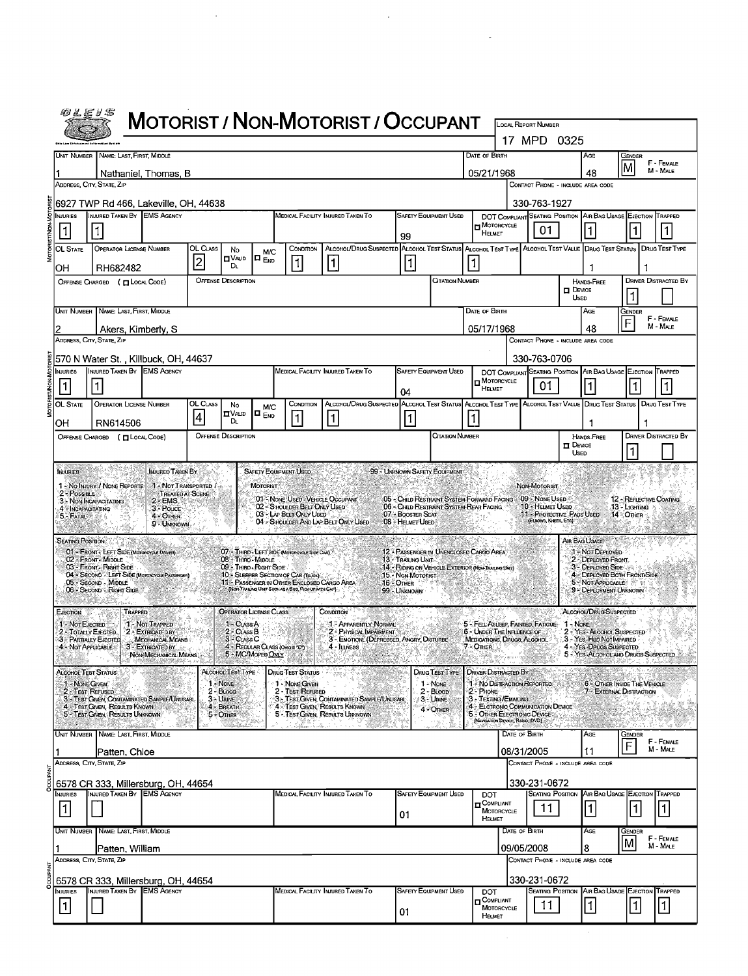|              |                                                                        |                                                                                               | <b>MOTORIST / NON-MOTORIST / OCCUPANT</b> |                                                    |                                                                                    |                                                                                                                       |                                       |                                       |                              |                                                                                                         |               | LOCAL REPORT NUMBER                                                   |                              |                                         |                                                               |                             |  |
|--------------|------------------------------------------------------------------------|-----------------------------------------------------------------------------------------------|-------------------------------------------|----------------------------------------------------|------------------------------------------------------------------------------------|-----------------------------------------------------------------------------------------------------------------------|---------------------------------------|---------------------------------------|------------------------------|---------------------------------------------------------------------------------------------------------|---------------|-----------------------------------------------------------------------|------------------------------|-----------------------------------------|---------------------------------------------------------------|-----------------------------|--|
|              |                                                                        |                                                                                               |                                           |                                                    |                                                                                    |                                                                                                                       |                                       |                                       |                              |                                                                                                         |               | 17 MPD 0325                                                           |                              |                                         |                                                               |                             |  |
|              |                                                                        | UNIT NUMBER NAME: LAST, FIRST, MIDDLE                                                         |                                           |                                                    |                                                                                    |                                                                                                                       |                                       |                                       |                              | Date of Birth                                                                                           |               |                                                                       |                              | AGE                                     | <b>GENDER</b>                                                 | F - FEMALE                  |  |
|              |                                                                        | Nathaniel, Thomas, B                                                                          |                                           |                                                    |                                                                                    |                                                                                                                       |                                       |                                       |                              | 05/21/1968                                                                                              |               |                                                                       |                              | 48                                      |                                                               | M - MALE                    |  |
|              |                                                                        | ADDRESS, CITY, STATE, ZIP                                                                     |                                           |                                                    |                                                                                    |                                                                                                                       |                                       |                                       |                              |                                                                                                         |               |                                                                       |                              | CONTACT PHONE - INCLUDE AREA CODE       |                                                               |                             |  |
|              | INJURIES                                                               | 6927 TWP Rd 466, Lakeville, OH, 44638<br>INJURED TAKEN BY EMS AGENCY                          |                                           |                                                    |                                                                                    | MEDICAL FACILITY INJURED TAKEN TO                                                                                     |                                       |                                       | <b>SAFETY EQUIPMENT USED</b> |                                                                                                         |               | 330-763-1927                                                          |                              |                                         | DOT COMPLIANT SEATING POSITION AIR BAG USAGE EJECTION TRAPPED |                             |  |
|              | $\mathbf{1}$                                                           |                                                                                               |                                           |                                                    |                                                                                    |                                                                                                                       | 99                                    |                                       |                              | <b>D</b> MOTORCYCLE<br>HELMET                                                                           |               | 01                                                                    |                              | 1.                                      | 1                                                             |                             |  |
| MOTORIST/NON | OL STATE                                                               | OPERATOR LICENSE NUMBER                                                                       | OL CLASS<br>No<br>$\Pi$ VAUD              | M/C<br>$\square$ $_{\text{EVD}}$                   | CONDITION                                                                          | ALCOHOL/DRUG SUSPECTED ALCOHOL TEST STATUS ALCOHOL TEST TYPE ALCOHOL TEST VALUE DRUG TEST STATUS DRUG TEST TYPE       |                                       |                                       |                              |                                                                                                         |               |                                                                       |                              |                                         |                                                               |                             |  |
|              | OН                                                                     | RH682482                                                                                      | $\overline{c}$<br>DL.                     |                                                    | lĪ.                                                                                | 1                                                                                                                     | $\vert$ 1                             |                                       |                              |                                                                                                         |               |                                                                       |                              | 1                                       |                                                               |                             |  |
|              |                                                                        | OFFENSE CHARGED ( [ LOCAL CODE)                                                               | <b>OFFENSE DESCRIPTION</b>                |                                                    |                                                                                    |                                                                                                                       |                                       |                                       | <b>CITATION NUMBER</b>       |                                                                                                         |               |                                                                       | $D$ Device<br>Usen           | <b>HANDS-FREE</b>                       |                                                               | <b>DRIVER DISTRACTED BY</b> |  |
|              |                                                                        | Unit Number   Name: Last, First, Middle                                                       |                                           |                                                    |                                                                                    |                                                                                                                       |                                       |                                       |                              | Date of Birth                                                                                           |               |                                                                       |                              | AGE                                     | Gender                                                        | F - FEMALE                  |  |
|              |                                                                        | Akers, Kimberly, S<br>ADDRESS, CITY, STATE, ZIP                                               |                                           |                                                    |                                                                                    |                                                                                                                       |                                       |                                       |                              | 05/17/1968                                                                                              |               |                                                                       |                              | 48                                      | F                                                             | M - MALE                    |  |
|              |                                                                        | 570 N Water St. , Killbuck, OH, 44637                                                         |                                           |                                                    |                                                                                    |                                                                                                                       |                                       |                                       |                              |                                                                                                         |               | CONTACT PHONE - INCLUDE AREA CODE<br>330-763-0706                     |                              |                                         |                                                               |                             |  |
|              | INJURIES                                                               | INJURED TAKEN BY EMS AGENCY                                                                   |                                           |                                                    |                                                                                    | MEDICAL FACILITY INJURED TAKEN TO                                                                                     |                                       |                                       | <b>SAFETY EQUIPMENT USED</b> |                                                                                                         |               |                                                                       |                              |                                         | DOT COMPLIANT SEATING POSITION AIR BAG USAGE EJECTION         | TRAPPED                     |  |
|              | 1                                                                      | $\vert$ 1                                                                                     |                                           |                                                    |                                                                                    |                                                                                                                       | 04                                    |                                       |                              | MOTORCYCLE<br>HELMET                                                                                    |               | 01                                                                    |                              | $\mathbf{1}$                            | $\vert$ 1                                                     | 1                           |  |
|              | OL STATE                                                               | <b>OPERATOR LICENSE NUMBER</b>                                                                | OL CLASS<br>No<br>ם∨שמ<br>4               | <b>M/C</b><br>$\blacksquare$ $_{\sf END}$          | CONDITION<br>$\overline{1}$                                                        | ALCOHOL/DRUG SUSPECTED ALCOHOL TEST STATUS ALCOHOL TEST TYPE ALCOHOL TEST VALUE DRUG TEST STATUS DRUG TEST TYPE<br>11 | 1                                     |                                       |                              |                                                                                                         |               |                                                                       |                              |                                         |                                                               |                             |  |
|              | OH                                                                     | RN614506<br>OFFENSE CHARGED ( CLOCAL CODE)                                                    | DL.<br><b>OFFENSE DESCRIPTION</b>         |                                                    |                                                                                    |                                                                                                                       |                                       |                                       | <b>CITATION NUMBER</b>       |                                                                                                         |               |                                                                       |                              | 1<br><b>HANDS-FREE</b>                  |                                                               | <b>DRIVER DISTRACTED BY</b> |  |
|              |                                                                        |                                                                                               |                                           |                                                    |                                                                                    |                                                                                                                       |                                       |                                       |                              |                                                                                                         |               |                                                                       | $\Box$ Device<br><b>USED</b> |                                         |                                                               |                             |  |
|              | <b>INJURIES</b>                                                        | INJURED TAKEN BY                                                                              |                                           | <b>SAFETY EQUIPMENT USED</b>                       |                                                                                    |                                                                                                                       | 99 - UNKNOWN SAFETY EQUIPMENT         |                                       |                              |                                                                                                         |               |                                                                       |                              |                                         |                                                               |                             |  |
|              | $2 - P$ ossible                                                        | 1 - No INJURY / NONE REPORTE<br><b>TREATED AT SCENE</b><br>2 - EMS.<br>3 - NON-INCAPACITATING | 1 - Not Transported /                     | <b>MOTORIST</b>                                    |                                                                                    | 01 - None Used - Vehicle Occupant                                                                                     |                                       |                                       |                              | 05 - CHILD RESTRAINT SYSTEM-FORWARD FACING 09 - NONE USED                                               |               | <b>NON-MOTORIST</b>                                                   |                              |                                         | 12 - REFLECTIVE COATING                                       |                             |  |
|              | 4 - Incapacitating<br>5 - FATAL                                        | $3 - \text{Pouce}$<br>4 - OTHER                                                               |                                           |                                                    | 02 - SHOULDER BELT ONLY USED<br>03 - LAP BELT ONLY USED                            | 04 - Shoulder And Lap Belt Only Used                                                                                  | 07 + BOOSTER SEAT<br>08 - HELMET USED |                                       |                              | 06 - Child Restraint System Rear Facing.                                                                |               | 10 - Helmet Used<br>11 - Protective Pads Used<br>(EUBOWS, KNEES, ETC) |                              |                                         | 13 - Lighting<br>14 - Отнев                                   |                             |  |
|              | <b>SEATING POSITION</b>                                                | 9 - UNKNOWN                                                                                   |                                           |                                                    |                                                                                    |                                                                                                                       |                                       |                                       |                              |                                                                                                         |               |                                                                       |                              | AIR BAG USAGE                           |                                                               |                             |  |
|              |                                                                        | 01 - FRONT - LEFT SIDE (MOTORCYCLE DRIVER)<br>02 - FRONT MIDDLE                               | 08 - Third Middle                         |                                                    | 07 - THIRD - LEFT SIDE (MOTORCYCLE SIDE CAR)                                       |                                                                                                                       | 13 - Trailing Unit-                   |                                       |                              | 12 - PASSENGER IN UNENCLOSED CARGO AREA                                                                 |               |                                                                       |                              | 1 Not Deployed<br>2 - DEPLOYED FRONT.   |                                                               |                             |  |
|              |                                                                        | 03 - Front - Right Side<br>04 - SECOND - LEFT SIDE (MOTOROYGLE PASSENGER)                     |                                           | 09 - Thiro - Right Side                            | 10 - SLEEPER SECTION OF CAB (TRUCK)<br>11 - PASSENGER IN OTHER ENCLOSED CARGO AREA |                                                                                                                       | 15 - Non-Motorist                     |                                       |                              | 14 - RIDING ON VEHICLE EXTERIOR (NON-TRAILING LINET)                                                    |               |                                                                       |                              | 3 - DEPLOYED SIDE<br>5 - NOT APPLICABLE | 4 - DEPLOYED BOTH FRONT/SIDE                                  |                             |  |
|              |                                                                        | 05 - Second - Middle<br>06 - Second - Right Side                                              |                                           |                                                    | (NON-TRAILING UNIT SUCH AS A BUS, PICK UP WITH CAP)                                |                                                                                                                       | 16 - Other<br>99 - Unknown            |                                       |                              |                                                                                                         |               |                                                                       |                              |                                         | -93<br>9 - DEPLOYMENT UNKNOWN                                 |                             |  |
|              | EJECTION                                                               | TRAPPED                                                                                       |                                           | <b>OPERATOR LICENSE CLASS</b>                      |                                                                                    | CONDITION                                                                                                             |                                       |                                       |                              |                                                                                                         |               |                                                                       |                              | ALCOHOL/DRUG SUSPECTED                  |                                                               |                             |  |
|              | 1 - Not EJECTED<br>2 - TOTALLY EJECTED<br><b>3 - PARTIALLY EJECTED</b> | 1 - NOT TRAPPED<br>2 - EXTRICATED BY<br>MECHANICAL MEANS                                      | 1 - CLASS A<br>2 - CLASS B<br>3 - CLASS C |                                                    |                                                                                    | 1 - Apparently Normal<br>2 - PHYSICAL IMPAIRMENT<br>3 - EMOTIONI (DEPRESSED, ANGRY, DISTURBE                          |                                       |                                       |                              | 5 - FELL ASLEEP, FAINTED, FATIGUE 1 - NONE<br>6 - UNDER THE INFLUENCE OF<br>MEDICATIONS, DRUGS, ALCOHOL |               |                                                                       |                              | 3 - Yes-HBD NOTIMPAIRED                 | 2 - YES - ALCOHOL SUSPECTED                                   |                             |  |
|              | 4 - NOT APPLICABLE                                                     | 3 - EXTRICATED BY.<br>NON-MECHANICAL ME                                                       |                                           | 4 - REGULAR CLASS (OHOLS TOT)<br>5 - MC/Moped Only |                                                                                    | 4 - ILLNESS                                                                                                           |                                       |                                       |                              | 7 - OTHER                                                                                               |               |                                                                       |                              | 4 - YES DRUGS SUSPECTED                 | 5 - YES ALCOHOL AND DRUGS SUSPECTED.                          |                             |  |
|              | <b>ALCOHOL TEST STATUS</b><br>1 - NONE GIVEN                           |                                                                                               | ALCOHOL TEST TYPE                         |                                                    | <b>DRUG TEST STATUS</b>                                                            |                                                                                                                       |                                       |                                       | DRUG TEST TYPE               | <b>DRIVER DISTRACTED BY</b>                                                                             |               |                                                                       |                              |                                         |                                                               |                             |  |
|              | 2 - Test Refused                                                       | 3 - TEST GIVEN, CONTAMINATED SAMPLE/UNUSABL                                                   | 1 - NONE<br>$2 - B$ LOOD<br>$3 -$ URINE   |                                                    | 1 - Nove Given<br>2 - Test Refused                                                 | 3 - Test Given, Contaminated Sample/Unusabl                                                                           |                                       | 1 - None<br>$2 - B$ LOOD<br>3 - Unive |                              | 1 - No DISTRACTION REPORTED<br>2 - PHONE<br>3 - Texting /Emailing                                       |               |                                                                       |                              |                                         | 6 - OTHER INSIDE THE VEHICLE<br>7 EXTERNAL DISTRACTION        |                             |  |
|              |                                                                        | 4 - Test Given, Results Known<br>5 - Test Given: Results Unknown                              | 4 - BREATH<br>$5 -$ Omen                  |                                                    |                                                                                    | 4 - TEST GIVEN, RESULTS KNOWN<br>5 - TEST GIVEN, RESULTS UNKNOWN                                                      |                                       | 4 - OTHER                             |                              | 4 - ELCTRONIC COMMUNICATION DEVICE<br>5 - OTHER ELECTRONIC DEVICE<br>(NAVIGATION DEVICE, RADIO, DVD)    |               |                                                                       |                              |                                         |                                                               |                             |  |
|              |                                                                        | UNIT NUMBER NAME: LAST, FIRST, MIDDLE                                                         |                                           |                                                    |                                                                                    |                                                                                                                       |                                       |                                       |                              |                                                                                                         | DATE OF BIRTH |                                                                       |                              | AGE                                     | GENDER                                                        | F - FEMALE                  |  |
|              |                                                                        | Patten, Chloe<br>ADDRESS, CITY, STATE, ZIP                                                    |                                           |                                                    |                                                                                    |                                                                                                                       |                                       |                                       |                              |                                                                                                         | 08/31/2005    | CONTACT PHONE - INCLUDE AREA CODE                                     |                              | 11                                      | F                                                             | M - MALE                    |  |
|              |                                                                        | 6578 CR 333, Millersburg, OH, 44654                                                           |                                           |                                                    |                                                                                    |                                                                                                                       |                                       |                                       |                              |                                                                                                         |               | 330-231-0672                                                          |                              |                                         |                                                               |                             |  |
|              | NJURIES                                                                | INJURED TAKEN BY<br><b>EMS AGENCY</b>                                                         |                                           |                                                    |                                                                                    | MEDICAL FACILITY INJURED TAKEN TO                                                                                     |                                       |                                       | <b>SAFETY EQUIPMENT USED</b> | <b>DOT</b><br>$\blacksquare$ COMPLIANT                                                                  |               | <b>SEATING POSITION</b>                                               |                              |                                         | AIR BAG USAGE EJECTION                                        | TRAPPED                     |  |
|              | $\vert$ 1 $\vert$                                                      |                                                                                               |                                           |                                                    |                                                                                    |                                                                                                                       | 01                                    |                                       |                              | MOTORCYCLE<br>HELMET                                                                                    |               | 11                                                                    |                              | $\vert$ 1 $\vert$                       | 1                                                             | 1                           |  |
|              |                                                                        | UNIT NUMBER NAME: LAST, FIRST, MIDDLE                                                         |                                           |                                                    |                                                                                    |                                                                                                                       |                                       |                                       |                              |                                                                                                         | DATE OF BIRTH |                                                                       |                              | Age                                     | GENDER<br>M                                                   | F - FEMALE                  |  |
|              |                                                                        | Patten, William<br>Address, City, State, Zip                                                  |                                           |                                                    |                                                                                    |                                                                                                                       |                                       |                                       |                              |                                                                                                         | 09/05/2008    | CONTACT PHONE - INCLUDE AREA CODE                                     |                              | 8                                       |                                                               | M - MALE                    |  |
|              |                                                                        | 6578 CR 333, Millersburg, OH, 44654                                                           |                                           |                                                    |                                                                                    |                                                                                                                       |                                       |                                       |                              |                                                                                                         |               | 330-231-0672                                                          |                              |                                         |                                                               |                             |  |
|              | NJURIES                                                                | INJURED TAKEN BY EMS AGENCY                                                                   |                                           |                                                    |                                                                                    | MEDICAL FACILITY INJURED TAKEN TO                                                                                     |                                       |                                       | <b>SAFETY EQUIPMENT USED</b> | <b>DOT</b><br>COMPLIANT                                                                                 |               |                                                                       |                              |                                         | SEATING POSITION AIR BAG USAGE EJECTION                       | TRAPPED                     |  |
|              | 1.                                                                     |                                                                                               |                                           |                                                    |                                                                                    |                                                                                                                       | 01                                    |                                       |                              | MOTORCYCLE<br>HELMET                                                                                    |               | 11                                                                    |                              | $\vert$ 1                               | ∣1                                                            | 1                           |  |
|              |                                                                        |                                                                                               |                                           |                                                    |                                                                                    |                                                                                                                       |                                       |                                       |                              |                                                                                                         |               |                                                                       |                              |                                         |                                                               |                             |  |

 $\mathcal{L}$ 

 $\frac{1}{2}$ 

 $\mathcal{L}_{\mathcal{A}}$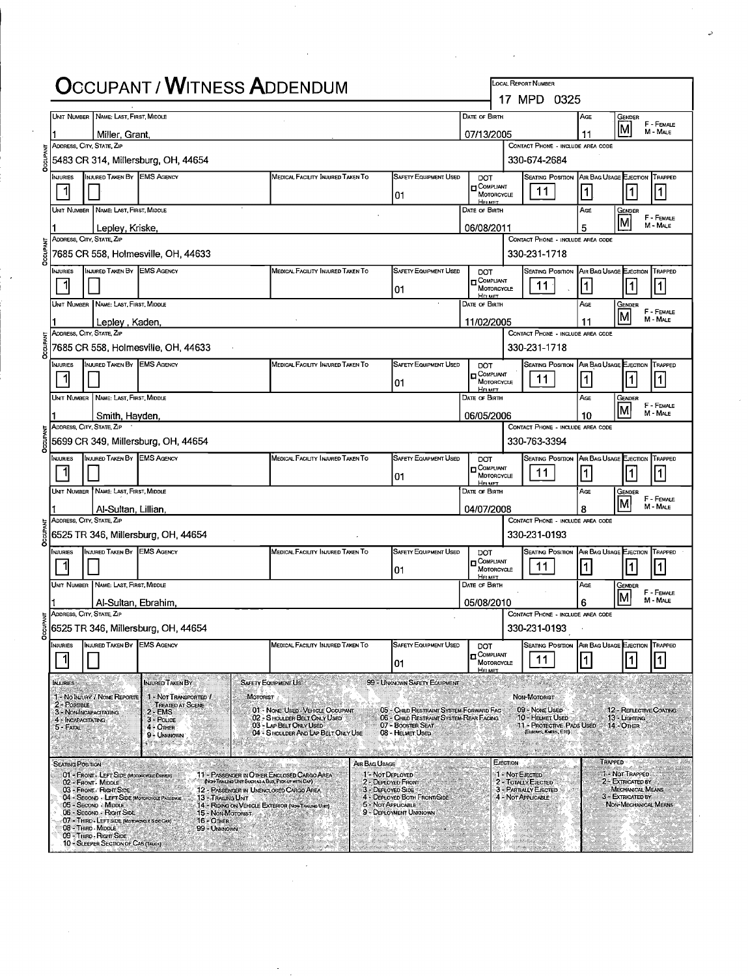|                     |                                                                                                  |                                                               | <b>OCCUPANT / WITNESS ADDENDUM</b>                                                                                                            |                                                                                                                              |                                                         |                    | LOCAL REPORT NUMBER<br>17 MPD 0325                                                |                   |                                           |                        |
|---------------------|--------------------------------------------------------------------------------------------------|---------------------------------------------------------------|-----------------------------------------------------------------------------------------------------------------------------------------------|------------------------------------------------------------------------------------------------------------------------------|---------------------------------------------------------|--------------------|-----------------------------------------------------------------------------------|-------------------|-------------------------------------------|------------------------|
|                     | UNIT NUMBER NAME: LAST, FIRST, MIDDLE                                                            |                                                               |                                                                                                                                               |                                                                                                                              | DATE OF BIRTH                                           |                    |                                                                                   | AGE               | Gender                                    | F - FEMALE             |
|                     | Miller, Grant,<br>ADDRESS, CITY, STATE, ZIP                                                      |                                                               |                                                                                                                                               |                                                                                                                              | 07/13/2005                                              |                    | CONTACT PHONE - INCLUDE AREA CODE                                                 | 11                |                                           | M - MALE               |
|                     |                                                                                                  | 5483 CR 314, Millersburg, OH, 44654                           |                                                                                                                                               |                                                                                                                              |                                                         |                    | 330-674-2684                                                                      |                   |                                           |                        |
| <b>NJURIES</b>      | INJURED TAKEN BY EMS AGENCY                                                                      |                                                               | MEDICAL FACILITY INJURED TAKEN TO                                                                                                             | <b>SAFETY EQUIPMENT USED</b>                                                                                                 | DOT<br><b>D</b> COMPLIANT                               |                    | SEATING POSITION AIR BAG USAGE EJECTION                                           |                   |                                           | TRAPPED                |
|                     |                                                                                                  |                                                               |                                                                                                                                               | 01                                                                                                                           | MOTORCYCLE<br>HELMET                                    |                    | 11                                                                                | $\vert$ 1 $\vert$ | ∣1                                        | 1                      |
|                     | Unit Number   Name: Last, First, Middle<br>Lepley, Kriske,                                       |                                                               |                                                                                                                                               |                                                                                                                              | DATE OF BIRTH<br>06/08/2011                             |                    |                                                                                   | AGE<br>5          | Gender<br>lм                              | F - FEMALE<br>M - MALE |
|                     | ADDRESS, CITY, STATE, ZIP                                                                        |                                                               |                                                                                                                                               |                                                                                                                              |                                                         |                    | CONTACT PHONE - INCLUDE AREA CODE                                                 |                   |                                           |                        |
|                     |                                                                                                  | 7685 CR 558, Holmesville, OH, 44633                           |                                                                                                                                               |                                                                                                                              |                                                         |                    | 330-231-1718                                                                      |                   |                                           |                        |
| <b>NJURIES</b><br>1 | <b>INJURED TAKEN BY EMS AGENCY</b>                                                               |                                                               | MEDICAL FACILITY INJURED TAKEN TO                                                                                                             | <b>SAFETY EQUIPMENT USED</b><br>01                                                                                           | DOT<br>n Compliant<br>MOTORCYCLE                        |                    | SEATING POSITION AIR BAG USAGE EJECTION TRAPPED<br>$11^{\circ}$                   | 1                 | $\vert$                                   | 1                      |
|                     | Unit Number   Name; Last, First, Middle                                                          |                                                               |                                                                                                                                               |                                                                                                                              | Ho MET<br>DATE OF BIRTH                                 |                    |                                                                                   | AGE               | Gender                                    |                        |
|                     | Lepley, Kaden,                                                                                   |                                                               |                                                                                                                                               |                                                                                                                              | 11/02/2005                                              |                    |                                                                                   | 11                | lм                                        | F - FEMALE<br>M - MALE |
|                     | Address, City, State, Zip                                                                        | 7685 CR 558, Holmesville, OH, 44633                           |                                                                                                                                               |                                                                                                                              |                                                         |                    | CONTACT PHONE - INCLUDE AREA CODE<br>330-231-1718                                 |                   |                                           |                        |
| <b>INJURIES</b>     | INJURED TAKEN BY EMS AGENCY                                                                      |                                                               | MEDICAL FACILITY INJURED TAKEN TO                                                                                                             | <b>SAFETY EQUIPMENT USED</b><br>01                                                                                           | <b>DOT</b><br>COMPLIANT<br>MOTORCYCLE                   |                    | Seating Position<br>11                                                            | $\vert$ 1 $\vert$ | AIR BAG USAGE EJECTION<br>1               | TRAPPED<br>1           |
|                     | UNIT NUMBER   NAME: LAST, FIRST, MIDDLE                                                          |                                                               |                                                                                                                                               |                                                                                                                              | <b>HELMET</b><br>DATE OF BIRTH                          |                    |                                                                                   | AGE               | GENDER                                    |                        |
|                     | Smith, Hayden,                                                                                   |                                                               |                                                                                                                                               |                                                                                                                              | 06/05/2006                                              |                    |                                                                                   | 10                |                                           | F - FEMALE<br>M - MALE |
|                     | ADDRESS, CITY, STATE, ZIP                                                                        | 5699 CR 349, Millersburg, OH, 44654                           |                                                                                                                                               |                                                                                                                              |                                                         |                    | CONTACT PHONE - INCLUDE AREA CODE<br>330-763-3394                                 |                   |                                           |                        |
| NJURIES             | INJURED TAKEN BY EMS AGENCY                                                                      |                                                               | MEDICAL FACILITY INJURED TAKEN TO                                                                                                             | <b>SAFETY EQUIPMENT USED</b>                                                                                                 | <b>DOT</b>                                              |                    | Seating Position   Air Bag Usage Ejection   Trapped                               |                   |                                           |                        |
|                     |                                                                                                  |                                                               |                                                                                                                                               | 01                                                                                                                           | <b>D</b> COMPLIANT<br>MOTORCYCLE<br><b>HELMET</b>       |                    | 11                                                                                | 11                | 1                                         | $\mathbf{1}$           |
|                     | UNIT NUMBER NAME: LAST, FIRST MIDDLE<br>Al-Sultan, Lillian,                                      |                                                               |                                                                                                                                               |                                                                                                                              | DATE OF BIRTH<br>04/07/2008                             |                    |                                                                                   | AGE<br>8          | Gender<br>lм                              | F - FEMALE<br>M - MALE |
|                     | ADDRESS, CITY, STATE, ZIP                                                                        | 6525 TR 346, Millersburg, OH, 44654                           |                                                                                                                                               |                                                                                                                              |                                                         |                    | CONTACT PHONE - INCLUDE AREA CODE<br>330-231-0193                                 |                   |                                           |                        |
| NJURIES             | INJURED TAKEN BY EMS AGENCY                                                                      |                                                               | MEDICAL FACILITY INJURED TAKEN TO                                                                                                             | <b>SAFETY EQUIPMENT USED</b>                                                                                                 | DOT                                                     |                    | SEATING POSITION AIR BAG USAGE EJECTION TRAPPED                                   |                   |                                           |                        |
| 1                   |                                                                                                  |                                                               |                                                                                                                                               | 01                                                                                                                           | $\blacksquare$ Compliant<br>MOTORCYCLE<br>HELMET        |                    | 11                                                                                | $\vert$ 1         | 1                                         |                        |
|                     | UNIT NUMBER NAME: LAST FIRST, MIDDLE<br>Al-Sultan, Ebrahim                                       |                                                               |                                                                                                                                               |                                                                                                                              | DATE OF BIRTH<br>05/08/2010                             |                    |                                                                                   | AGE<br>6          | Gender                                    | F - FEMALE<br>M - MALE |
|                     | ADDRESS, CITY, STATE, ZIP                                                                        | 6525 TR 346, Millersburg, OH, 44654                           |                                                                                                                                               |                                                                                                                              |                                                         |                    | CONTACT PHONE - INCLUDE AREA CODE<br>330-231-0193                                 |                   |                                           |                        |
| NJURIES             | <b>INJURED TAKEN BY EMS AGENCY</b>                                                               |                                                               | MEDICAL FACILITY INJURED TAKEN TO                                                                                                             | <b>SAFETY EQUIPMENT USED</b>                                                                                                 | <b>DOT</b>                                              |                    | Seating Position                                                                  |                   | AIR BAG USAGE EJECTION                    | TRAPPED                |
|                     |                                                                                                  |                                                               |                                                                                                                                               | 01                                                                                                                           | $\blacksquare$ Compliant<br>MOTORCYCLE<br><b>HELMET</b> |                    | 11                                                                                |                   |                                           | 1                      |
| <b>INJURIES</b>     |                                                                                                  | INJURED TAKEN BY                                              | <b>SAFETY EQUIPMENT US</b>                                                                                                                    | 99 - UNKNOWN SAFETY EQUIPMENT                                                                                                | e e gre                                                 |                    |                                                                                   |                   |                                           |                        |
| $2 - PossIBLE$      | 1 - NO INJURY / NONE REPORTE<br>3 - NON-INCAPACITATING                                           | 1 - Not Transported I<br><b>TREATED AT SCENE</b><br>$2 - EMS$ | MOTORIST<br>01 - NONE USED - VEHICLE OCCUPANT                                                                                                 | 05 - Child Restraint System-Forward Fac                                                                                      |                                                         |                    | NON-MOTORIST<br>09 - Nove Useo                                                    |                   | 12 - REFLECTIVE COATING                   |                        |
| $5 - FATAL$         | 4 - INCAPACITATING                                                                               | $3 - \text{POLVE}$<br>$4 -$ Other                             | 02 - SHOULDER BELT ONLY USED<br>03 - LAP BELT ONLY USED<br>04 - SHOULDER AND LAP BELT ONLY USE                                                | 06 - CHILD RESTRAINT SYSTEM-REAR FACING<br>07 - BOOSTER SEAT<br>08 - HELMET USED                                             |                                                         |                    | 10 - HELMET USED<br>11 - Protective PADS USED 14 - OTHER<br>(ELBOWS, KNEES, ETC). |                   | 13 - Lighting                             |                        |
| e sano              |                                                                                                  | 9 - UNKNOWN<br>Marketti (San Ta                               | ISA SANG ALAM SENGGAN WA                                                                                                                      | nalaratin                                                                                                                    |                                                         |                    | an wa                                                                             | matan ing         |                                           |                        |
|                     | <b>SEATING POSITION</b><br>---                                                                   |                                                               | AIR BAG USAGE                                                                                                                                 |                                                                                                                              |                                                         | EJECTION-          |                                                                                   |                   | TRAPPED<br>1 - NOT TRAPPED                |                        |
|                     | 01 - FRONT - LEFT SIDE (MOTORCYCLE DRIVER)<br>02 - FRONT - MIDDLE<br>03 - FRONT - RIGHT SIDE     |                                                               | 11 - PASSENGER IN OTHER ENCLOSED CARGO AREA<br>(NON-TRAILING UNIT SUCH AS A BUS, PICK UP WITH CAP)<br>12 - PASSENGER IN UNENCLOSED CARGO AREA | 1 - Not DEPLOYED<br>2 - DEPLOYED FRONT<br>3 - DEPLOYED SIDE                                                                  |                                                         | 1 - NOT EJECTED    | 2 - TOTALLY EJECTED<br>3 - PARTIALLY EJECTED                                      |                   | 2 - EXTRICATED BY<br>MECHANICAL MEANS     |                        |
|                     | 04 - SECOND - LEFT SIDE IMOTOROYOLE PASSENCE<br>05 - Second - Middle<br>06 - SECOND - RIGHT SIDE | 13 - TRAILING UNIT<br>15 - NON-MOTORIST                       | 14 - RIDING ON VEHICLE EXTERIOR (NON-TRAILING UNIT)                                                                                           | 4 - DEPLOYED BOTH FRONT/SIDE<br>5 - NOT APPLICABLE<br>9 - DEPLOYMENT UNKNOWN                                                 |                                                         | 4 - NOT APPLICABLE |                                                                                   |                   | 3 - EXTRICATED BY<br>NON-MECHANICAL MEANS |                        |
|                     | 07 - THIRD - LEFT SIDE (MOTORCYCLE SIDE CAR)<br>08 - THIRD - MIDDLE                              | 16 - Отнев<br>99 - UNKNOWN                                    |                                                                                                                                               |                                                                                                                              |                                                         |                    |                                                                                   |                   |                                           |                        |
|                     | 09 - THERD - RIGHT SIDE<br>10 - SLEEPER SECTION OF CAB (TRUCK)                                   |                                                               |                                                                                                                                               | ang manaka<br>The Company of the Company of the Company of the Company of the Company of the Company of the Company of the C |                                                         |                    |                                                                                   |                   |                                           |                        |

 $\vec{v}$ 

Ŷ,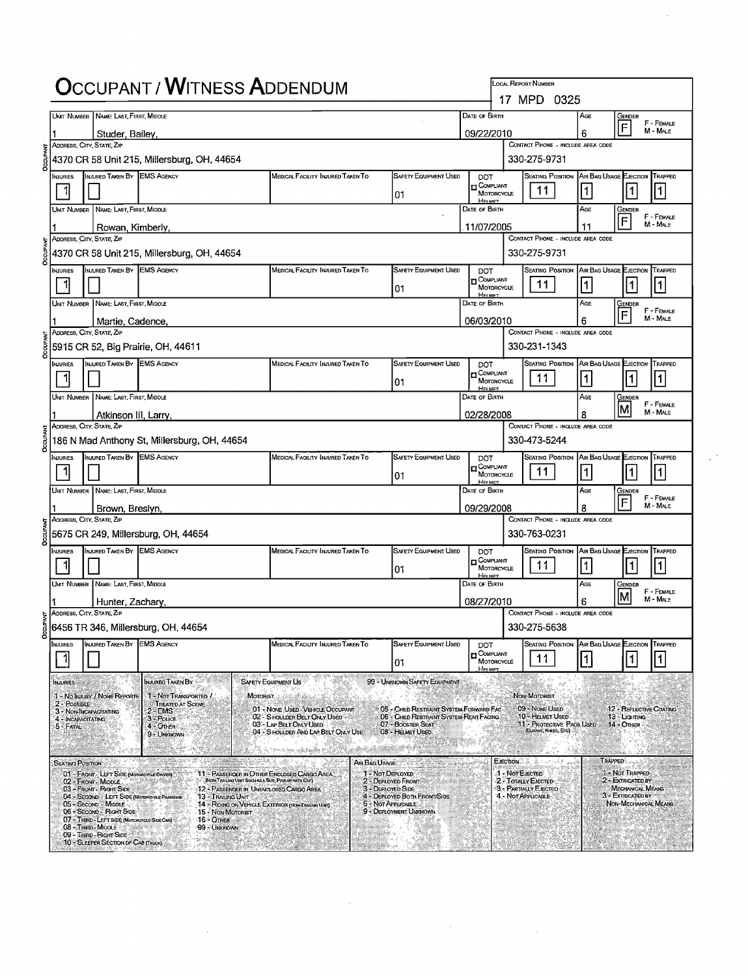|      |                                   |                                                                                                  | <b>OCCUPANT / WITNESS ADDENDUM</b>                                                                 |                                                                                                  |                                         |                                                                                   |                                  |                   | <b>LOCAL REPORT NUMBER</b>                                            |                        |                                                               |                        |
|------|-----------------------------------|--------------------------------------------------------------------------------------------------|----------------------------------------------------------------------------------------------------|--------------------------------------------------------------------------------------------------|-----------------------------------------|-----------------------------------------------------------------------------------|----------------------------------|-------------------|-----------------------------------------------------------------------|------------------------|---------------------------------------------------------------|------------------------|
|      |                                   | UNIT NUMBER NAME: LAST FIRST, MIDDLE                                                             |                                                                                                    |                                                                                                  |                                         |                                                                                   | DATE OF BIRTH                    |                   | 17 MPD 0325                                                           | Age                    |                                                               |                        |
|      |                                   |                                                                                                  |                                                                                                    |                                                                                                  |                                         |                                                                                   | 09/22/2010                       |                   |                                                                       | 6                      | Gender<br>F                                                   | F - FEMALE<br>M - MALE |
|      |                                   | Studer, Bailey,<br>ADDRESS, CITY, STATE, ZIP                                                     |                                                                                                    |                                                                                                  |                                         |                                                                                   |                                  |                   | CONTACT PHONE - INCLUDE AREA CODE                                     |                        |                                                               |                        |
|      |                                   |                                                                                                  | 4370 CR 58 Unit 215, Millersburg, OH, 44654                                                        |                                                                                                  |                                         |                                                                                   |                                  |                   | 330-275-9731                                                          |                        |                                                               |                        |
|      | Injuries                          | INJURED TAKEN BY EMS AGENCY                                                                      |                                                                                                    | MEDICAL FACILITY INJURED TAKEN TO                                                                |                                         | <b>SAFETY EQUIPMENT USED</b>                                                      | <b>DOT</b><br><b>T</b> COMPLIANT |                   | SEATING POSITION AIR BAG USAGE EJECTION                               |                        |                                                               | TRAPPED                |
|      |                                   |                                                                                                  |                                                                                                    |                                                                                                  |                                         | 01                                                                                |                                  | <b>MOTORCYCLE</b> | 11.                                                                   | 1                      | 1                                                             | 1                      |
|      | UNIT NUMBER                       | NAME: LAST, FIRST, MIDDLE                                                                        |                                                                                                    |                                                                                                  |                                         |                                                                                   | DATE OF BIRTH                    |                   |                                                                       | AGE                    | Gender<br>$\overline{F}$                                      | F - FEMALE             |
|      |                                   | Rowan, Kimberly<br>ADDRESS, CITY, STATE, ZIP                                                     |                                                                                                    |                                                                                                  |                                         |                                                                                   | 11/07/2005                       |                   | CONTACT PHONE - INCLUDE AREA CODE                                     | 11                     |                                                               | M - MALE               |
|      |                                   |                                                                                                  | 4370 CR 58 Unit 215, Millersburg, OH, 44654                                                        |                                                                                                  |                                         |                                                                                   |                                  |                   | 330-275-9731                                                          |                        |                                                               |                        |
|      | <b>NJURIES</b>                    | INJURED TAKEN BY EMS AGENCY                                                                      |                                                                                                    | MEDICAL FACILITY INJURED TAKEN TO                                                                |                                         | SAFETY EQUIPMENT USED                                                             | <b>DOT</b>                       |                   | <b>SEATING POSITION AIR BAG USAGE EJECTION</b>                        |                        |                                                               | TRAPPED                |
|      |                                   |                                                                                                  |                                                                                                    |                                                                                                  |                                         | 01                                                                                | <b>D</b> COMPLIANT<br>Hersten    | MOTORCYCLE        | 11                                                                    | 1                      | $\vert$ 1                                                     | 1                      |
|      |                                   | UNIT NUMBER NAME: LAST, FIRST, MIDDLE                                                            |                                                                                                    |                                                                                                  |                                         |                                                                                   | DATE OF BIRTH                    |                   |                                                                       | Age                    | GENDER                                                        | F - Female             |
|      |                                   | Martie, Cadence.<br>ADDRESS, CITY, STATE, ZIP                                                    |                                                                                                    |                                                                                                  |                                         |                                                                                   | 06/03/2010                       |                   | CONTACT PHONE - INCLUDE AREA CODE                                     | 6                      | F                                                             | M - MALE               |
|      |                                   |                                                                                                  | 5915 CR 52, Big Prairie, OH, 44611                                                                 |                                                                                                  |                                         |                                                                                   |                                  |                   | 330-231-1343                                                          |                        |                                                               |                        |
|      | Injuries                          | INJURED TAKEN BY EMS AGENCY                                                                      |                                                                                                    | MEDICAL FACILITY INJURED TAKEN TO                                                                |                                         | <b>SAFETY EQUIPMENT USED</b>                                                      | <b>DOT</b>                       |                   | <b>SEATING POSITION AIR BAG USAGE EJECTION</b>                        |                        |                                                               | TRAPPED                |
|      |                                   |                                                                                                  |                                                                                                    |                                                                                                  |                                         | 101                                                                               | <b>D</b> COMPLIANT               | MOTORCYCLE        | 11                                                                    | 1                      | $\mathbf{1}$                                                  | 11                     |
|      |                                   | Unit Number   Name: Last, First, Middle                                                          |                                                                                                    |                                                                                                  |                                         |                                                                                   | <b>HELMET</b><br>DATE OF BIRTH   |                   |                                                                       | AGE                    | Gender                                                        | F - FEMALE             |
|      |                                   | Atkinson III, Larry,                                                                             |                                                                                                    |                                                                                                  |                                         |                                                                                   | 02/28/2008                       |                   |                                                                       | ጸ                      | ΙM                                                            | M - MALE               |
|      |                                   | ADDRESS, CITY, STATE. ZIP                                                                        | 186 N Mad Anthony St, Millersburg, OH, 44654                                                       |                                                                                                  |                                         |                                                                                   |                                  |                   | CONTACT PHONE - INCLUDE AREA CODE<br>330-473-5244                     |                        |                                                               |                        |
|      | <b>NJURIES</b>                    | INJURED TAKEN BY EMS AGENCY                                                                      |                                                                                                    | MEDICAL FACILITY INJURED TAKEN TO                                                                |                                         | <b>SAFETY EQUIPMENT USED</b>                                                      | <b>DOT</b>                       |                   | SEATING POSITION AIR BAG USAGE EJECTION TRAPPED                       |                        |                                                               |                        |
|      |                                   |                                                                                                  |                                                                                                    |                                                                                                  |                                         | 101                                                                               | $\mathsf{\Pi}$ Compliant         | MOTORCYCLE        | 11                                                                    | 1                      | $\mathbf{1}$                                                  | $\vert$ 1              |
|      |                                   | UNT NUMBER   NAME: LAST, FIRST MIDDLE                                                            |                                                                                                    |                                                                                                  |                                         |                                                                                   | House<br>DATE OF BIRTH           |                   |                                                                       | Age                    | Gender                                                        |                        |
|      |                                   | Brown, Breslyn,                                                                                  |                                                                                                    |                                                                                                  |                                         |                                                                                   | 09/29/2008                       |                   |                                                                       | 8                      | F                                                             | F - Female<br>M - MALE |
|      |                                   | ADDRESS, CITY, STATE, ZIP                                                                        |                                                                                                    |                                                                                                  |                                         |                                                                                   |                                  |                   | CONTACT PHONE - INCLUDE AREA CODE                                     |                        |                                                               |                        |
|      |                                   | INJURED TAKEN BY EMS AGENCY                                                                      | 5675 CR 249, Millersburg, OH, 44654                                                                |                                                                                                  |                                         | SAFETY EQUIPMENT USED                                                             |                                  |                   | 330-763-0231<br>Seating Position   Air Bag Usage Ejection             |                        |                                                               |                        |
|      | <b>NJURIES</b><br>1               |                                                                                                  |                                                                                                    | <b>MEDICAL FACILITY INJURED TAKEN TO</b>                                                         |                                         |                                                                                   | <b>DOT</b><br><b>OOMPLIANT</b>   | MOTORCYCLE        | 11                                                                    | 1                      | $\vert$ 1                                                     | TRAPPED<br>11          |
|      |                                   | UNIT NUMBER NAME: LAST, FIRST, MIDDLE                                                            |                                                                                                    |                                                                                                  |                                         | 101                                                                               | Herver<br>Date of Birth          |                   |                                                                       | Age                    | Gender                                                        |                        |
|      |                                   | Hunter, Zachary,                                                                                 |                                                                                                    |                                                                                                  |                                         |                                                                                   | 08/27/2010                       |                   |                                                                       | 6                      | ΙMΙ                                                           | F - FEMALE<br>M - MALE |
| PANT |                                   | ADDRESS, CITY, STATE, ZIP                                                                        |                                                                                                    |                                                                                                  |                                         |                                                                                   |                                  |                   | CONTACT PHONE - INCLUDE AREA CODE                                     |                        |                                                               |                        |
|      |                                   |                                                                                                  | 6456 TR 346, Millersburg, OH, 44654                                                                |                                                                                                  |                                         |                                                                                   |                                  |                   | 330-275-5638                                                          |                        |                                                               |                        |
|      | <b>INJURIES</b>                   | INJURED TAKEN BY EMS AGENCY                                                                      |                                                                                                    | MEDICAL FACILITY INJURED TAKEN TO                                                                |                                         | <b>SAFETY EQUIPMENT USED</b>                                                      | <b>DOT</b><br><b>D</b> COMPLIANT |                   | Seating Position<br>11                                                | AIR BAG USAGE EJECTION | 1                                                             | TRAPPED<br>$\vert$ 1   |
|      |                                   |                                                                                                  |                                                                                                    |                                                                                                  |                                         | 01                                                                                | <b>HELMET</b>                    | MOTORCYCLE        |                                                                       |                        |                                                               |                        |
|      | <b>INJURIES</b>                   | 1 - No INJURY / NONE REPORTE                                                                     | <b>INJURED TAKEN BY</b><br>1 - NOT TRANSPORTED /                                                   | <b>SAFETY EQUIPMENT US</b>                                                                       |                                         | 99 - UNKNOWN SAFETY EQUIPMENT                                                     |                                  |                   | NON-MOTORIST                                                          |                        |                                                               |                        |
|      | $2 - PossIBLE$                    | 3 - NON-INCAPACITATING                                                                           | <b>MOTORIST</b><br><b>TREATED AT SCENE.</b><br>$2 - EMS$                                           | 01 - NONE USED - VEHICLE OCCUPANT                                                                |                                         | 05 - CHILD RESTRAINT SYSTEM-FORWARD FAC                                           |                                  |                   | 09 - NONE USED                                                        |                        | 12 - REFLECTIVE COATING                                       |                        |
|      | 4 - INCAPACITATING<br>5 - FATAL . |                                                                                                  | $3 - \text{POLCE}$<br>4 - OTHER                                                                    | 02 - S HOULDER BELT ONLY USED<br>03 - LAP BELT ONLY USED<br>04 - S HOULDER AND LAP BELT ONLY USE |                                         | 06 - CHILD RESTRAINT SYSTEM-REAR FACING.<br>07 - BOOSTER SEAT<br>08 - HELMET USED |                                  |                   | 10 - HELMET USED<br>11 - Protective Pads Used<br>(ELBOWS, KNEES, ETC) |                        | 13 - Lighting<br>14 - Onier                                   |                        |
|      |                                   |                                                                                                  | 9 - UNKNOWN                                                                                        |                                                                                                  |                                         |                                                                                   |                                  |                   |                                                                       |                        |                                                               |                        |
|      | <b>SEATING POSITION:</b>          |                                                                                                  |                                                                                                    |                                                                                                  | AIR BAG USAGE                           |                                                                                   |                                  | EJECTION          |                                                                       | <b>TRAPPED</b>         |                                                               |                        |
|      |                                   | 01 - FRONT - LEFT SIDE (MOTOROYCLE DRIVER)<br>02 - FRONT - MIDDLE                                | 11 - PASSENGER IN OTHER ENCLOSED CARGO AREA<br>(NON-TRAILING UNIT SUCH AS A BUS, PICK-UP WITH CAP) |                                                                                                  | 1 - Not Deployed<br>2 - DEPLOYED FRONT  |                                                                                   |                                  | 1 Not EJECTED     | 2 - TOTALLY EJECTED                                                   |                        | 1 - Not Trapped<br>2 - EXTRICATED BY                          |                        |
|      |                                   | 03 - Front - Right Side<br>04 - SECOND - LEFT SIDE (MOTOROYCLE PASSENGE)<br>05 - SECOND - MIDDLE | 12 - Passenger in Unenclosed Cargo Area<br>13 - Trailing Unit                                      |                                                                                                  | 3 - DEPLOYED SIDE<br>5 - Not Applicable | 4 - DEPLOYED BOTH FRONT/SIDE                                                      |                                  |                   | 3 - PARTIALLY EJECTED<br>4 - NOT APPLICABLE                           |                        | MECHANICAL MEANS<br>3 - EXTRICATED BY<br>NON-MECHANICAL MEANS |                        |
|      |                                   | 06 - SECOND - RIGHT SIDE<br>07 - THIRD - LEFT SIDE (MOTOROYCLE SIDE CAR)                         | 14 - RIDING ON VEHICLE EXTERIOR (NON-TRAILING UNIT)<br>15 - NON-MOTORIST<br>16 - Отнен             |                                                                                                  |                                         | 9 - DEPLOYMENT UNKNOWN.                                                           |                                  |                   |                                                                       |                        |                                                               |                        |
|      |                                   | 08 - Third - Middle<br>09 - THIRD - RIGHT SIDE                                                   | 99 - Unknown                                                                                       |                                                                                                  | Waasi                                   |                                                                                   |                                  |                   |                                                                       |                        |                                                               |                        |
|      |                                   | 10 - SLEEPER SECTION OF CAB (TRUCK)                                                              |                                                                                                    |                                                                                                  | en antara d                             |                                                                                   |                                  |                   |                                                                       |                        |                                                               |                        |

 $\sim 10^{-10}$ 

 $\label{eq:2.1} \frac{1}{\sqrt{2}}\int_{\mathbb{R}^3}\frac{1}{\sqrt{2}}\left(\frac{1}{\sqrt{2}}\right)^2\frac{1}{\sqrt{2}}\left(\frac{1}{\sqrt{2}}\right)^2\frac{1}{\sqrt{2}}\left(\frac{1}{\sqrt{2}}\right)^2\frac{1}{\sqrt{2}}\left(\frac{1}{\sqrt{2}}\right)^2\frac{1}{\sqrt{2}}\left(\frac{1}{\sqrt{2}}\right)^2\frac{1}{\sqrt{2}}\frac{1}{\sqrt{2}}\frac{1}{\sqrt{2}}\frac{1}{\sqrt{2}}\frac{1}{\sqrt{2}}\frac{1}{\sqrt{2}}$ 

 $\frac{1}{2} \sum_{i=1}^{n} \frac{1}{2} \sum_{j=1}^{n} \frac{1}{2} \sum_{j=1}^{n} \frac{1}{2} \sum_{j=1}^{n} \frac{1}{2} \sum_{j=1}^{n} \frac{1}{2} \sum_{j=1}^{n} \frac{1}{2} \sum_{j=1}^{n} \frac{1}{2} \sum_{j=1}^{n} \frac{1}{2} \sum_{j=1}^{n} \frac{1}{2} \sum_{j=1}^{n} \frac{1}{2} \sum_{j=1}^{n} \frac{1}{2} \sum_{j=1}^{n} \frac{1}{2} \sum_{j=1}^{n$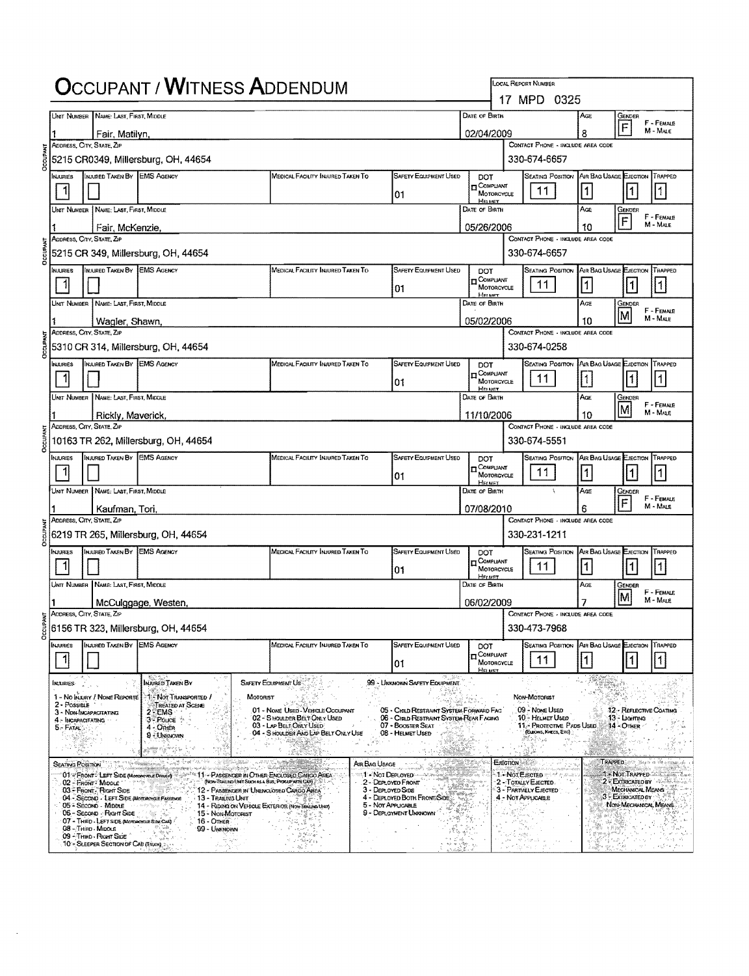|      |                  |                                                                                           | <b>OCCUPANT / WITNESS ADDENDUM</b>                                                                                  |                                                                                            |                                           |                                                                                                         |                                                       |              | LOCAL REPORT NUMBER                                                 |                                |                                       |                                  |
|------|------------------|-------------------------------------------------------------------------------------------|---------------------------------------------------------------------------------------------------------------------|--------------------------------------------------------------------------------------------|-------------------------------------------|---------------------------------------------------------------------------------------------------------|-------------------------------------------------------|--------------|---------------------------------------------------------------------|--------------------------------|---------------------------------------|----------------------------------|
|      |                  | UNIT NUMBER NAME: LAST, FIRST, MIDDLE                                                     |                                                                                                                     |                                                                                            |                                           |                                                                                                         | <b>DATE OF BIRTH</b>                                  |              | 17 MPD 0325                                                         | Ace                            | Gender                                |                                  |
|      |                  | Fair, Matilyn,                                                                            |                                                                                                                     |                                                                                            |                                           |                                                                                                         | 02/04/2009                                            |              |                                                                     | 8                              | F                                     | F - FEMALE<br>M - MALE           |
|      |                  | ADDRESS, CITY, STATE, ZIP                                                                 |                                                                                                                     |                                                                                            |                                           |                                                                                                         |                                                       |              | CONTACT PHONE - INCLUDE AREA CODE                                   |                                |                                       |                                  |
|      |                  |                                                                                           | 5215 CR0349, Millersburg, OH, 44654                                                                                 |                                                                                            |                                           |                                                                                                         |                                                       | 330-674-6657 |                                                                     |                                |                                       |                                  |
|      | MJURIES          | INJURED TAKEN BY EMS AGENCY                                                               |                                                                                                                     | MEDICAL FACILITY INJURED TAKEN TO                                                          |                                           | <b>SAFETY EQUIPMENT USED</b><br>01                                                                      | DOT<br>$\mathbf{r}$ COMPLIANT<br>MOTORCYCLE           |              | SEATING POSITION AIR BAG USAGE EJECTION TRAPPED<br>11               | $\vert$ 1                      | 1                                     | 1                                |
|      |                  | Unit Number   Name: Last, First, Middle                                                   |                                                                                                                     |                                                                                            |                                           |                                                                                                         | House<br>DATE OF BIRTH                                |              |                                                                     | AGE                            | GENDER                                | F - FEMALE                       |
|      |                  | Fair, McKenzie,                                                                           |                                                                                                                     |                                                                                            |                                           |                                                                                                         | 05/26/2006                                            |              |                                                                     | 10                             | F                                     | M - MALE                         |
|      |                  | ADDRESS, CITY, STATE, ZIP                                                                 | 5215 CR 349, Millersburg, OH, 44654                                                                                 |                                                                                            |                                           |                                                                                                         |                                                       |              | CONTACT PHONE - INCLUDE AREA CODE<br>330-674-6657                   |                                |                                       |                                  |
|      | INJURIES         | INJURED TAKEN BY EMS AGENCY                                                               |                                                                                                                     | MEDICAL FACILITY INJURED TAKEN TO                                                          |                                           | <b>SAFETY EQUIPMENT USED</b>                                                                            | DOT                                                   |              | <b>SEATING POSITION</b>                                             | AIR BAG USAGE EJECTION TRAPPED |                                       |                                  |
|      | 11               |                                                                                           |                                                                                                                     |                                                                                            |                                           | 01                                                                                                      | $\mathsf{n}$ Compliant<br>MOTORCYCLE<br><b>HELMET</b> |              | 11                                                                  | 1                              | $\vert$ 1                             | 11                               |
|      |                  | UNIT NUMBER   NAME: LAST, FIRST, MIDDLE                                                   |                                                                                                                     |                                                                                            |                                           |                                                                                                         | DATE OF BIRTH                                         |              |                                                                     | AGE                            | Gender                                | F - Female                       |
|      |                  | Wagler, Shawn,                                                                            |                                                                                                                     |                                                                                            |                                           |                                                                                                         | 05/02/2006                                            |              |                                                                     | 10                             | iΜ                                    | M - MALE                         |
|      |                  | ADDRESS, CITY, STATE, ZIP                                                                 | 5310 CR 314, Millersburg, OH, 44654                                                                                 |                                                                                            |                                           |                                                                                                         |                                                       |              | CONTACT PHONE - INCLUDE AREA CODE<br>330-674-0258                   |                                |                                       |                                  |
|      | Injuries         | INJURED TAKEN BY EMS AGENCY                                                               |                                                                                                                     | MEDICAL FACILITY INJURED TAKEN TO                                                          |                                           | <b>SAFETY EQUIPMENT USED</b>                                                                            | DOT<br><b>T</b> COMPUANT                              |              | <b>SEATING POSITION</b>                                             | AIR BAG USAGE EJECTION TRAPPED |                                       |                                  |
|      |                  |                                                                                           |                                                                                                                     |                                                                                            |                                           | 01                                                                                                      | MOTORCYCLE<br><b>HELLET</b>                           |              | 11                                                                  | $\vert$ 1                      | $\vert$ 1                             | 1                                |
|      |                  | Unit Number   Name: Last, First, Middle                                                   |                                                                                                                     |                                                                                            |                                           |                                                                                                         | DATE OF BIRTH                                         |              |                                                                     | AGE                            | GENDER                                | F - FEMALE                       |
|      |                  | Rickly, Maverick,<br>ADDRESS, CITY, STATE, ZIP                                            |                                                                                                                     |                                                                                            |                                           |                                                                                                         | 11/10/2006                                            |              | CONTACT PHONE - INCLUDE AREA CODE                                   | 10                             |                                       | M - MALE                         |
|      |                  |                                                                                           | 10163 TR 262, Millersburg, OH, 44654                                                                                |                                                                                            |                                           |                                                                                                         |                                                       |              | 330-674-5551                                                        |                                |                                       |                                  |
|      | NJURIES          | INJURED TAKEN BY EMS AGENCY                                                               |                                                                                                                     | MEDICAL FACILITY INJURED TAKEN TO                                                          |                                           | <b>SAFETY EQUIPMENT USED</b>                                                                            | DOT<br>$\Box_{\text{Motorcycle}}^{\text{Complant}}$   |              | SEATING POSITION AIR BAG USAGE EJECTION TRAPPED                     |                                |                                       |                                  |
|      |                  |                                                                                           |                                                                                                                     |                                                                                            |                                           | 01                                                                                                      | <b>HELMET</b>                                         |              | 11.                                                                 | $\vert$ 1 $\vert$              |                                       | 1                                |
|      |                  | Unit Number   Name: Last, First, Middle                                                   |                                                                                                                     |                                                                                            |                                           |                                                                                                         | DATE OF BIRTH                                         |              |                                                                     | Age                            | GENDER<br>F                           | F - FEMALE<br>M - MALE           |
|      |                  | Kaufman, Tori,<br>ADDRESS, CITY, STATE, ZIP                                               |                                                                                                                     |                                                                                            |                                           |                                                                                                         | 07/08/2010                                            |              | CONTACT PHONE - INCLUDE AREA CODE                                   | 6                              |                                       |                                  |
|      |                  |                                                                                           | 6219 TR 265, Millersburg, OH, 44654                                                                                 |                                                                                            |                                           |                                                                                                         |                                                       |              | 330-231-1211                                                        |                                |                                       |                                  |
|      | <b>NJURIES</b>   | INJURED TAKEN BY EMS AGENCY                                                               |                                                                                                                     | MEDICAL FACILITY INJURED TAKEN TO                                                          |                                           | SAFETY EQUIPMENT USED                                                                                   | DOT.<br><del>it</del> Compliant                       |              | <b>SEATING POSITION</b>                                             | A/R BAG USAGE EJECTION TRAPPED |                                       |                                  |
|      | 1                |                                                                                           |                                                                                                                     |                                                                                            |                                           | 01                                                                                                      | MOTORCYCLE<br>HELMET                                  |              | 11.                                                                 | 1                              | $\vert$ 1                             | 1                                |
|      |                  | UNIT NUMBER NAME: LAST, FIRST, MIDDLE                                                     |                                                                                                                     |                                                                                            |                                           |                                                                                                         | DATE OF BIRTH                                         |              |                                                                     | AGE                            | GENDER<br>IΜ                          | F - FEMALE<br>M-MALE             |
|      |                  | ADDRESS, CITY, STATE, ZIP                                                                 | McCulggage, Westen,                                                                                                 |                                                                                            |                                           |                                                                                                         | 06/02/2009                                            |              | CONTACT PHONE - INCLUDE AREA CODE                                   |                                |                                       |                                  |
| ENRT |                  |                                                                                           | 6156 TR 323, Millersburg, OH, 44654                                                                                 |                                                                                            |                                           |                                                                                                         |                                                       |              | 330-473-7968                                                        |                                |                                       |                                  |
|      | <b>INJURIES</b>  | INJURED TAKEN BY EMS AGENCY                                                               |                                                                                                                     | MEDICAL FACILITY INJURED TAKEN TO                                                          |                                           | SAFETY EQUIPMENT USED                                                                                   | DOT                                                   |              | <b>SEATING POSITION</b>                                             | AIR BAG USAGE EJECTION         |                                       | TRAPPED                          |
|      |                  |                                                                                           |                                                                                                                     |                                                                                            |                                           | 01                                                                                                      | <b>TT</b> COMPLIANT<br>MOTORCYCLE<br>HELMET.          |              | 11.                                                                 | 1                              |                                       |                                  |
|      | <b>INJURIES</b>  |                                                                                           | <b>INJURED TAKEN BY</b>                                                                                             | <b>SAFETY EQUIPMENT US</b>                                                                 |                                           | 99 - UNKNOWN SAFETY EQUIPMENT                                                                           |                                                       |              |                                                                     |                                |                                       |                                  |
|      | 2 - POSSIBLE     | 1 - No INJURY / NONE REPORTE                                                              | <b>1. Not Transported /</b><br>MOTORIST<br><b>TREATED AT SCENE</b>                                                  |                                                                                            |                                           |                                                                                                         |                                                       |              | NON-MOTORIST                                                        |                                | ₩                                     |                                  |
|      |                  | 3 - NON-INCAPACITATING<br>4 - INCAPACITATING                                              | $2 - EMS$<br>3- Pouce :                                                                                             | 01 - NONE USED VEHICLE OCCUPANT<br>02 - SHOULDER BELT ONLY USED<br>03 - LAP BELT ONLY USED |                                           | 05 - CHILD RESTRAINT SYSTEM-FORWARD FAC<br>06 - CHILD RESTRAINT SYSTEM-REAR FACING<br>07 - BOOSTER SEAT |                                                       |              | 09 - None Usen<br>10 - HELMET USED<br>11. PROTECTIVE PADS USED.     |                                | 13 - Liaimna<br>14 - OTHER            | 12 - REFLECTIVE COATING          |
|      | 5 - FATAL        |                                                                                           | 4 - Onen<br>9 UNIGNOVAY                                                                                             | 04 - S HOULDER AND LAP BELT ONLY USE                                                       | $\mathcal{O}(\mathbb{R}^2)$               | 08 - HELMET USED                                                                                        |                                                       |              | (Eurows, Krees, Erc)                                                |                                |                                       |                                  |
|      |                  |                                                                                           |                                                                                                                     |                                                                                            |                                           |                                                                                                         |                                                       |              |                                                                     |                                |                                       | TRAPPED and there is the mission |
|      | SEATING POSITION | 01-FRONT: LEFT SIDE (MORORCYCLE DRIVER)                                                   | $\approx 11 - P$ ASSENCER IN OTHER ENCLOSED CARGO AREA                                                              |                                                                                            | Air Bag Usage<br><b>14 - Not Deployed</b> |                                                                                                         |                                                       | EJECTION     | $1 -$ Not E lected                                                  |                                | <b>1 - Not Traffed War</b>            |                                  |
|      |                  | 02 - Front Middle<br>03 - Frient Right Side<br>04 - SECOND - LEFT SIDE (MOTORYGE PASSENGE | (NON-TRAILING UNIT SUCH AS A BUS, PROCUP WITH CAP)<br>12 - PASSENGER IN UNENCLOSED CARGO AREA<br>13 - Trailing Unit | $\mathcal{R}_{\rm max}$<br>5 kr                                                            | 3 - DEPLOYED SIDE                         | 2 - DEPLOYED FRONT<br>r Jakob San<br>Italia mila zola f<br>4 - DEPLOYED BOTH FRONT/SIDE                 |                                                       |              | 2 - Totally Ejected.<br>3 - PARTIALLY EJECTED<br>4 - NOT APPLICABLE |                                | MECHANICAL MEANS<br>3 - EXTRICATED BY | 2 - EXTRIGATED BY AND SALL       |
|      |                  | 05 - Second - MIDDLE<br>06 - Second - Right Side                                          | 14 - RIDING ON VEHICLE EXTERIOR (NON-TRAILING UNIT)<br>and a complete and<br>19 Martin<br>15 - Non-Motorist         | 그에 도움없다.                                                                                   | 5 - NOT APPUCABLE                         | 9 - DEPLOYMENT UNKNOWN                                                                                  |                                                       |              |                                                                     |                                | NON-MECHANICAL MEANS                  |                                  |
|      |                  | 07 - THIRD - LEFT SIDE (Momecycle Side CAR)<br>08 - THIRD - MIDDLE                        | $16 -$ OTHER<br>99 - UNKNOWN                                                                                        |                                                                                            |                                           |                                                                                                         |                                                       |              |                                                                     | visi                           |                                       |                                  |
|      |                  | 09 - Third - Right Side ^<br>10 SLEEPER SECTION OF CAB (TRUOK)                            | ందిం<br>관상                                                                                                          |                                                                                            |                                           |                                                                                                         |                                                       |              |                                                                     |                                | W.<br>16,617                          | بالمحر ومؤونين                   |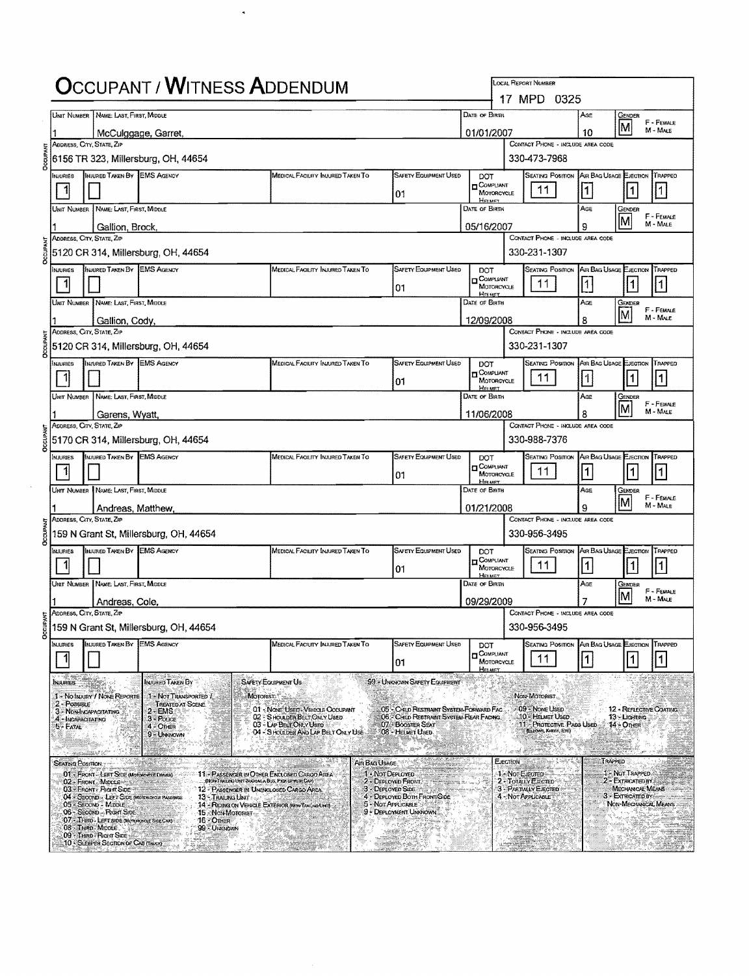|                                                                                                                                                                                                                                                                                                                                                                                                                                                                                                                                                                                                                                                                                                                                                                                                                                                                                                                                                                                                                                                                                                                                                                                                                                                                                                                                                                                                                                                                                                                                                                                                                                                                                                                                                                                                                                                                                                                                                                                                                                                                                                                                                                                                                                                                                                                                                                                                                                                                                                                                                                                                                                                                                                                                                                                                                                                                                                                                                                                                                                                                                                                                                                                                                                                                                                                                                                                                                                                                                                                                                                                                                                                                                                                                                                                                                                                                                                                                                                                                                                                                                                                                                                                                                                                                                                                                                                                                                                                                                                                                                                                                                                                                                                                                                                                         |                |  |                    |  |  |                              |            |                         | AGE | Gember |                |
|-----------------------------------------------------------------------------------------------------------------------------------------------------------------------------------------------------------------------------------------------------------------------------------------------------------------------------------------------------------------------------------------------------------------------------------------------------------------------------------------------------------------------------------------------------------------------------------------------------------------------------------------------------------------------------------------------------------------------------------------------------------------------------------------------------------------------------------------------------------------------------------------------------------------------------------------------------------------------------------------------------------------------------------------------------------------------------------------------------------------------------------------------------------------------------------------------------------------------------------------------------------------------------------------------------------------------------------------------------------------------------------------------------------------------------------------------------------------------------------------------------------------------------------------------------------------------------------------------------------------------------------------------------------------------------------------------------------------------------------------------------------------------------------------------------------------------------------------------------------------------------------------------------------------------------------------------------------------------------------------------------------------------------------------------------------------------------------------------------------------------------------------------------------------------------------------------------------------------------------------------------------------------------------------------------------------------------------------------------------------------------------------------------------------------------------------------------------------------------------------------------------------------------------------------------------------------------------------------------------------------------------------------------------------------------------------------------------------------------------------------------------------------------------------------------------------------------------------------------------------------------------------------------------------------------------------------------------------------------------------------------------------------------------------------------------------------------------------------------------------------------------------------------------------------------------------------------------------------------------------------------------------------------------------------------------------------------------------------------------------------------------------------------------------------------------------------------------------------------------------------------------------------------------------------------------------------------------------------------------------------------------------------------------------------------------------------------------------------------------------------------------------------------------------------------------------------------------------------------------------------------------------------------------------------------------------------------------------------------------------------------------------------------------------------------------------------------------------------------------------------------------------------------------------------------------------------------------------------------------------------------------------------------------------------------------------------------------------------------------------------------------------------------------------------------------------------------------------------------------------------------------------------------------------------------------------------------------------------------------------------------------------------------------------------------------------------------------------------------------------------------------------------------------------|----------------|--|--------------------|--|--|------------------------------|------------|-------------------------|-----|--------|----------------|
|                                                                                                                                                                                                                                                                                                                                                                                                                                                                                                                                                                                                                                                                                                                                                                                                                                                                                                                                                                                                                                                                                                                                                                                                                                                                                                                                                                                                                                                                                                                                                                                                                                                                                                                                                                                                                                                                                                                                                                                                                                                                                                                                                                                                                                                                                                                                                                                                                                                                                                                                                                                                                                                                                                                                                                                                                                                                                                                                                                                                                                                                                                                                                                                                                                                                                                                                                                                                                                                                                                                                                                                                                                                                                                                                                                                                                                                                                                                                                                                                                                                                                                                                                                                                                                                                                                                                                                                                                                                                                                                                                                                                                                                                                                                                                                                         |                |  |                    |  |  |                              |            |                         | 10  |        |                |
|                                                                                                                                                                                                                                                                                                                                                                                                                                                                                                                                                                                                                                                                                                                                                                                                                                                                                                                                                                                                                                                                                                                                                                                                                                                                                                                                                                                                                                                                                                                                                                                                                                                                                                                                                                                                                                                                                                                                                                                                                                                                                                                                                                                                                                                                                                                                                                                                                                                                                                                                                                                                                                                                                                                                                                                                                                                                                                                                                                                                                                                                                                                                                                                                                                                                                                                                                                                                                                                                                                                                                                                                                                                                                                                                                                                                                                                                                                                                                                                                                                                                                                                                                                                                                                                                                                                                                                                                                                                                                                                                                                                                                                                                                                                                                                                         |                |  |                    |  |  |                              |            |                         |     |        |                |
|                                                                                                                                                                                                                                                                                                                                                                                                                                                                                                                                                                                                                                                                                                                                                                                                                                                                                                                                                                                                                                                                                                                                                                                                                                                                                                                                                                                                                                                                                                                                                                                                                                                                                                                                                                                                                                                                                                                                                                                                                                                                                                                                                                                                                                                                                                                                                                                                                                                                                                                                                                                                                                                                                                                                                                                                                                                                                                                                                                                                                                                                                                                                                                                                                                                                                                                                                                                                                                                                                                                                                                                                                                                                                                                                                                                                                                                                                                                                                                                                                                                                                                                                                                                                                                                                                                                                                                                                                                                                                                                                                                                                                                                                                                                                                                                         | NJURIES        |  |                    |  |  | <b>SAFETY EQUIPMENT USED</b> | DOT        |                         |     |        |                |
|                                                                                                                                                                                                                                                                                                                                                                                                                                                                                                                                                                                                                                                                                                                                                                                                                                                                                                                                                                                                                                                                                                                                                                                                                                                                                                                                                                                                                                                                                                                                                                                                                                                                                                                                                                                                                                                                                                                                                                                                                                                                                                                                                                                                                                                                                                                                                                                                                                                                                                                                                                                                                                                                                                                                                                                                                                                                                                                                                                                                                                                                                                                                                                                                                                                                                                                                                                                                                                                                                                                                                                                                                                                                                                                                                                                                                                                                                                                                                                                                                                                                                                                                                                                                                                                                                                                                                                                                                                                                                                                                                                                                                                                                                                                                                                                         |                |  |                    |  |  | 01                           |            | 11                      |     |        |                |
|                                                                                                                                                                                                                                                                                                                                                                                                                                                                                                                                                                                                                                                                                                                                                                                                                                                                                                                                                                                                                                                                                                                                                                                                                                                                                                                                                                                                                                                                                                                                                                                                                                                                                                                                                                                                                                                                                                                                                                                                                                                                                                                                                                                                                                                                                                                                                                                                                                                                                                                                                                                                                                                                                                                                                                                                                                                                                                                                                                                                                                                                                                                                                                                                                                                                                                                                                                                                                                                                                                                                                                                                                                                                                                                                                                                                                                                                                                                                                                                                                                                                                                                                                                                                                                                                                                                                                                                                                                                                                                                                                                                                                                                                                                                                                                                         |                |  |                    |  |  |                              |            |                         | Age | GENDER |                |
|                                                                                                                                                                                                                                                                                                                                                                                                                                                                                                                                                                                                                                                                                                                                                                                                                                                                                                                                                                                                                                                                                                                                                                                                                                                                                                                                                                                                                                                                                                                                                                                                                                                                                                                                                                                                                                                                                                                                                                                                                                                                                                                                                                                                                                                                                                                                                                                                                                                                                                                                                                                                                                                                                                                                                                                                                                                                                                                                                                                                                                                                                                                                                                                                                                                                                                                                                                                                                                                                                                                                                                                                                                                                                                                                                                                                                                                                                                                                                                                                                                                                                                                                                                                                                                                                                                                                                                                                                                                                                                                                                                                                                                                                                                                                                                                         |                |  |                    |  |  |                              |            |                         |     |        |                |
|                                                                                                                                                                                                                                                                                                                                                                                                                                                                                                                                                                                                                                                                                                                                                                                                                                                                                                                                                                                                                                                                                                                                                                                                                                                                                                                                                                                                                                                                                                                                                                                                                                                                                                                                                                                                                                                                                                                                                                                                                                                                                                                                                                                                                                                                                                                                                                                                                                                                                                                                                                                                                                                                                                                                                                                                                                                                                                                                                                                                                                                                                                                                                                                                                                                                                                                                                                                                                                                                                                                                                                                                                                                                                                                                                                                                                                                                                                                                                                                                                                                                                                                                                                                                                                                                                                                                                                                                                                                                                                                                                                                                                                                                                                                                                                                         |                |  |                    |  |  |                              |            |                         |     |        |                |
|                                                                                                                                                                                                                                                                                                                                                                                                                                                                                                                                                                                                                                                                                                                                                                                                                                                                                                                                                                                                                                                                                                                                                                                                                                                                                                                                                                                                                                                                                                                                                                                                                                                                                                                                                                                                                                                                                                                                                                                                                                                                                                                                                                                                                                                                                                                                                                                                                                                                                                                                                                                                                                                                                                                                                                                                                                                                                                                                                                                                                                                                                                                                                                                                                                                                                                                                                                                                                                                                                                                                                                                                                                                                                                                                                                                                                                                                                                                                                                                                                                                                                                                                                                                                                                                                                                                                                                                                                                                                                                                                                                                                                                                                                                                                                                                         |                |  |                    |  |  |                              |            |                         |     |        |                |
|                                                                                                                                                                                                                                                                                                                                                                                                                                                                                                                                                                                                                                                                                                                                                                                                                                                                                                                                                                                                                                                                                                                                                                                                                                                                                                                                                                                                                                                                                                                                                                                                                                                                                                                                                                                                                                                                                                                                                                                                                                                                                                                                                                                                                                                                                                                                                                                                                                                                                                                                                                                                                                                                                                                                                                                                                                                                                                                                                                                                                                                                                                                                                                                                                                                                                                                                                                                                                                                                                                                                                                                                                                                                                                                                                                                                                                                                                                                                                                                                                                                                                                                                                                                                                                                                                                                                                                                                                                                                                                                                                                                                                                                                                                                                                                                         | <b>NJURIES</b> |  |                    |  |  | <b>SAFETY EQUIPMENT USED</b> | <b>DOT</b> | <b>SEATING POSITION</b> |     |        |                |
|                                                                                                                                                                                                                                                                                                                                                                                                                                                                                                                                                                                                                                                                                                                                                                                                                                                                                                                                                                                                                                                                                                                                                                                                                                                                                                                                                                                                                                                                                                                                                                                                                                                                                                                                                                                                                                                                                                                                                                                                                                                                                                                                                                                                                                                                                                                                                                                                                                                                                                                                                                                                                                                                                                                                                                                                                                                                                                                                                                                                                                                                                                                                                                                                                                                                                                                                                                                                                                                                                                                                                                                                                                                                                                                                                                                                                                                                                                                                                                                                                                                                                                                                                                                                                                                                                                                                                                                                                                                                                                                                                                                                                                                                                                                                                                                         | 1              |  |                    |  |  |                              |            | 11                      |     | 1      | 11.            |
|                                                                                                                                                                                                                                                                                                                                                                                                                                                                                                                                                                                                                                                                                                                                                                                                                                                                                                                                                                                                                                                                                                                                                                                                                                                                                                                                                                                                                                                                                                                                                                                                                                                                                                                                                                                                                                                                                                                                                                                                                                                                                                                                                                                                                                                                                                                                                                                                                                                                                                                                                                                                                                                                                                                                                                                                                                                                                                                                                                                                                                                                                                                                                                                                                                                                                                                                                                                                                                                                                                                                                                                                                                                                                                                                                                                                                                                                                                                                                                                                                                                                                                                                                                                                                                                                                                                                                                                                                                                                                                                                                                                                                                                                                                                                                                                         |                |  |                    |  |  |                              |            |                         | AGE | GENDER |                |
|                                                                                                                                                                                                                                                                                                                                                                                                                                                                                                                                                                                                                                                                                                                                                                                                                                                                                                                                                                                                                                                                                                                                                                                                                                                                                                                                                                                                                                                                                                                                                                                                                                                                                                                                                                                                                                                                                                                                                                                                                                                                                                                                                                                                                                                                                                                                                                                                                                                                                                                                                                                                                                                                                                                                                                                                                                                                                                                                                                                                                                                                                                                                                                                                                                                                                                                                                                                                                                                                                                                                                                                                                                                                                                                                                                                                                                                                                                                                                                                                                                                                                                                                                                                                                                                                                                                                                                                                                                                                                                                                                                                                                                                                                                                                                                                         |                |  |                    |  |  |                              |            |                         |     | M      |                |
|                                                                                                                                                                                                                                                                                                                                                                                                                                                                                                                                                                                                                                                                                                                                                                                                                                                                                                                                                                                                                                                                                                                                                                                                                                                                                                                                                                                                                                                                                                                                                                                                                                                                                                                                                                                                                                                                                                                                                                                                                                                                                                                                                                                                                                                                                                                                                                                                                                                                                                                                                                                                                                                                                                                                                                                                                                                                                                                                                                                                                                                                                                                                                                                                                                                                                                                                                                                                                                                                                                                                                                                                                                                                                                                                                                                                                                                                                                                                                                                                                                                                                                                                                                                                                                                                                                                                                                                                                                                                                                                                                                                                                                                                                                                                                                                         |                |  |                    |  |  |                              |            |                         |     |        |                |
|                                                                                                                                                                                                                                                                                                                                                                                                                                                                                                                                                                                                                                                                                                                                                                                                                                                                                                                                                                                                                                                                                                                                                                                                                                                                                                                                                                                                                                                                                                                                                                                                                                                                                                                                                                                                                                                                                                                                                                                                                                                                                                                                                                                                                                                                                                                                                                                                                                                                                                                                                                                                                                                                                                                                                                                                                                                                                                                                                                                                                                                                                                                                                                                                                                                                                                                                                                                                                                                                                                                                                                                                                                                                                                                                                                                                                                                                                                                                                                                                                                                                                                                                                                                                                                                                                                                                                                                                                                                                                                                                                                                                                                                                                                                                                                                         |                |  |                    |  |  |                              |            |                         |     |        |                |
|                                                                                                                                                                                                                                                                                                                                                                                                                                                                                                                                                                                                                                                                                                                                                                                                                                                                                                                                                                                                                                                                                                                                                                                                                                                                                                                                                                                                                                                                                                                                                                                                                                                                                                                                                                                                                                                                                                                                                                                                                                                                                                                                                                                                                                                                                                                                                                                                                                                                                                                                                                                                                                                                                                                                                                                                                                                                                                                                                                                                                                                                                                                                                                                                                                                                                                                                                                                                                                                                                                                                                                                                                                                                                                                                                                                                                                                                                                                                                                                                                                                                                                                                                                                                                                                                                                                                                                                                                                                                                                                                                                                                                                                                                                                                                                                         | NJURIES        |  |                    |  |  | <b>SAFETY EQUIPMENT USED</b> | <b>DOT</b> | <b>SEATING POSITION</b> |     |        |                |
|                                                                                                                                                                                                                                                                                                                                                                                                                                                                                                                                                                                                                                                                                                                                                                                                                                                                                                                                                                                                                                                                                                                                                                                                                                                                                                                                                                                                                                                                                                                                                                                                                                                                                                                                                                                                                                                                                                                                                                                                                                                                                                                                                                                                                                                                                                                                                                                                                                                                                                                                                                                                                                                                                                                                                                                                                                                                                                                                                                                                                                                                                                                                                                                                                                                                                                                                                                                                                                                                                                                                                                                                                                                                                                                                                                                                                                                                                                                                                                                                                                                                                                                                                                                                                                                                                                                                                                                                                                                                                                                                                                                                                                                                                                                                                                                         |                |  |                    |  |  |                              |            | 11                      |     | 1      |                |
|                                                                                                                                                                                                                                                                                                                                                                                                                                                                                                                                                                                                                                                                                                                                                                                                                                                                                                                                                                                                                                                                                                                                                                                                                                                                                                                                                                                                                                                                                                                                                                                                                                                                                                                                                                                                                                                                                                                                                                                                                                                                                                                                                                                                                                                                                                                                                                                                                                                                                                                                                                                                                                                                                                                                                                                                                                                                                                                                                                                                                                                                                                                                                                                                                                                                                                                                                                                                                                                                                                                                                                                                                                                                                                                                                                                                                                                                                                                                                                                                                                                                                                                                                                                                                                                                                                                                                                                                                                                                                                                                                                                                                                                                                                                                                                                         |                |  |                    |  |  |                              |            |                         |     |        |                |
|                                                                                                                                                                                                                                                                                                                                                                                                                                                                                                                                                                                                                                                                                                                                                                                                                                                                                                                                                                                                                                                                                                                                                                                                                                                                                                                                                                                                                                                                                                                                                                                                                                                                                                                                                                                                                                                                                                                                                                                                                                                                                                                                                                                                                                                                                                                                                                                                                                                                                                                                                                                                                                                                                                                                                                                                                                                                                                                                                                                                                                                                                                                                                                                                                                                                                                                                                                                                                                                                                                                                                                                                                                                                                                                                                                                                                                                                                                                                                                                                                                                                                                                                                                                                                                                                                                                                                                                                                                                                                                                                                                                                                                                                                                                                                                                         |                |  |                    |  |  |                              |            |                         |     | İM     |                |
|                                                                                                                                                                                                                                                                                                                                                                                                                                                                                                                                                                                                                                                                                                                                                                                                                                                                                                                                                                                                                                                                                                                                                                                                                                                                                                                                                                                                                                                                                                                                                                                                                                                                                                                                                                                                                                                                                                                                                                                                                                                                                                                                                                                                                                                                                                                                                                                                                                                                                                                                                                                                                                                                                                                                                                                                                                                                                                                                                                                                                                                                                                                                                                                                                                                                                                                                                                                                                                                                                                                                                                                                                                                                                                                                                                                                                                                                                                                                                                                                                                                                                                                                                                                                                                                                                                                                                                                                                                                                                                                                                                                                                                                                                                                                                                                         |                |  |                    |  |  |                              |            |                         |     |        |                |
|                                                                                                                                                                                                                                                                                                                                                                                                                                                                                                                                                                                                                                                                                                                                                                                                                                                                                                                                                                                                                                                                                                                                                                                                                                                                                                                                                                                                                                                                                                                                                                                                                                                                                                                                                                                                                                                                                                                                                                                                                                                                                                                                                                                                                                                                                                                                                                                                                                                                                                                                                                                                                                                                                                                                                                                                                                                                                                                                                                                                                                                                                                                                                                                                                                                                                                                                                                                                                                                                                                                                                                                                                                                                                                                                                                                                                                                                                                                                                                                                                                                                                                                                                                                                                                                                                                                                                                                                                                                                                                                                                                                                                                                                                                                                                                                         |                |  |                    |  |  |                              |            |                         |     |        |                |
|                                                                                                                                                                                                                                                                                                                                                                                                                                                                                                                                                                                                                                                                                                                                                                                                                                                                                                                                                                                                                                                                                                                                                                                                                                                                                                                                                                                                                                                                                                                                                                                                                                                                                                                                                                                                                                                                                                                                                                                                                                                                                                                                                                                                                                                                                                                                                                                                                                                                                                                                                                                                                                                                                                                                                                                                                                                                                                                                                                                                                                                                                                                                                                                                                                                                                                                                                                                                                                                                                                                                                                                                                                                                                                                                                                                                                                                                                                                                                                                                                                                                                                                                                                                                                                                                                                                                                                                                                                                                                                                                                                                                                                                                                                                                                                                         |                |  |                    |  |  | <b>SAFETY EQUIPMENT USED</b> |            | Seating Position        |     |        |                |
|                                                                                                                                                                                                                                                                                                                                                                                                                                                                                                                                                                                                                                                                                                                                                                                                                                                                                                                                                                                                                                                                                                                                                                                                                                                                                                                                                                                                                                                                                                                                                                                                                                                                                                                                                                                                                                                                                                                                                                                                                                                                                                                                                                                                                                                                                                                                                                                                                                                                                                                                                                                                                                                                                                                                                                                                                                                                                                                                                                                                                                                                                                                                                                                                                                                                                                                                                                                                                                                                                                                                                                                                                                                                                                                                                                                                                                                                                                                                                                                                                                                                                                                                                                                                                                                                                                                                                                                                                                                                                                                                                                                                                                                                                                                                                                                         |                |  |                    |  |  |                              |            | 11                      |     |        |                |
|                                                                                                                                                                                                                                                                                                                                                                                                                                                                                                                                                                                                                                                                                                                                                                                                                                                                                                                                                                                                                                                                                                                                                                                                                                                                                                                                                                                                                                                                                                                                                                                                                                                                                                                                                                                                                                                                                                                                                                                                                                                                                                                                                                                                                                                                                                                                                                                                                                                                                                                                                                                                                                                                                                                                                                                                                                                                                                                                                                                                                                                                                                                                                                                                                                                                                                                                                                                                                                                                                                                                                                                                                                                                                                                                                                                                                                                                                                                                                                                                                                                                                                                                                                                                                                                                                                                                                                                                                                                                                                                                                                                                                                                                                                                                                                                         |                |  |                    |  |  |                              |            |                         |     |        |                |
|                                                                                                                                                                                                                                                                                                                                                                                                                                                                                                                                                                                                                                                                                                                                                                                                                                                                                                                                                                                                                                                                                                                                                                                                                                                                                                                                                                                                                                                                                                                                                                                                                                                                                                                                                                                                                                                                                                                                                                                                                                                                                                                                                                                                                                                                                                                                                                                                                                                                                                                                                                                                                                                                                                                                                                                                                                                                                                                                                                                                                                                                                                                                                                                                                                                                                                                                                                                                                                                                                                                                                                                                                                                                                                                                                                                                                                                                                                                                                                                                                                                                                                                                                                                                                                                                                                                                                                                                                                                                                                                                                                                                                                                                                                                                                                                         |                |  |                    |  |  |                              |            |                         |     | M      |                |
|                                                                                                                                                                                                                                                                                                                                                                                                                                                                                                                                                                                                                                                                                                                                                                                                                                                                                                                                                                                                                                                                                                                                                                                                                                                                                                                                                                                                                                                                                                                                                                                                                                                                                                                                                                                                                                                                                                                                                                                                                                                                                                                                                                                                                                                                                                                                                                                                                                                                                                                                                                                                                                                                                                                                                                                                                                                                                                                                                                                                                                                                                                                                                                                                                                                                                                                                                                                                                                                                                                                                                                                                                                                                                                                                                                                                                                                                                                                                                                                                                                                                                                                                                                                                                                                                                                                                                                                                                                                                                                                                                                                                                                                                                                                                                                                         |                |  |                    |  |  |                              |            |                         |     |        |                |
|                                                                                                                                                                                                                                                                                                                                                                                                                                                                                                                                                                                                                                                                                                                                                                                                                                                                                                                                                                                                                                                                                                                                                                                                                                                                                                                                                                                                                                                                                                                                                                                                                                                                                                                                                                                                                                                                                                                                                                                                                                                                                                                                                                                                                                                                                                                                                                                                                                                                                                                                                                                                                                                                                                                                                                                                                                                                                                                                                                                                                                                                                                                                                                                                                                                                                                                                                                                                                                                                                                                                                                                                                                                                                                                                                                                                                                                                                                                                                                                                                                                                                                                                                                                                                                                                                                                                                                                                                                                                                                                                                                                                                                                                                                                                                                                         |                |  |                    |  |  |                              |            |                         |     |        |                |
|                                                                                                                                                                                                                                                                                                                                                                                                                                                                                                                                                                                                                                                                                                                                                                                                                                                                                                                                                                                                                                                                                                                                                                                                                                                                                                                                                                                                                                                                                                                                                                                                                                                                                                                                                                                                                                                                                                                                                                                                                                                                                                                                                                                                                                                                                                                                                                                                                                                                                                                                                                                                                                                                                                                                                                                                                                                                                                                                                                                                                                                                                                                                                                                                                                                                                                                                                                                                                                                                                                                                                                                                                                                                                                                                                                                                                                                                                                                                                                                                                                                                                                                                                                                                                                                                                                                                                                                                                                                                                                                                                                                                                                                                                                                                                                                         | <b>NJURIES</b> |  |                    |  |  | <b>SAFETY EQUIPMENT USED</b> | <b>DOT</b> |                         |     |        |                |
|                                                                                                                                                                                                                                                                                                                                                                                                                                                                                                                                                                                                                                                                                                                                                                                                                                                                                                                                                                                                                                                                                                                                                                                                                                                                                                                                                                                                                                                                                                                                                                                                                                                                                                                                                                                                                                                                                                                                                                                                                                                                                                                                                                                                                                                                                                                                                                                                                                                                                                                                                                                                                                                                                                                                                                                                                                                                                                                                                                                                                                                                                                                                                                                                                                                                                                                                                                                                                                                                                                                                                                                                                                                                                                                                                                                                                                                                                                                                                                                                                                                                                                                                                                                                                                                                                                                                                                                                                                                                                                                                                                                                                                                                                                                                                                                         | 1              |  |                    |  |  |                              |            | 11                      |     |        |                |
|                                                                                                                                                                                                                                                                                                                                                                                                                                                                                                                                                                                                                                                                                                                                                                                                                                                                                                                                                                                                                                                                                                                                                                                                                                                                                                                                                                                                                                                                                                                                                                                                                                                                                                                                                                                                                                                                                                                                                                                                                                                                                                                                                                                                                                                                                                                                                                                                                                                                                                                                                                                                                                                                                                                                                                                                                                                                                                                                                                                                                                                                                                                                                                                                                                                                                                                                                                                                                                                                                                                                                                                                                                                                                                                                                                                                                                                                                                                                                                                                                                                                                                                                                                                                                                                                                                                                                                                                                                                                                                                                                                                                                                                                                                                                                                                         |                |  |                    |  |  |                              |            |                         |     |        |                |
|                                                                                                                                                                                                                                                                                                                                                                                                                                                                                                                                                                                                                                                                                                                                                                                                                                                                                                                                                                                                                                                                                                                                                                                                                                                                                                                                                                                                                                                                                                                                                                                                                                                                                                                                                                                                                                                                                                                                                                                                                                                                                                                                                                                                                                                                                                                                                                                                                                                                                                                                                                                                                                                                                                                                                                                                                                                                                                                                                                                                                                                                                                                                                                                                                                                                                                                                                                                                                                                                                                                                                                                                                                                                                                                                                                                                                                                                                                                                                                                                                                                                                                                                                                                                                                                                                                                                                                                                                                                                                                                                                                                                                                                                                                                                                                                         |                |  |                    |  |  |                              |            |                         |     | lΜ     |                |
|                                                                                                                                                                                                                                                                                                                                                                                                                                                                                                                                                                                                                                                                                                                                                                                                                                                                                                                                                                                                                                                                                                                                                                                                                                                                                                                                                                                                                                                                                                                                                                                                                                                                                                                                                                                                                                                                                                                                                                                                                                                                                                                                                                                                                                                                                                                                                                                                                                                                                                                                                                                                                                                                                                                                                                                                                                                                                                                                                                                                                                                                                                                                                                                                                                                                                                                                                                                                                                                                                                                                                                                                                                                                                                                                                                                                                                                                                                                                                                                                                                                                                                                                                                                                                                                                                                                                                                                                                                                                                                                                                                                                                                                                                                                                                                                         |                |  |                    |  |  |                              |            |                         |     |        |                |
|                                                                                                                                                                                                                                                                                                                                                                                                                                                                                                                                                                                                                                                                                                                                                                                                                                                                                                                                                                                                                                                                                                                                                                                                                                                                                                                                                                                                                                                                                                                                                                                                                                                                                                                                                                                                                                                                                                                                                                                                                                                                                                                                                                                                                                                                                                                                                                                                                                                                                                                                                                                                                                                                                                                                                                                                                                                                                                                                                                                                                                                                                                                                                                                                                                                                                                                                                                                                                                                                                                                                                                                                                                                                                                                                                                                                                                                                                                                                                                                                                                                                                                                                                                                                                                                                                                                                                                                                                                                                                                                                                                                                                                                                                                                                                                                         |                |  |                    |  |  |                              |            |                         |     |        |                |
|                                                                                                                                                                                                                                                                                                                                                                                                                                                                                                                                                                                                                                                                                                                                                                                                                                                                                                                                                                                                                                                                                                                                                                                                                                                                                                                                                                                                                                                                                                                                                                                                                                                                                                                                                                                                                                                                                                                                                                                                                                                                                                                                                                                                                                                                                                                                                                                                                                                                                                                                                                                                                                                                                                                                                                                                                                                                                                                                                                                                                                                                                                                                                                                                                                                                                                                                                                                                                                                                                                                                                                                                                                                                                                                                                                                                                                                                                                                                                                                                                                                                                                                                                                                                                                                                                                                                                                                                                                                                                                                                                                                                                                                                                                                                                                                         |                |  |                    |  |  | <b>SAFETY EQUIPMENT USED</b> | DOT        | Seating Position        |     |        | <b>TRAPPED</b> |
|                                                                                                                                                                                                                                                                                                                                                                                                                                                                                                                                                                                                                                                                                                                                                                                                                                                                                                                                                                                                                                                                                                                                                                                                                                                                                                                                                                                                                                                                                                                                                                                                                                                                                                                                                                                                                                                                                                                                                                                                                                                                                                                                                                                                                                                                                                                                                                                                                                                                                                                                                                                                                                                                                                                                                                                                                                                                                                                                                                                                                                                                                                                                                                                                                                                                                                                                                                                                                                                                                                                                                                                                                                                                                                                                                                                                                                                                                                                                                                                                                                                                                                                                                                                                                                                                                                                                                                                                                                                                                                                                                                                                                                                                                                                                                                                         |                |  |                    |  |  |                              |            | 11                      |     | 1      |                |
|                                                                                                                                                                                                                                                                                                                                                                                                                                                                                                                                                                                                                                                                                                                                                                                                                                                                                                                                                                                                                                                                                                                                                                                                                                                                                                                                                                                                                                                                                                                                                                                                                                                                                                                                                                                                                                                                                                                                                                                                                                                                                                                                                                                                                                                                                                                                                                                                                                                                                                                                                                                                                                                                                                                                                                                                                                                                                                                                                                                                                                                                                                                                                                                                                                                                                                                                                                                                                                                                                                                                                                                                                                                                                                                                                                                                                                                                                                                                                                                                                                                                                                                                                                                                                                                                                                                                                                                                                                                                                                                                                                                                                                                                                                                                                                                         |                |  |                    |  |  |                              |            |                         |     |        |                |
|                                                                                                                                                                                                                                                                                                                                                                                                                                                                                                                                                                                                                                                                                                                                                                                                                                                                                                                                                                                                                                                                                                                                                                                                                                                                                                                                                                                                                                                                                                                                                                                                                                                                                                                                                                                                                                                                                                                                                                                                                                                                                                                                                                                                                                                                                                                                                                                                                                                                                                                                                                                                                                                                                                                                                                                                                                                                                                                                                                                                                                                                                                                                                                                                                                                                                                                                                                                                                                                                                                                                                                                                                                                                                                                                                                                                                                                                                                                                                                                                                                                                                                                                                                                                                                                                                                                                                                                                                                                                                                                                                                                                                                                                                                                                                                                         |                |  |                    |  |  |                              |            |                         |     |        |                |
|                                                                                                                                                                                                                                                                                                                                                                                                                                                                                                                                                                                                                                                                                                                                                                                                                                                                                                                                                                                                                                                                                                                                                                                                                                                                                                                                                                                                                                                                                                                                                                                                                                                                                                                                                                                                                                                                                                                                                                                                                                                                                                                                                                                                                                                                                                                                                                                                                                                                                                                                                                                                                                                                                                                                                                                                                                                                                                                                                                                                                                                                                                                                                                                                                                                                                                                                                                                                                                                                                                                                                                                                                                                                                                                                                                                                                                                                                                                                                                                                                                                                                                                                                                                                                                                                                                                                                                                                                                                                                                                                                                                                                                                                                                                                                                                         |                |  | TREATED AT SCENE.  |  |  |                              |            |                         |     |        |                |
|                                                                                                                                                                                                                                                                                                                                                                                                                                                                                                                                                                                                                                                                                                                                                                                                                                                                                                                                                                                                                                                                                                                                                                                                                                                                                                                                                                                                                                                                                                                                                                                                                                                                                                                                                                                                                                                                                                                                                                                                                                                                                                                                                                                                                                                                                                                                                                                                                                                                                                                                                                                                                                                                                                                                                                                                                                                                                                                                                                                                                                                                                                                                                                                                                                                                                                                                                                                                                                                                                                                                                                                                                                                                                                                                                                                                                                                                                                                                                                                                                                                                                                                                                                                                                                                                                                                                                                                                                                                                                                                                                                                                                                                                                                                                                                                         |                |  | $3 - \text{Pouce}$ |  |  |                              |            |                         |     |        |                |
|                                                                                                                                                                                                                                                                                                                                                                                                                                                                                                                                                                                                                                                                                                                                                                                                                                                                                                                                                                                                                                                                                                                                                                                                                                                                                                                                                                                                                                                                                                                                                                                                                                                                                                                                                                                                                                                                                                                                                                                                                                                                                                                                                                                                                                                                                                                                                                                                                                                                                                                                                                                                                                                                                                                                                                                                                                                                                                                                                                                                                                                                                                                                                                                                                                                                                                                                                                                                                                                                                                                                                                                                                                                                                                                                                                                                                                                                                                                                                                                                                                                                                                                                                                                                                                                                                                                                                                                                                                                                                                                                                                                                                                                                                                                                                                                         |                |  | 9 - Unknown        |  |  |                              |            | (ELEOWS, KNEES, ETC)    |     |        |                |
|                                                                                                                                                                                                                                                                                                                                                                                                                                                                                                                                                                                                                                                                                                                                                                                                                                                                                                                                                                                                                                                                                                                                                                                                                                                                                                                                                                                                                                                                                                                                                                                                                                                                                                                                                                                                                                                                                                                                                                                                                                                                                                                                                                                                                                                                                                                                                                                                                                                                                                                                                                                                                                                                                                                                                                                                                                                                                                                                                                                                                                                                                                                                                                                                                                                                                                                                                                                                                                                                                                                                                                                                                                                                                                                                                                                                                                                                                                                                                                                                                                                                                                                                                                                                                                                                                                                                                                                                                                                                                                                                                                                                                                                                                                                                                                                         |                |  |                    |  |  |                              |            |                         |     |        |                |
|                                                                                                                                                                                                                                                                                                                                                                                                                                                                                                                                                                                                                                                                                                                                                                                                                                                                                                                                                                                                                                                                                                                                                                                                                                                                                                                                                                                                                                                                                                                                                                                                                                                                                                                                                                                                                                                                                                                                                                                                                                                                                                                                                                                                                                                                                                                                                                                                                                                                                                                                                                                                                                                                                                                                                                                                                                                                                                                                                                                                                                                                                                                                                                                                                                                                                                                                                                                                                                                                                                                                                                                                                                                                                                                                                                                                                                                                                                                                                                                                                                                                                                                                                                                                                                                                                                                                                                                                                                                                                                                                                                                                                                                                                                                                                                                         |                |  |                    |  |  |                              |            |                         |     |        |                |
|                                                                                                                                                                                                                                                                                                                                                                                                                                                                                                                                                                                                                                                                                                                                                                                                                                                                                                                                                                                                                                                                                                                                                                                                                                                                                                                                                                                                                                                                                                                                                                                                                                                                                                                                                                                                                                                                                                                                                                                                                                                                                                                                                                                                                                                                                                                                                                                                                                                                                                                                                                                                                                                                                                                                                                                                                                                                                                                                                                                                                                                                                                                                                                                                                                                                                                                                                                                                                                                                                                                                                                                                                                                                                                                                                                                                                                                                                                                                                                                                                                                                                                                                                                                                                                                                                                                                                                                                                                                                                                                                                                                                                                                                                                                                                                                         |                |  |                    |  |  |                              |            |                         |     |        |                |
| OCCUPANT / WITNESS ADDENDUM<br>LOCAL REPORT NUMBER<br>17 MPD 0325<br>DATE OF BIRTH<br>Unit Number   Name: Last, First, Middle<br>F - FEMALE<br>lм<br>M - MALE<br>01/01/2007<br>McCulggage, Garret<br>CONTACT PHONE - INCLUDE AREA CODE<br>ADDRESS, CITY, STATE, ZIP<br>DCCUPANT<br>330-473-7968<br>6156 TR 323, Millersburg, OH, 44654<br>INJURED TAKEN BY EMS AGENCY<br>MEDICAL FACILITY INJURED TAKEN TO<br>SEATING POSITION AIR BAG USAGE EJECTION TRAPPED<br>COMPLIANT<br>$\vert$ 1<br>MOTORCYCLE<br>HELMEY<br>DATE OF BIRTH<br>UNIT NUMBER   NAME: LAST, FIRST, MIDDLE<br>F - Female<br>M<br>M - MALE<br>05/16/2007<br>9<br>Gallion, Brock,<br>ADDRESS, CITY, STATE, ZP<br>CONTACT PHONE - INCLUDE AREA CODE<br>330-231-1307<br>5120 CR 314, Millersburg, OH, 44654<br>INJURED TAKEN BY EMS AGENCY<br>MEDICAL FACILITY INJURED TAKEN TO<br>AIR BAG USAGE EJECTION TRAPPED<br>$\mathsf{\Pi}$ Compliant<br>$\vert$ 1<br>MOTORCYCLE<br>01<br><b>HELMET</b><br>DATE OF BIRTH<br>UNIT NUMBER   NAME: LAST, FIRST MIDDLE<br>F - FEMALE<br>M - MALE<br>12/09/2008<br>8<br>Gallion, Codv.<br>ADDRESS, CITY, STATE, ZIP<br>CONTACT PHONE - INCLUDE AREA CODE<br>330-231-1307<br>5120 CR 314, Millersburg, OH, 44654<br>INJURED TAKEN BY EMS AGENCY<br>ANR BAG USAGE EJECTION TRAPPED<br>Medical Facility Injured Taken To<br>$\blacksquare$ Compliant<br>I۱.<br>MOTORCYCLE<br>01<br><b>HELMET</b><br>UNIT NUMBER   NAME: LAST, FIRST, MIDDLE<br>DATE OF BIRTH<br>Age<br>GENDER<br>F - FEMALE<br>M - MALE<br>11/06/2008<br>я<br>Garens, Wyatt,<br>ADDRESS, CITY, STATE, ZIP<br>CONTACT PHONE - INCLUDE AREA CODE<br>330-988-7376<br>5170 CR 314, Millersburg, OH, 44654<br>INJURED TAKEN BY EMS AGENCY<br>AIR BAG USAGE EJECTION TRAPPED<br>MEDICAL FACILITY INJURED TAKEN TO<br>injuries<br>DOT<br><b>COMPLIANT</b><br> 1 <br>MOTORCYCLE<br>01<br>HELMET<br>Date of Birth<br>Unit Number   Name: Last, First, Middle<br>Age<br>GENDER<br>F - FEMALE<br>M - MALE<br>01/21/2008<br>9<br>Andreas, Matthew.<br>ADDRESS, CITY, STATE, ZIP<br>CONTACT PHONE - INCLUDE AREA CODE<br><b>OCCUPANT</b><br>330-956-3495<br>159 N Grant St, Millersburg, OH, 44654<br>INJURED TAKEN BY EMS AGENCY<br>MEDICAL FACILITY INJURED TAKEN TO<br>AIR BAG USAGE EJECTION TRAPPED<br><b>SEATING POSITION</b><br><b>TT</b> COMPLIANT<br>$\vert$ 1<br> 1 <br>$\vert$ 1<br>MOTORCYCLE<br>01<br><b>HELMET</b><br>Unit Number   Name: Last, First, Middle<br>Date of Birth<br>Age<br>GENDER<br>F - FEMALE<br>M - MALE<br>09/29/2009<br>Andreas, Cole,<br>ADDRESS, CITY, STATE, ZIP<br>CONTACT PHONE - INCLUDE AREA CODE<br>330-956-3495<br>159 N Grant St, Millersburg, OH, 44654<br>INJURED TAKEN BY EMS AGENCY<br>MEDICAL FACILITY INJURED TAKEN TO<br>AIR BAG USAGE EJECTION<br>NJURIES<br><b>COMPLIANT</b><br>11<br>MOTORCYCLE<br>01<br>HELMET<br>INJURED TAKEN BY<br><b>SAFETY EQUIPMENT US</b><br>99 - UNKNOWN SAFETY EQUIPMENT<br><b>INAARES</b><br>1 - NOT TRANSPORTED 1<br>MOTORIST <sup>®</sup><br>1 - No Indury / None Reporte<br>NON-MOTORIST.<br>2 - POSSIBLE<br>01 - NONE USED VEHICLE OCCUPANT<br>05 - CHILD RESTRAINT SYSTEM-FORWARD FAC<br>09 - Nove Usen<br>12 - REFLECTIVE COATING<br>$2 - EMS$<br>3 - NON-INCAPACITATING<br>10 - HELMET USED<br>02 - SHOULDER BELT ONLY USED<br>06 CHILD RESTRAINT SYSTEM REAR FACING.<br>13 - Ligning<br>4 - INCAPACITATING<br>03 - LAP BELT ONLY USED<br>07 - BOOSTER SEAT<br>11 - PROTECTIVE PADS USED<br>14 - Other<br>$4 -$ Omen<br>5 - Fatal<br>04 - SHOULDER AND LAP BELT ONLY USE<br>08 HELMET USED<br>RAPPED<br>dalar S<br>Ejection<br>AIR BAG USAGE<br><b>SEATING POSITION</b><br>1 - NOT DEPLOYED<br>1 - Nor Elected<br>1 - NOT TRAPPED<br>01 - FRONT - LEFT SIDE MOTOROVCLE DRIVER)<br>11 - PASSENGER IN OTHER ENCLOSED CARGO AREA<br>(NON-TRAXING UNIT SUCH AS A BUS, PICK UP WITH CAP)<br>2-TOTALLY EJECTED<br>2 - EXTRICATED BY<br>2 - Deployed Front.<br>02 - FRONT MIDOLE - 1999 SUBARANT<br>3 - PARTIALLY EJECTED<br>MECHANICAL MEANS<br>3 - DEPLOYED SIDE<br>03 - FRONT RIGHT SIDE<br>12 - PASSENGER IN UNENCLOSED CARGO AREA<br>3 - EXTRICATED BY<br>4 - DEPLOYED BOTH FRONT/SIDE<br>4 - NOT APPLICABLE<br>04 - SECOND - LEFT SIDE (MOTOROVCIE PASSINGS)<br>13 - TRAILANG LINEE<br>NON-MECHANICAL MEANS<br>5 - NOT APPLICABLE<br>05 - SECOND - MIDDLE<br>$\sim$<br>14 - RIDING ON VEHICLE EXTERIOR INON-TRAUMO UNTI<br>9 - DEPLOYMENT UNKNOWN<br>06 - Secono - Right Sipe<br>15 - Non Moronist<br>esia.<br>an a<br>ssoort dake<br>07 - THIRD - LEFT SIDE (MORANGE SIDECAR)<br>$16 -$ Other<br>m. S<br><b>Services</b> in a<br>08 THIRD MIDDLE<br>99 UNKNOWN<br>Statistics of the Second<br>998.W<br>AMA<br>09 - THIRD - RIGHT SIDE<br>ndetti obse<br>12001110<br>SA 29<br>e de la f<br>10 - SLEEPER SECTION OF CAB (TRICK)<br><b>SANDONIA</b> |                |  |                    |  |  |                              |            |                         |     |        |                |
|                                                                                                                                                                                                                                                                                                                                                                                                                                                                                                                                                                                                                                                                                                                                                                                                                                                                                                                                                                                                                                                                                                                                                                                                                                                                                                                                                                                                                                                                                                                                                                                                                                                                                                                                                                                                                                                                                                                                                                                                                                                                                                                                                                                                                                                                                                                                                                                                                                                                                                                                                                                                                                                                                                                                                                                                                                                                                                                                                                                                                                                                                                                                                                                                                                                                                                                                                                                                                                                                                                                                                                                                                                                                                                                                                                                                                                                                                                                                                                                                                                                                                                                                                                                                                                                                                                                                                                                                                                                                                                                                                                                                                                                                                                                                                                                         |                |  |                    |  |  |                              |            |                         |     |        |                |
|                                                                                                                                                                                                                                                                                                                                                                                                                                                                                                                                                                                                                                                                                                                                                                                                                                                                                                                                                                                                                                                                                                                                                                                                                                                                                                                                                                                                                                                                                                                                                                                                                                                                                                                                                                                                                                                                                                                                                                                                                                                                                                                                                                                                                                                                                                                                                                                                                                                                                                                                                                                                                                                                                                                                                                                                                                                                                                                                                                                                                                                                                                                                                                                                                                                                                                                                                                                                                                                                                                                                                                                                                                                                                                                                                                                                                                                                                                                                                                                                                                                                                                                                                                                                                                                                                                                                                                                                                                                                                                                                                                                                                                                                                                                                                                                         |                |  |                    |  |  |                              |            |                         |     |        |                |
|                                                                                                                                                                                                                                                                                                                                                                                                                                                                                                                                                                                                                                                                                                                                                                                                                                                                                                                                                                                                                                                                                                                                                                                                                                                                                                                                                                                                                                                                                                                                                                                                                                                                                                                                                                                                                                                                                                                                                                                                                                                                                                                                                                                                                                                                                                                                                                                                                                                                                                                                                                                                                                                                                                                                                                                                                                                                                                                                                                                                                                                                                                                                                                                                                                                                                                                                                                                                                                                                                                                                                                                                                                                                                                                                                                                                                                                                                                                                                                                                                                                                                                                                                                                                                                                                                                                                                                                                                                                                                                                                                                                                                                                                                                                                                                                         |                |  |                    |  |  |                              |            |                         |     |        |                |

 $\mathcal{A}$ 

 $\mathcal{A}$